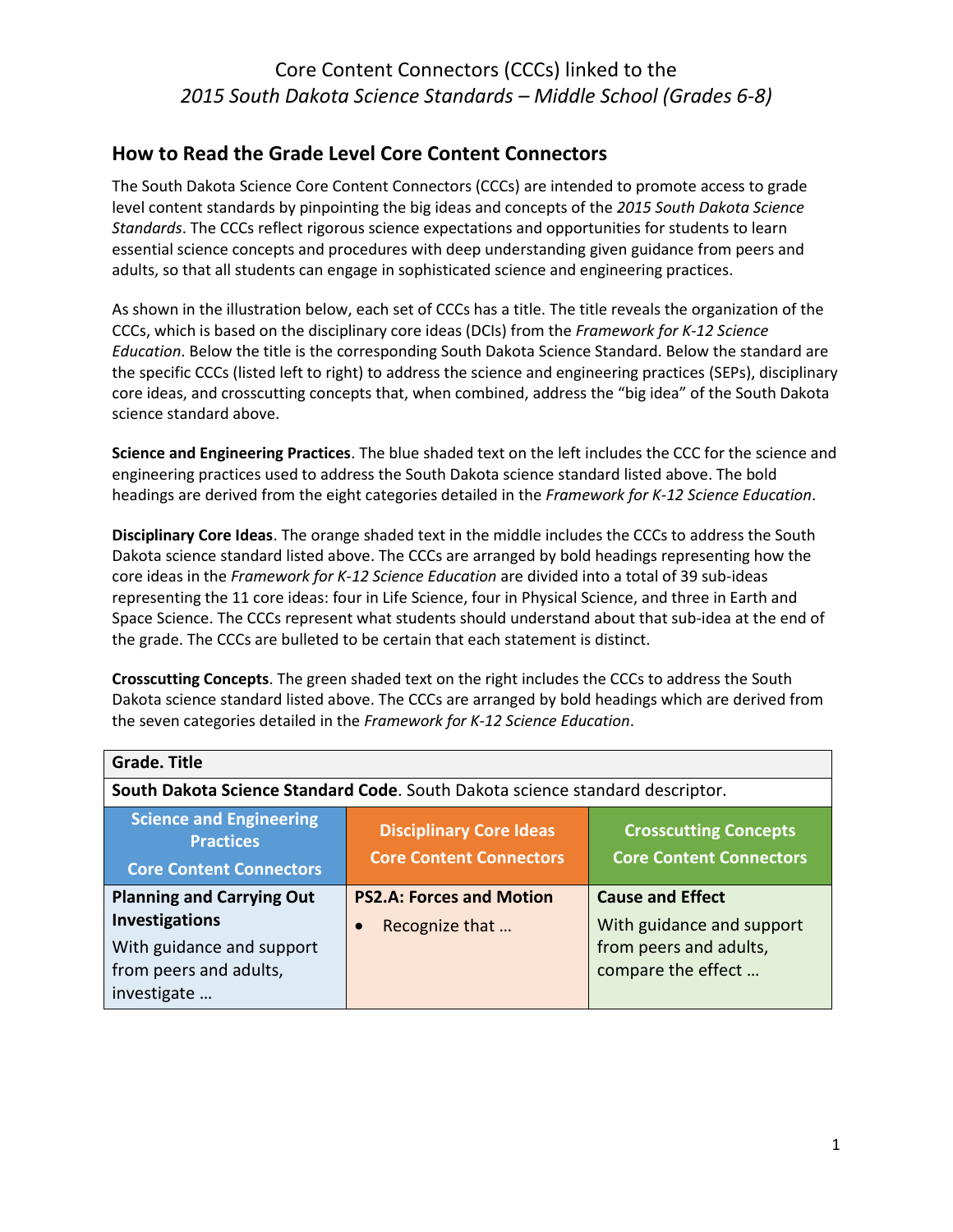#### **How to Read the Grade Level Core Content Connectors**

The South Dakota Science Core Content Connectors (CCCs) are intended to promote access to grade level content standards by pinpointing the big ideas and concepts of the *2015 South Dakota Science Standards*. The CCCs reflect rigorous science expectations and opportunities for students to learn essential science concepts and procedures with deep understanding given guidance from peers and adults, so that all students can engage in sophisticated science and engineering practices.

As shown in the illustration below, each set of CCCs has a title. The title reveals the organization of the CCCs, which is based on the disciplinary core ideas (DCIs) from the *Framework for K-12 Science Education*. Below the title is the corresponding South Dakota Science Standard. Below the standard are the specific CCCs (listed left to right) to address the science and engineering practices (SEPs), disciplinary core ideas, and crosscutting concepts that, when combined, address the "big idea" of the South Dakota science standard above.

**Science and Engineering Practices**. The blue shaded text on the left includes the CCC for the science and engineering practices used to address the South Dakota science standard listed above. The bold headings are derived from the eight categories detailed in the *Framework for K-12 Science Education*.

**Disciplinary Core Ideas**. The orange shaded text in the middle includes the CCCs to address the South Dakota science standard listed above. The CCCs are arranged by bold headings representing how the core ideas in the *Framework for K-12 Science Education* are divided into a total of 39 sub-ideas representing the 11 core ideas: four in Life Science, four in Physical Science, and three in Earth and Space Science. The CCCs represent what students should understand about that sub-idea at the end of the grade. The CCCs are bulleted to be certain that each statement is distinct.

**Crosscutting Concepts**. The green shaded text on the right includes the CCCs to address the South Dakota science standard listed above. The CCCs are arranged by bold headings which are derived from the seven categories detailed in the *Framework for K-12 Science Education*.

| <b>Grade. Title</b>                                                                                                             |                                                                                                                                    |                                                                                                      |
|---------------------------------------------------------------------------------------------------------------------------------|------------------------------------------------------------------------------------------------------------------------------------|------------------------------------------------------------------------------------------------------|
|                                                                                                                                 | South Dakota Science Standard Code. South Dakota science standard descriptor.                                                      |                                                                                                      |
| <b>Science and Engineering</b><br><b>Practices</b><br><b>Core Content Connectors</b>                                            | <b>Disciplinary Core Ideas</b><br><b>Crosscutting Concepts</b><br><b>Core Content Connectors</b><br><b>Core Content Connectors</b> |                                                                                                      |
| <b>Planning and Carrying Out</b><br><b>Investigations</b><br>With guidance and support<br>from peers and adults,<br>investigate | <b>PS2.A: Forces and Motion</b><br>Recognize that                                                                                  | <b>Cause and Effect</b><br>With guidance and support<br>from peers and adults,<br>compare the effect |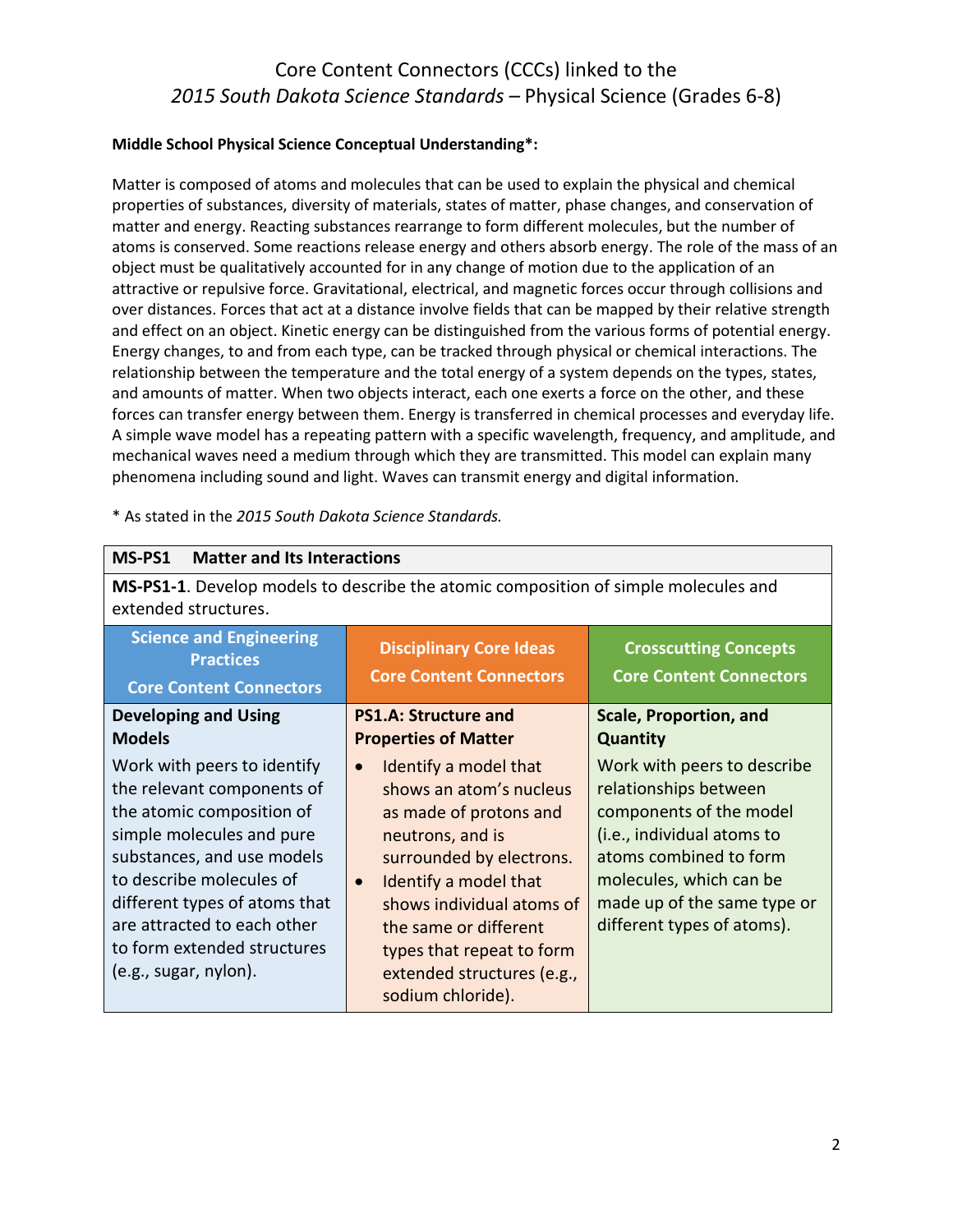#### **Middle School Physical Science Conceptual Understanding\*:**

Matter is composed of atoms and molecules that can be used to explain the physical and chemical properties of substances, diversity of materials, states of matter, phase changes, and conservation of matter and energy. Reacting substances rearrange to form different molecules, but the number of atoms is conserved. Some reactions release energy and others absorb energy. The role of the mass of an object must be qualitatively accounted for in any change of motion due to the application of an attractive or repulsive force. Gravitational, electrical, and magnetic forces occur through collisions and over distances. Forces that act at a distance involve fields that can be mapped by their relative strength and effect on an object. Kinetic energy can be distinguished from the various forms of potential energy. Energy changes, to and from each type, can be tracked through physical or chemical interactions. The relationship between the temperature and the total energy of a system depends on the types, states, and amounts of matter. When two objects interact, each one exerts a force on the other, and these forces can transfer energy between them. Energy is transferred in chemical processes and everyday life. A simple wave model has a repeating pattern with a specific wavelength, frequency, and amplitude, and mechanical waves need a medium through which they are transmitted. This model can explain many phenomena including sound and light. Waves can transmit energy and digital information.

| MS-PS1<br><b>Matter and Its Interactions</b>                                                                                                                                                                                                                                                          |                                                                                                                                                                                                                                                                                                                     |                                                                                                                                                                                                                                 |
|-------------------------------------------------------------------------------------------------------------------------------------------------------------------------------------------------------------------------------------------------------------------------------------------------------|---------------------------------------------------------------------------------------------------------------------------------------------------------------------------------------------------------------------------------------------------------------------------------------------------------------------|---------------------------------------------------------------------------------------------------------------------------------------------------------------------------------------------------------------------------------|
| <b>MS-PS1-1.</b> Develop models to describe the atomic composition of simple molecules and<br>extended structures.                                                                                                                                                                                    |                                                                                                                                                                                                                                                                                                                     |                                                                                                                                                                                                                                 |
| <b>Science and Engineering</b><br><b>Practices</b><br><b>Core Content Connectors</b>                                                                                                                                                                                                                  | <b>Disciplinary Core Ideas</b><br><b>Core Content Connectors</b>                                                                                                                                                                                                                                                    | <b>Crosscutting Concepts</b><br><b>Core Content Connectors</b>                                                                                                                                                                  |
| <b>Developing and Using</b><br><b>Models</b>                                                                                                                                                                                                                                                          | <b>PS1.A: Structure and</b><br><b>Properties of Matter</b>                                                                                                                                                                                                                                                          | <b>Scale, Proportion, and</b><br>Quantity                                                                                                                                                                                       |
| Work with peers to identify<br>the relevant components of<br>the atomic composition of<br>simple molecules and pure<br>substances, and use models<br>to describe molecules of<br>different types of atoms that<br>are attracted to each other<br>to form extended structures<br>(e.g., sugar, nylon). | Identify a model that<br>$\bullet$<br>shows an atom's nucleus<br>as made of protons and<br>neutrons, and is<br>surrounded by electrons.<br>Identify a model that<br>$\bullet$<br>shows individual atoms of<br>the same or different<br>types that repeat to form<br>extended structures (e.g.,<br>sodium chloride). | Work with peers to describe<br>relationships between<br>components of the model<br>(i.e., individual atoms to<br>atoms combined to form<br>molecules, which can be<br>made up of the same type or<br>different types of atoms). |

\* As stated in the *2015 South Dakota Science Standards.*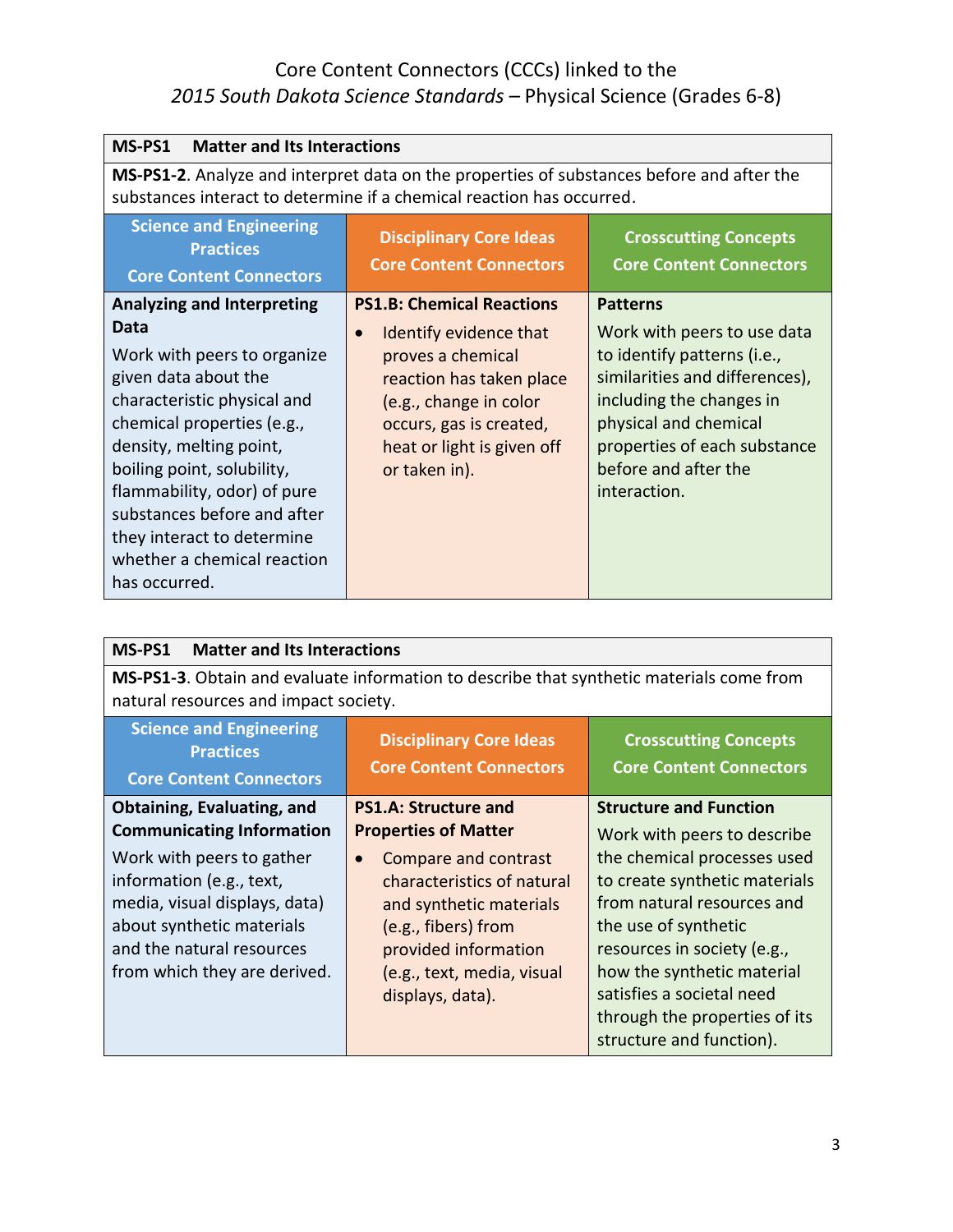| MS-PS1<br><b>Matter and Its Interactions</b>                                                                                                                                                                                                                                                                                                                       |                                                                                                                                                                                                                              |                                                                                                                                                                                                                                              |
|--------------------------------------------------------------------------------------------------------------------------------------------------------------------------------------------------------------------------------------------------------------------------------------------------------------------------------------------------------------------|------------------------------------------------------------------------------------------------------------------------------------------------------------------------------------------------------------------------------|----------------------------------------------------------------------------------------------------------------------------------------------------------------------------------------------------------------------------------------------|
| MS-PS1-2. Analyze and interpret data on the properties of substances before and after the<br>substances interact to determine if a chemical reaction has occurred.                                                                                                                                                                                                 |                                                                                                                                                                                                                              |                                                                                                                                                                                                                                              |
| <b>Science and Engineering</b><br><b>Practices</b><br><b>Core Content Connectors</b>                                                                                                                                                                                                                                                                               | <b>Disciplinary Core Ideas</b><br><b>Core Content Connectors</b>                                                                                                                                                             | <b>Crosscutting Concepts</b><br><b>Core Content Connectors</b>                                                                                                                                                                               |
| <b>Analyzing and Interpreting</b><br>Data<br>Work with peers to organize<br>given data about the<br>characteristic physical and<br>chemical properties (e.g.,<br>density, melting point,<br>boiling point, solubility,<br>flammability, odor) of pure<br>substances before and after<br>they interact to determine<br>whether a chemical reaction<br>has occurred. | <b>PS1.B: Chemical Reactions</b><br>Identify evidence that<br>$\bullet$<br>proves a chemical<br>reaction has taken place<br>(e.g., change in color<br>occurs, gas is created,<br>heat or light is given off<br>or taken in). | <b>Patterns</b><br>Work with peers to use data<br>to identify patterns (i.e.,<br>similarities and differences),<br>including the changes in<br>physical and chemical<br>properties of each substance<br>before and after the<br>interaction. |

| MS-PS1<br><b>Matter and Its Interactions</b>                                                                                                                                                                         |                                                                                                                                                                                                                            |                                                                                                                                                                                                                                                                                                          |
|----------------------------------------------------------------------------------------------------------------------------------------------------------------------------------------------------------------------|----------------------------------------------------------------------------------------------------------------------------------------------------------------------------------------------------------------------------|----------------------------------------------------------------------------------------------------------------------------------------------------------------------------------------------------------------------------------------------------------------------------------------------------------|
| <b>MS-PS1-3.</b> Obtain and evaluate information to describe that synthetic materials come from<br>natural resources and impact society.                                                                             |                                                                                                                                                                                                                            |                                                                                                                                                                                                                                                                                                          |
| <b>Science and Engineering</b><br><b>Practices</b><br><b>Core Content Connectors</b>                                                                                                                                 | <b>Disciplinary Core Ideas</b><br><b>Core Content Connectors</b>                                                                                                                                                           | <b>Crosscutting Concepts</b><br><b>Core Content Connectors</b>                                                                                                                                                                                                                                           |
| <b>Obtaining, Evaluating, and</b>                                                                                                                                                                                    | <b>PS1.A: Structure and</b>                                                                                                                                                                                                | <b>Structure and Function</b>                                                                                                                                                                                                                                                                            |
| <b>Communicating Information</b><br>Work with peers to gather<br>information (e.g., text,<br>media, visual displays, data)<br>about synthetic materials<br>and the natural resources<br>from which they are derived. | <b>Properties of Matter</b><br>Compare and contrast<br>$\bullet$<br>characteristics of natural<br>and synthetic materials<br>(e.g., fibers) from<br>provided information<br>(e.g., text, media, visual<br>displays, data). | Work with peers to describe<br>the chemical processes used<br>to create synthetic materials<br>from natural resources and<br>the use of synthetic<br>resources in society (e.g.,<br>how the synthetic material<br>satisfies a societal need<br>through the properties of its<br>structure and function). |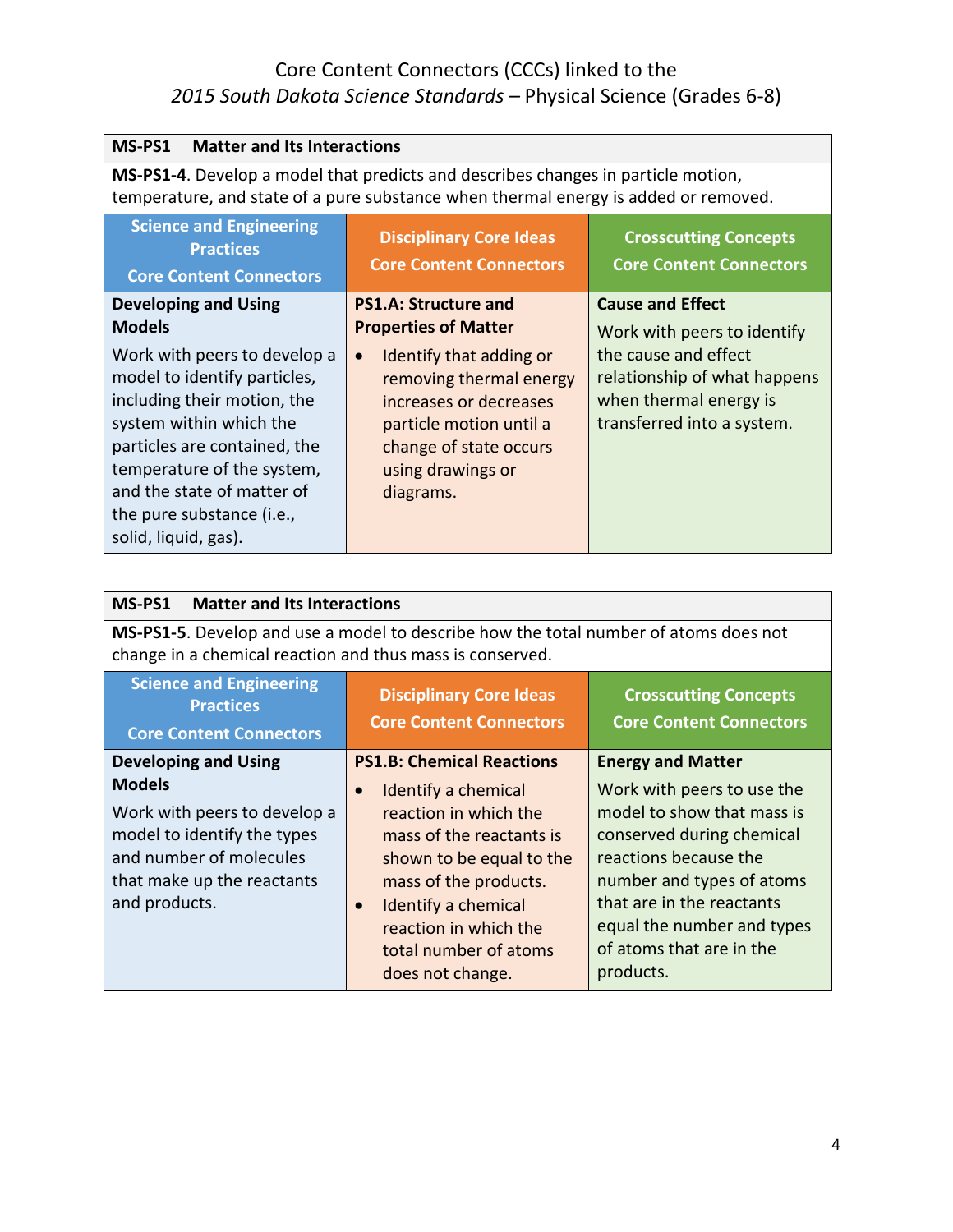| MS-PS1<br><b>Matter and Its Interactions</b>                                                                                                                                                                                                                                                    |                                                                                                                                                                                                                                                |                                                                                                                                                                        |
|-------------------------------------------------------------------------------------------------------------------------------------------------------------------------------------------------------------------------------------------------------------------------------------------------|------------------------------------------------------------------------------------------------------------------------------------------------------------------------------------------------------------------------------------------------|------------------------------------------------------------------------------------------------------------------------------------------------------------------------|
| MS-PS1-4. Develop a model that predicts and describes changes in particle motion,<br>temperature, and state of a pure substance when thermal energy is added or removed.                                                                                                                        |                                                                                                                                                                                                                                                |                                                                                                                                                                        |
| <b>Science and Engineering</b><br><b>Practices</b><br><b>Core Content Connectors</b>                                                                                                                                                                                                            | <b>Disciplinary Core Ideas</b><br><b>Core Content Connectors</b>                                                                                                                                                                               | <b>Crosscutting Concepts</b><br><b>Core Content Connectors</b>                                                                                                         |
| <b>Developing and Using</b><br><b>Models</b><br>Work with peers to develop a<br>model to identify particles,<br>including their motion, the<br>system within which the<br>particles are contained, the<br>temperature of the system,<br>and the state of matter of<br>the pure substance (i.e., | <b>PS1.A: Structure and</b><br><b>Properties of Matter</b><br>Identify that adding or<br>$\bullet$<br>removing thermal energy<br>increases or decreases<br>particle motion until a<br>change of state occurs<br>using drawings or<br>diagrams. | <b>Cause and Effect</b><br>Work with peers to identify<br>the cause and effect<br>relationship of what happens<br>when thermal energy is<br>transferred into a system. |
| solid, liquid, gas).                                                                                                                                                                                                                                                                            |                                                                                                                                                                                                                                                |                                                                                                                                                                        |

| <b>Matter and Its Interactions</b><br>MS-PS1                                                                                                      |                                                                                                                                         |  |
|---------------------------------------------------------------------------------------------------------------------------------------------------|-----------------------------------------------------------------------------------------------------------------------------------------|--|
| MS-PS1-5. Develop and use a model to describe how the total number of atoms does not<br>change in a chemical reaction and thus mass is conserved. |                                                                                                                                         |  |
| <b>Disciplinary Core Ideas</b><br><b>Core Content Connectors</b>                                                                                  | <b>Crosscutting Concepts</b><br><b>Core Content Connectors</b>                                                                          |  |
| <b>PS1.B: Chemical Reactions</b>                                                                                                                  | <b>Energy and Matter</b>                                                                                                                |  |
| Identify a chemical<br>$\bullet$                                                                                                                  | Work with peers to use the                                                                                                              |  |
| reaction in which the                                                                                                                             | model to show that mass is                                                                                                              |  |
| mass of the reactants is                                                                                                                          | conserved during chemical                                                                                                               |  |
|                                                                                                                                                   | reactions because the                                                                                                                   |  |
|                                                                                                                                                   | number and types of atoms                                                                                                               |  |
|                                                                                                                                                   | that are in the reactants<br>equal the number and types                                                                                 |  |
|                                                                                                                                                   | of atoms that are in the                                                                                                                |  |
| does not change.                                                                                                                                  | products.                                                                                                                               |  |
|                                                                                                                                                   | shown to be equal to the<br>mass of the products.<br>Identify a chemical<br>$\bullet$<br>reaction in which the<br>total number of atoms |  |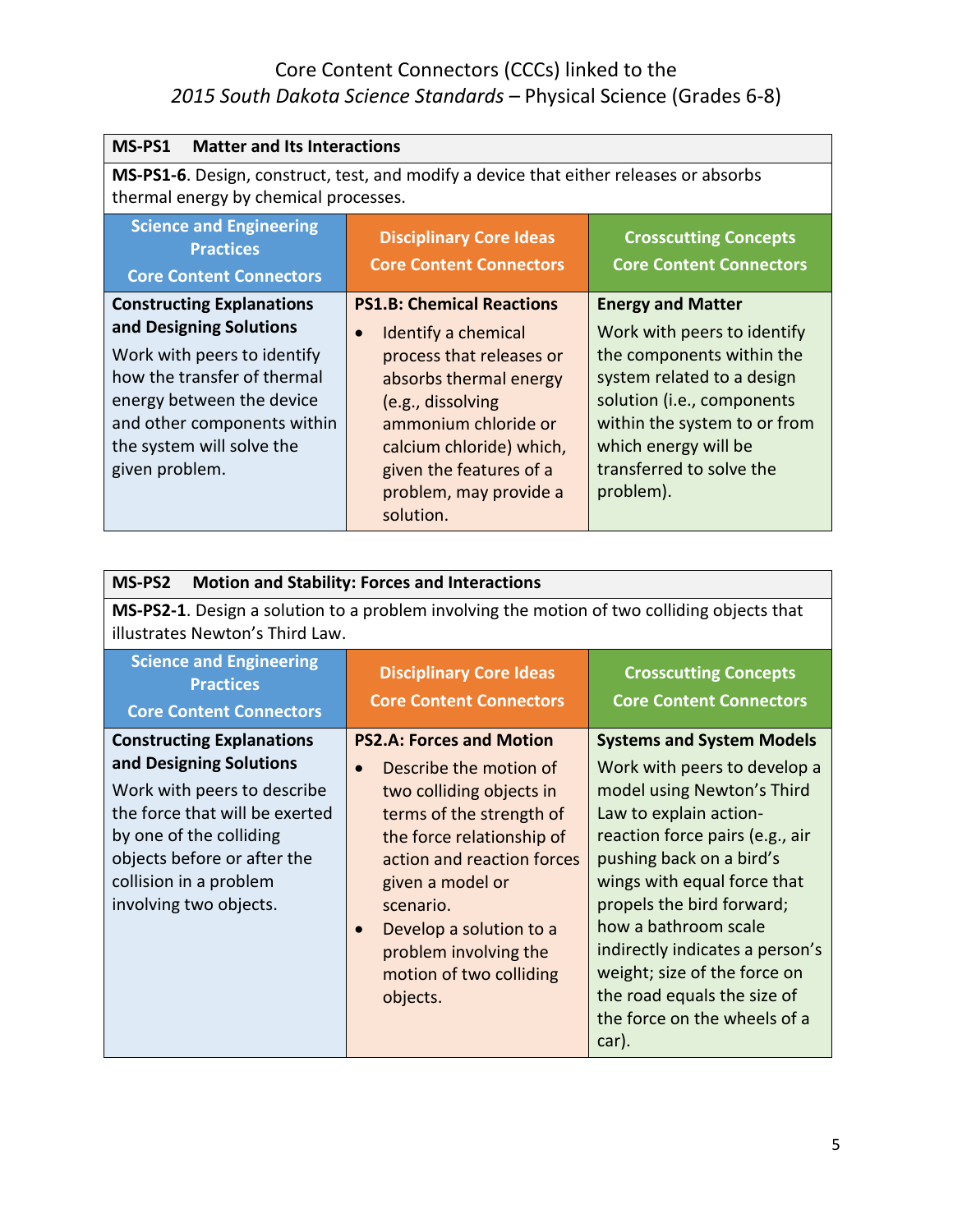| MS-PS1<br><b>Matter and Its Interactions</b>                                                                                                                                                                                         |                                                                                                                                                                                                                                                                       |                                                                                                                                                                                                                                                   |
|--------------------------------------------------------------------------------------------------------------------------------------------------------------------------------------------------------------------------------------|-----------------------------------------------------------------------------------------------------------------------------------------------------------------------------------------------------------------------------------------------------------------------|---------------------------------------------------------------------------------------------------------------------------------------------------------------------------------------------------------------------------------------------------|
| MS-PS1-6. Design, construct, test, and modify a device that either releases or absorbs<br>thermal energy by chemical processes.                                                                                                      |                                                                                                                                                                                                                                                                       |                                                                                                                                                                                                                                                   |
| <b>Science and Engineering</b><br><b>Practices</b><br><b>Core Content Connectors</b>                                                                                                                                                 | <b>Disciplinary Core Ideas</b><br><b>Core Content Connectors</b>                                                                                                                                                                                                      | <b>Crosscutting Concepts</b><br><b>Core Content Connectors</b>                                                                                                                                                                                    |
| <b>Constructing Explanations</b><br>and Designing Solutions<br>Work with peers to identify<br>how the transfer of thermal<br>energy between the device<br>and other components within<br>the system will solve the<br>given problem. | <b>PS1.B: Chemical Reactions</b><br>Identify a chemical<br>$\bullet$<br>process that releases or<br>absorbs thermal energy<br>(e.g., dissolving<br>ammonium chloride or<br>calcium chloride) which,<br>given the features of a<br>problem, may provide a<br>solution. | <b>Energy and Matter</b><br>Work with peers to identify<br>the components within the<br>system related to a design<br>solution (i.e., components<br>within the system to or from<br>which energy will be<br>transferred to solve the<br>problem). |

| <b>Motion and Stability: Forces and Interactions</b><br>MS-PS2                                                                                                                                                                             |                                                                                                                                                                                                                                                                                                                                    |                                                                                                                                                                                                                                                                                                                                                                                                                        |
|--------------------------------------------------------------------------------------------------------------------------------------------------------------------------------------------------------------------------------------------|------------------------------------------------------------------------------------------------------------------------------------------------------------------------------------------------------------------------------------------------------------------------------------------------------------------------------------|------------------------------------------------------------------------------------------------------------------------------------------------------------------------------------------------------------------------------------------------------------------------------------------------------------------------------------------------------------------------------------------------------------------------|
| MS-PS2-1. Design a solution to a problem involving the motion of two colliding objects that<br>illustrates Newton's Third Law.                                                                                                             |                                                                                                                                                                                                                                                                                                                                    |                                                                                                                                                                                                                                                                                                                                                                                                                        |
| <b>Science and Engineering</b><br><b>Practices</b><br><b>Core Content Connectors</b>                                                                                                                                                       | <b>Disciplinary Core Ideas</b><br><b>Core Content Connectors</b>                                                                                                                                                                                                                                                                   | <b>Crosscutting Concepts</b><br><b>Core Content Connectors</b>                                                                                                                                                                                                                                                                                                                                                         |
| <b>Constructing Explanations</b><br>and Designing Solutions<br>Work with peers to describe<br>the force that will be exerted<br>by one of the colliding<br>objects before or after the<br>collision in a problem<br>involving two objects. | <b>PS2.A: Forces and Motion</b><br>Describe the motion of<br>$\bullet$<br>two colliding objects in<br>terms of the strength of<br>the force relationship of<br>action and reaction forces<br>given a model or<br>scenario.<br>Develop a solution to a<br>$\bullet$<br>problem involving the<br>motion of two colliding<br>objects. | <b>Systems and System Models</b><br>Work with peers to develop a<br>model using Newton's Third<br>Law to explain action-<br>reaction force pairs (e.g., air<br>pushing back on a bird's<br>wings with equal force that<br>propels the bird forward;<br>how a bathroom scale<br>indirectly indicates a person's<br>weight; size of the force on<br>the road equals the size of<br>the force on the wheels of a<br>car). |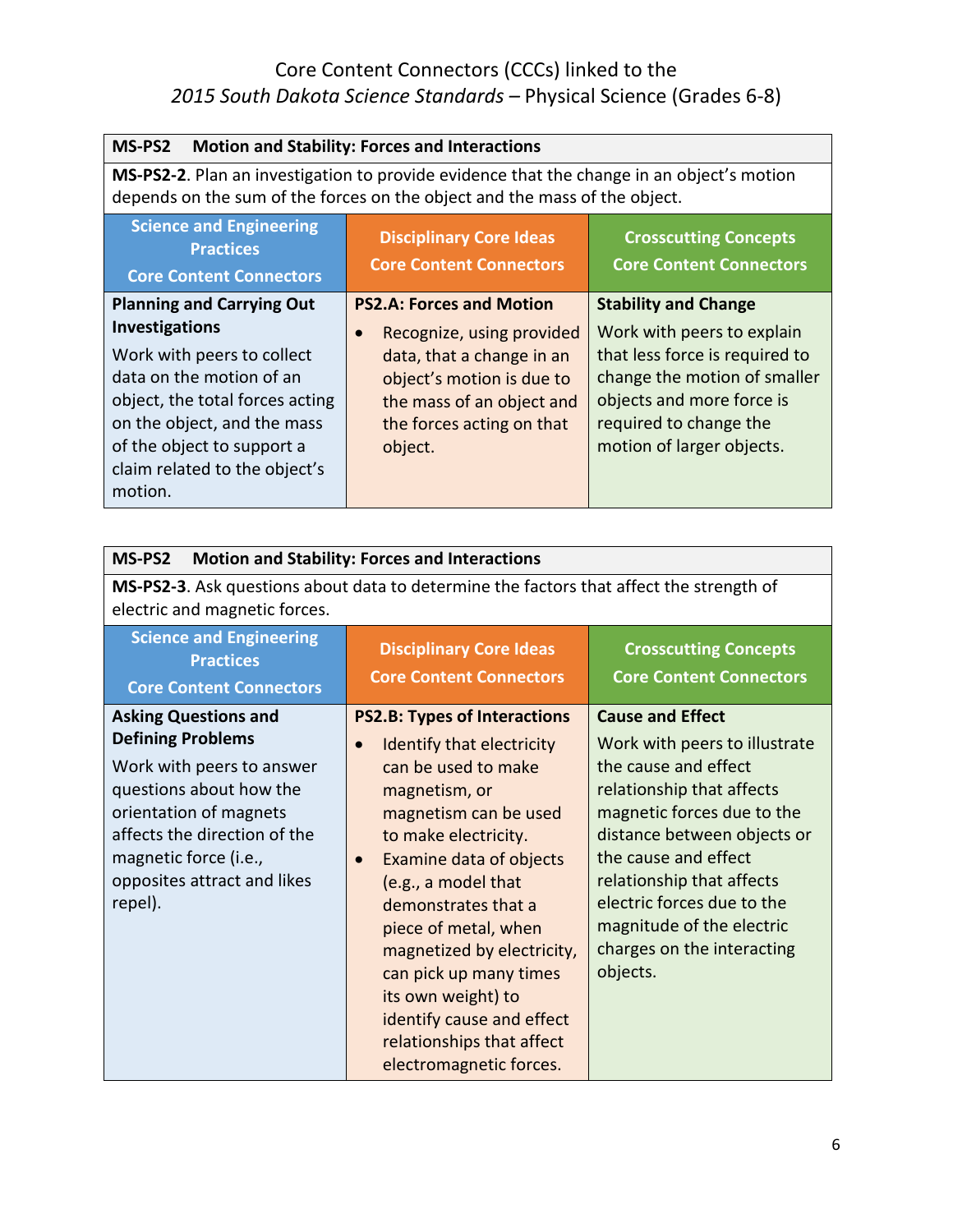| MS-PS2<br><b>Motion and Stability: Forces and Interactions</b>                                                                                                                                                              |                                                                                                                                                          |                                                                                                                                                                                  |
|-----------------------------------------------------------------------------------------------------------------------------------------------------------------------------------------------------------------------------|----------------------------------------------------------------------------------------------------------------------------------------------------------|----------------------------------------------------------------------------------------------------------------------------------------------------------------------------------|
| MS-PS2-2. Plan an investigation to provide evidence that the change in an object's motion<br>depends on the sum of the forces on the object and the mass of the object.                                                     |                                                                                                                                                          |                                                                                                                                                                                  |
| <b>Science and Engineering</b><br><b>Practices</b><br><b>Core Content Connectors</b>                                                                                                                                        | <b>Disciplinary Core Ideas</b><br><b>Core Content Connectors</b>                                                                                         | <b>Crosscutting Concepts</b><br><b>Core Content Connectors</b>                                                                                                                   |
| <b>Planning and Carrying Out</b>                                                                                                                                                                                            | <b>PS2.A: Forces and Motion</b>                                                                                                                          | <b>Stability and Change</b>                                                                                                                                                      |
| <b>Investigations</b><br>Work with peers to collect<br>data on the motion of an<br>object, the total forces acting<br>on the object, and the mass<br>of the object to support a<br>claim related to the object's<br>motion. | Recognize, using provided<br>data, that a change in an<br>object's motion is due to<br>the mass of an object and<br>the forces acting on that<br>object. | Work with peers to explain<br>that less force is required to<br>change the motion of smaller<br>objects and more force is<br>required to change the<br>motion of larger objects. |

| MS-PS2<br><b>Motion and Stability: Forces and Interactions</b>                                                                                                                                                                               |                                                                                                                                                                                                                                                                                                                                                                                                                                            |                                                                                                                                                                                                                                                                                                                                      |
|----------------------------------------------------------------------------------------------------------------------------------------------------------------------------------------------------------------------------------------------|--------------------------------------------------------------------------------------------------------------------------------------------------------------------------------------------------------------------------------------------------------------------------------------------------------------------------------------------------------------------------------------------------------------------------------------------|--------------------------------------------------------------------------------------------------------------------------------------------------------------------------------------------------------------------------------------------------------------------------------------------------------------------------------------|
| MS-PS2-3. Ask questions about data to determine the factors that affect the strength of<br>electric and magnetic forces.                                                                                                                     |                                                                                                                                                                                                                                                                                                                                                                                                                                            |                                                                                                                                                                                                                                                                                                                                      |
| <b>Science and Engineering</b><br><b>Practices</b><br><b>Core Content Connectors</b>                                                                                                                                                         | <b>Disciplinary Core Ideas</b><br><b>Core Content Connectors</b>                                                                                                                                                                                                                                                                                                                                                                           | <b>Crosscutting Concepts</b><br><b>Core Content Connectors</b>                                                                                                                                                                                                                                                                       |
| <b>Asking Questions and</b><br><b>Defining Problems</b><br>Work with peers to answer<br>questions about how the<br>orientation of magnets<br>affects the direction of the<br>magnetic force (i.e.,<br>opposites attract and likes<br>repel). | <b>PS2.B: Types of Interactions</b><br>Identify that electricity<br>$\bullet$<br>can be used to make<br>magnetism, or<br>magnetism can be used<br>to make electricity.<br>Examine data of objects<br>(e.g., a model that<br>demonstrates that a<br>piece of metal, when<br>magnetized by electricity,<br>can pick up many times<br>its own weight) to<br>identify cause and effect<br>relationships that affect<br>electromagnetic forces. | <b>Cause and Effect</b><br>Work with peers to illustrate<br>the cause and effect<br>relationship that affects<br>magnetic forces due to the<br>distance between objects or<br>the cause and effect<br>relationship that affects<br>electric forces due to the<br>magnitude of the electric<br>charges on the interacting<br>objects. |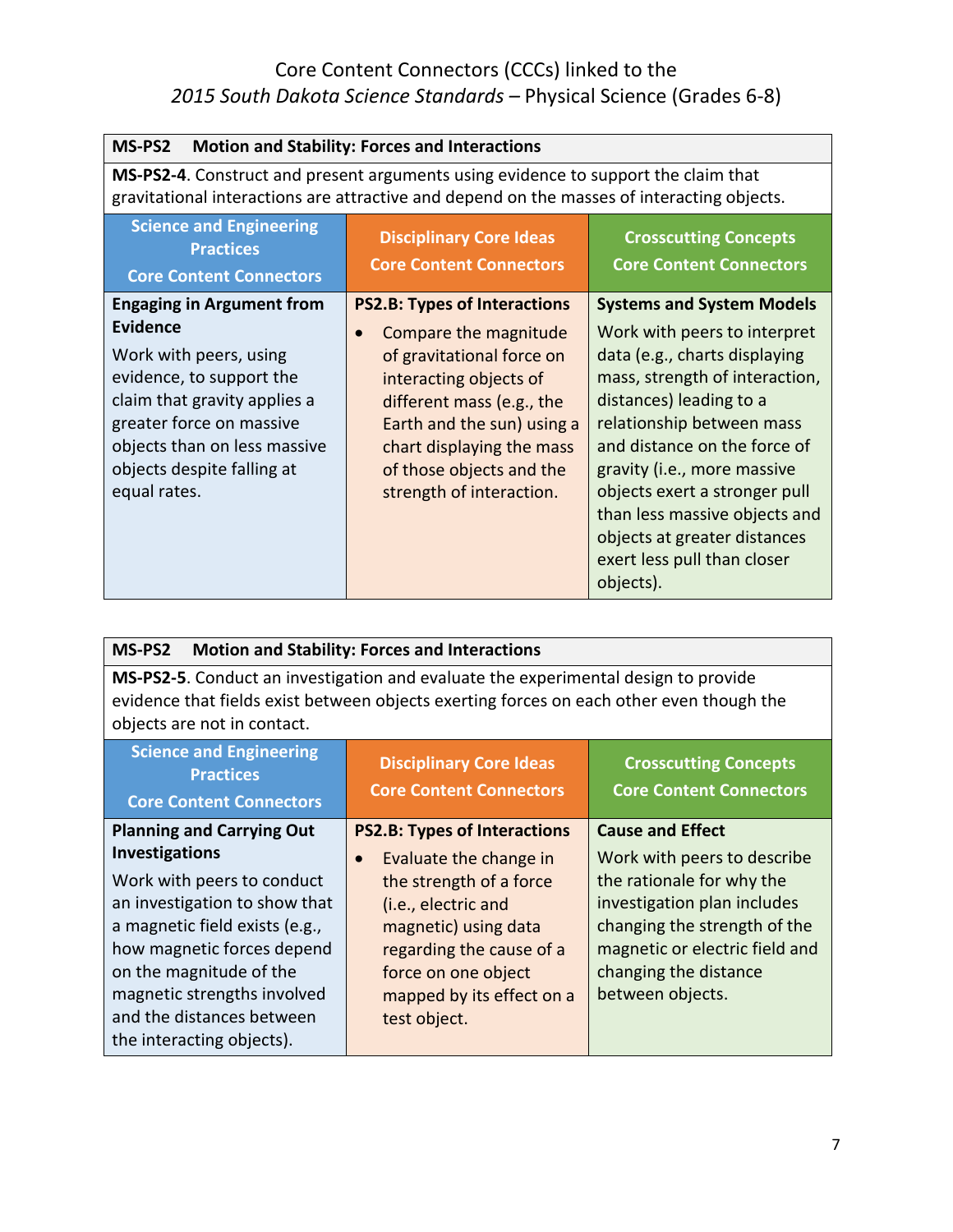| MS-PS2<br><b>Motion and Stability: Forces and Interactions</b>                                                                                                                                                                                      |                                                                                                                                                                                                                                                                                  |                                                                                                                                                                                                                                                                                                                                                                                                          |
|-----------------------------------------------------------------------------------------------------------------------------------------------------------------------------------------------------------------------------------------------------|----------------------------------------------------------------------------------------------------------------------------------------------------------------------------------------------------------------------------------------------------------------------------------|----------------------------------------------------------------------------------------------------------------------------------------------------------------------------------------------------------------------------------------------------------------------------------------------------------------------------------------------------------------------------------------------------------|
| MS-PS2-4. Construct and present arguments using evidence to support the claim that<br>gravitational interactions are attractive and depend on the masses of interacting objects.                                                                    |                                                                                                                                                                                                                                                                                  |                                                                                                                                                                                                                                                                                                                                                                                                          |
| <b>Science and Engineering</b><br><b>Practices</b><br><b>Core Content Connectors</b>                                                                                                                                                                | <b>Disciplinary Core Ideas</b><br><b>Core Content Connectors</b>                                                                                                                                                                                                                 | <b>Crosscutting Concepts</b><br><b>Core Content Connectors</b>                                                                                                                                                                                                                                                                                                                                           |
| <b>Engaging in Argument from</b><br><b>Evidence</b><br>Work with peers, using<br>evidence, to support the<br>claim that gravity applies a<br>greater force on massive<br>objects than on less massive<br>objects despite falling at<br>equal rates. | <b>PS2.B: Types of Interactions</b><br>Compare the magnitude<br>$\bullet$<br>of gravitational force on<br>interacting objects of<br>different mass (e.g., the<br>Earth and the sun) using a<br>chart displaying the mass<br>of those objects and the<br>strength of interaction. | <b>Systems and System Models</b><br>Work with peers to interpret<br>data (e.g., charts displaying<br>mass, strength of interaction,<br>distances) leading to a<br>relationship between mass<br>and distance on the force of<br>gravity (i.e., more massive<br>objects exert a stronger pull<br>than less massive objects and<br>objects at greater distances<br>exert less pull than closer<br>objects). |

| MS-PS2<br><b>Motion and Stability: Forces and Interactions</b>                                                                                                                                                                                                           |                                                                                                                                                                                                               |                                                                                                                                                                                                        |
|--------------------------------------------------------------------------------------------------------------------------------------------------------------------------------------------------------------------------------------------------------------------------|---------------------------------------------------------------------------------------------------------------------------------------------------------------------------------------------------------------|--------------------------------------------------------------------------------------------------------------------------------------------------------------------------------------------------------|
| MS-PS2-5. Conduct an investigation and evaluate the experimental design to provide<br>evidence that fields exist between objects exerting forces on each other even though the<br>objects are not in contact.                                                            |                                                                                                                                                                                                               |                                                                                                                                                                                                        |
| <b>Science and Engineering</b><br><b>Practices</b><br><b>Core Content Connectors</b>                                                                                                                                                                                     | <b>Disciplinary Core Ideas</b><br><b>Core Content Connectors</b>                                                                                                                                              | <b>Crosscutting Concepts</b><br><b>Core Content Connectors</b>                                                                                                                                         |
| <b>Planning and Carrying Out</b>                                                                                                                                                                                                                                         | <b>PS2.B: Types of Interactions</b>                                                                                                                                                                           | <b>Cause and Effect</b>                                                                                                                                                                                |
| <b>Investigations</b><br>Work with peers to conduct<br>an investigation to show that<br>a magnetic field exists (e.g.,<br>how magnetic forces depend<br>on the magnitude of the<br>magnetic strengths involved<br>and the distances between<br>the interacting objects). | Evaluate the change in<br>$\bullet$<br>the strength of a force<br>(i.e., electric and<br>magnetic) using data<br>regarding the cause of a<br>force on one object<br>mapped by its effect on a<br>test object. | Work with peers to describe<br>the rationale for why the<br>investigation plan includes<br>changing the strength of the<br>magnetic or electric field and<br>changing the distance<br>between objects. |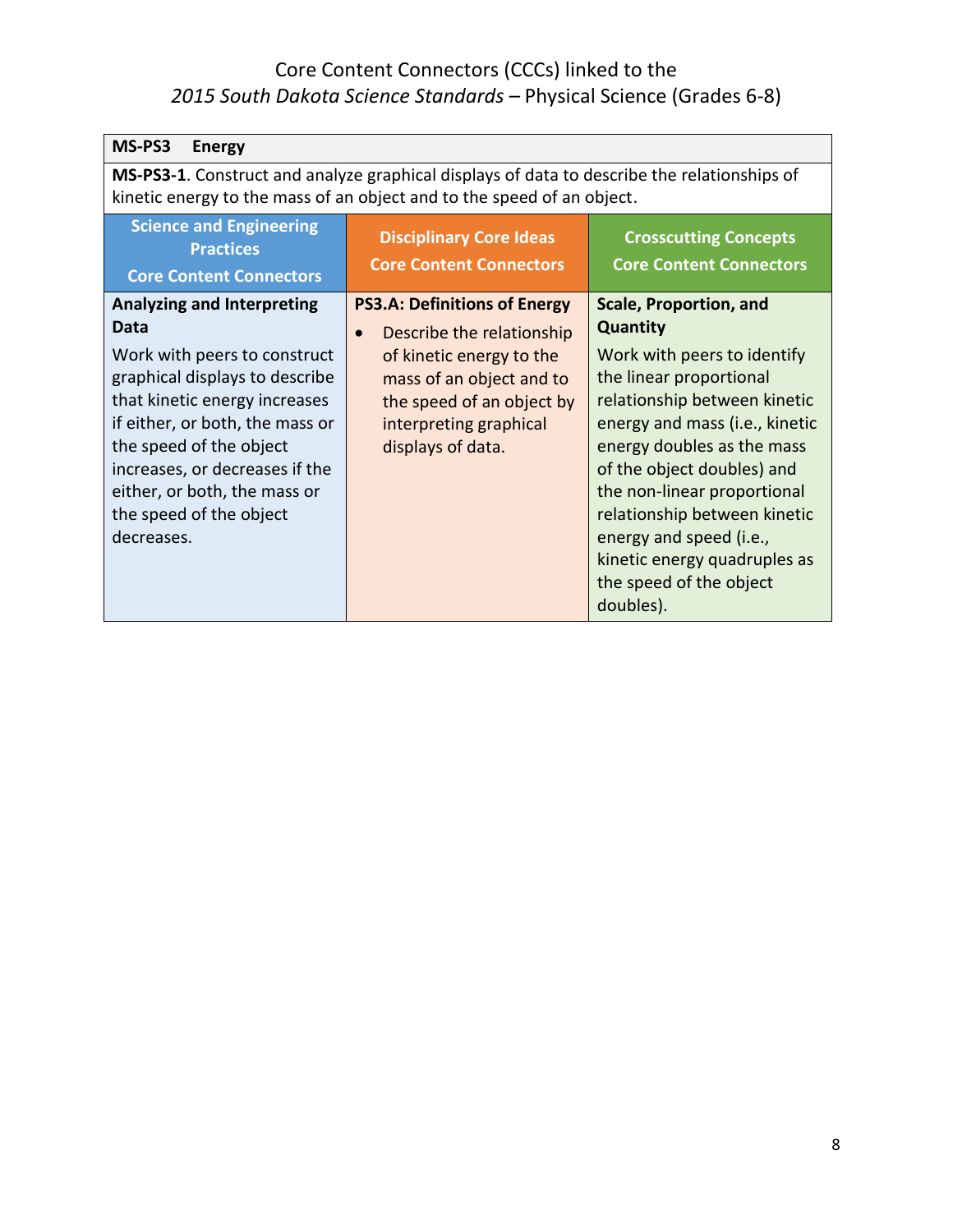| MS-PS3<br><b>Energy</b>                                                                                                                                                                                                                                                                                               |                                                                                                                                                                                                                   |                                                                                                                                                                                                                                                                                                                                                                                                            |
|-----------------------------------------------------------------------------------------------------------------------------------------------------------------------------------------------------------------------------------------------------------------------------------------------------------------------|-------------------------------------------------------------------------------------------------------------------------------------------------------------------------------------------------------------------|------------------------------------------------------------------------------------------------------------------------------------------------------------------------------------------------------------------------------------------------------------------------------------------------------------------------------------------------------------------------------------------------------------|
| MS-PS3-1. Construct and analyze graphical displays of data to describe the relationships of<br>kinetic energy to the mass of an object and to the speed of an object.                                                                                                                                                 |                                                                                                                                                                                                                   |                                                                                                                                                                                                                                                                                                                                                                                                            |
| <b>Science and Engineering</b><br><b>Practices</b><br><b>Core Content Connectors</b>                                                                                                                                                                                                                                  | <b>Disciplinary Core Ideas</b><br><b>Core Content Connectors</b>                                                                                                                                                  | <b>Crosscutting Concepts</b><br><b>Core Content Connectors</b>                                                                                                                                                                                                                                                                                                                                             |
| <b>Analyzing and Interpreting</b><br>Data<br>Work with peers to construct<br>graphical displays to describe<br>that kinetic energy increases<br>if either, or both, the mass or<br>the speed of the object<br>increases, or decreases if the<br>either, or both, the mass or<br>the speed of the object<br>decreases. | <b>PS3.A: Definitions of Energy</b><br>Describe the relationship<br>$\bullet$<br>of kinetic energy to the<br>mass of an object and to<br>the speed of an object by<br>interpreting graphical<br>displays of data. | <b>Scale, Proportion, and</b><br><b>Quantity</b><br>Work with peers to identify<br>the linear proportional<br>relationship between kinetic<br>energy and mass (i.e., kinetic<br>energy doubles as the mass<br>of the object doubles) and<br>the non-linear proportional<br>relationship between kinetic<br>energy and speed (i.e.,<br>kinetic energy quadruples as<br>the speed of the object<br>doubles). |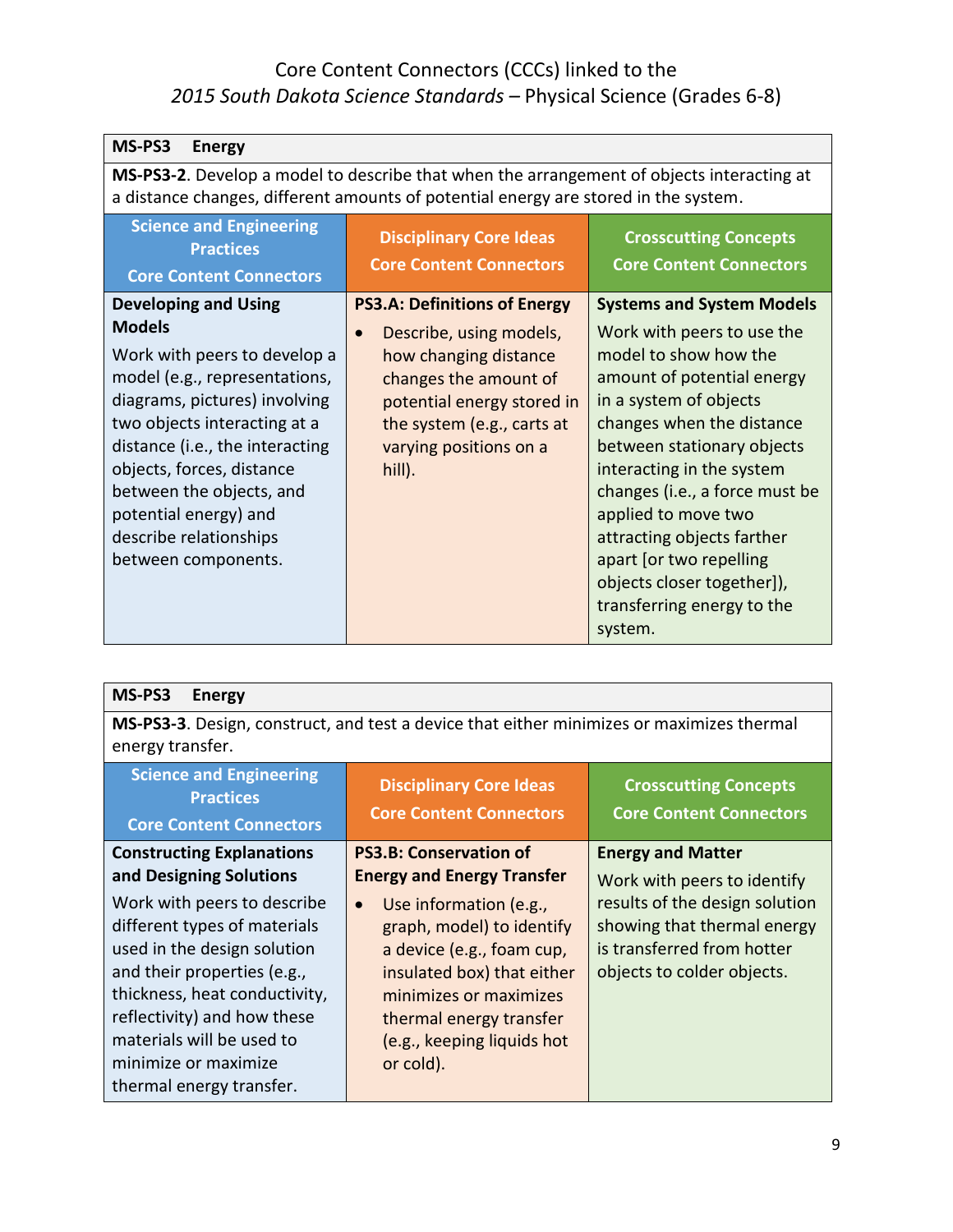| MS-PS3<br><b>Energy</b>                                                                                                                                                                                                                                                                                                                              |                                                                                                                                                                                                                  |                                                                                                                                                                                                                                                                                                                                                                                                                                  |
|------------------------------------------------------------------------------------------------------------------------------------------------------------------------------------------------------------------------------------------------------------------------------------------------------------------------------------------------------|------------------------------------------------------------------------------------------------------------------------------------------------------------------------------------------------------------------|----------------------------------------------------------------------------------------------------------------------------------------------------------------------------------------------------------------------------------------------------------------------------------------------------------------------------------------------------------------------------------------------------------------------------------|
| MS-PS3-2. Develop a model to describe that when the arrangement of objects interacting at<br>a distance changes, different amounts of potential energy are stored in the system.                                                                                                                                                                     |                                                                                                                                                                                                                  |                                                                                                                                                                                                                                                                                                                                                                                                                                  |
| <b>Science and Engineering</b><br><b>Practices</b><br><b>Core Content Connectors</b>                                                                                                                                                                                                                                                                 | <b>Disciplinary Core Ideas</b><br><b>Core Content Connectors</b>                                                                                                                                                 | <b>Crosscutting Concepts</b><br><b>Core Content Connectors</b>                                                                                                                                                                                                                                                                                                                                                                   |
| <b>Developing and Using</b><br><b>Models</b><br>Work with peers to develop a<br>model (e.g., representations,<br>diagrams, pictures) involving<br>two objects interacting at a<br>distance (i.e., the interacting<br>objects, forces, distance<br>between the objects, and<br>potential energy) and<br>describe relationships<br>between components. | <b>PS3.A: Definitions of Energy</b><br>Describe, using models,<br>how changing distance<br>changes the amount of<br>potential energy stored in<br>the system (e.g., carts at<br>varying positions on a<br>hill). | <b>Systems and System Models</b><br>Work with peers to use the<br>model to show how the<br>amount of potential energy<br>in a system of objects<br>changes when the distance<br>between stationary objects<br>interacting in the system<br>changes (i.e., a force must be<br>applied to move two<br>attracting objects farther<br>apart [or two repelling<br>objects closer together]),<br>transferring energy to the<br>system. |

**MS-PS3-3**. Design, construct, and test a device that either minimizes or maximizes thermal energy transfer.

| <b>Science and Engineering</b><br><b>Practices</b><br><b>Core Content Connectors</b>                                                                                                                                                                                       | <b>Disciplinary Core Ideas</b><br><b>Core Content Connectors</b>                                                                                                                                                            | <b>Crosscutting Concepts</b><br><b>Core Content Connectors</b>                                                                                           |
|----------------------------------------------------------------------------------------------------------------------------------------------------------------------------------------------------------------------------------------------------------------------------|-----------------------------------------------------------------------------------------------------------------------------------------------------------------------------------------------------------------------------|----------------------------------------------------------------------------------------------------------------------------------------------------------|
| <b>Constructing Explanations</b><br>and Designing Solutions                                                                                                                                                                                                                | <b>PS3.B: Conservation of</b><br><b>Energy and Energy Transfer</b>                                                                                                                                                          | <b>Energy and Matter</b>                                                                                                                                 |
| Work with peers to describe<br>different types of materials<br>used in the design solution<br>and their properties (e.g.,<br>thickness, heat conductivity,<br>reflectivity) and how these<br>materials will be used to<br>minimize or maximize<br>thermal energy transfer. | Use information (e.g.,<br>$\bullet$<br>graph, model) to identify<br>a device (e.g., foam cup,<br>insulated box) that either<br>minimizes or maximizes<br>thermal energy transfer<br>(e.g., keeping liquids hot<br>or cold). | Work with peers to identify<br>results of the design solution<br>showing that thermal energy<br>is transferred from hotter<br>objects to colder objects. |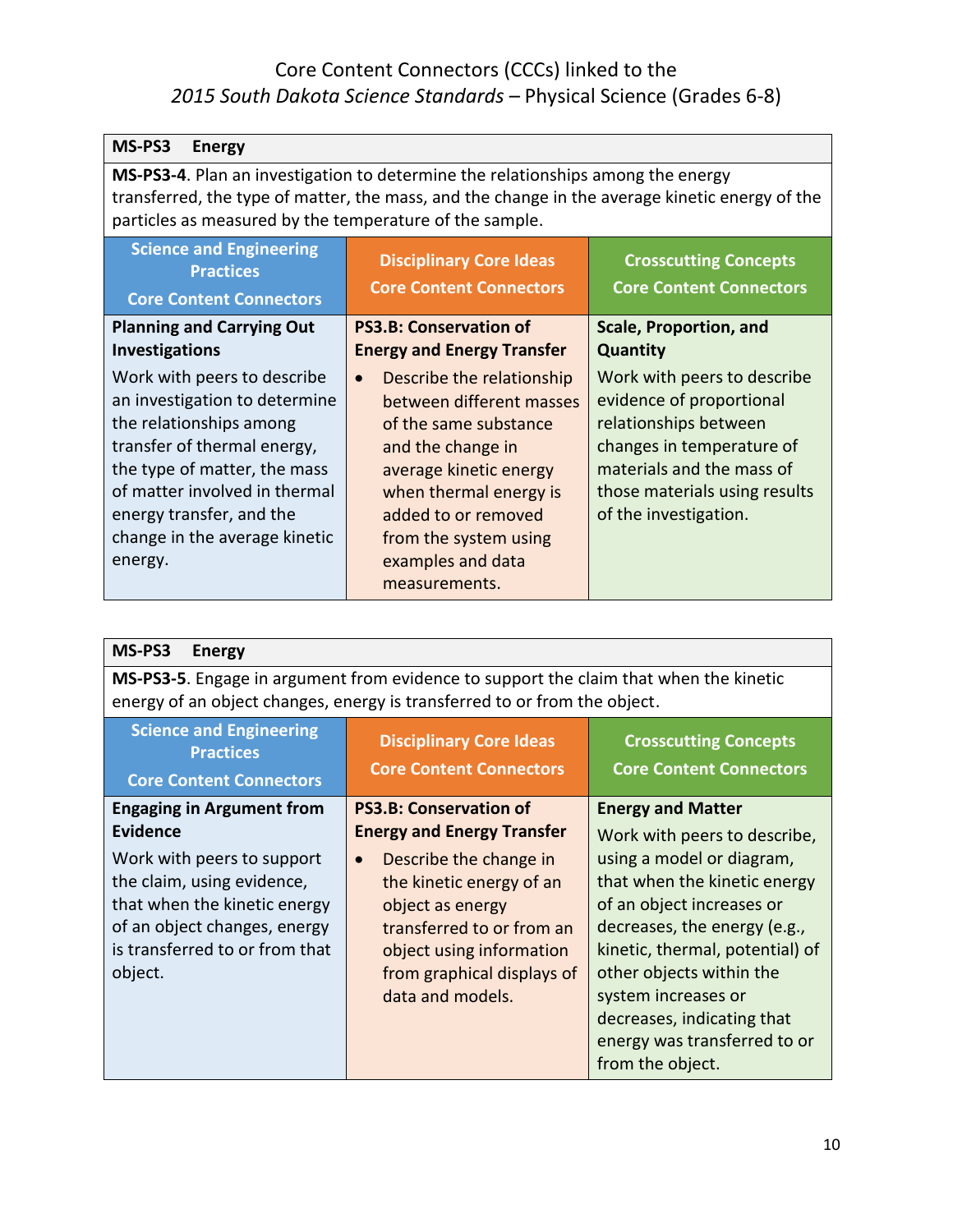| MS-PS3<br><b>Energy</b>                                                                                                                                                                                                                                         |                                                                                                                                                                                                                                                            |                                                                                                                                                                                                      |
|-----------------------------------------------------------------------------------------------------------------------------------------------------------------------------------------------------------------------------------------------------------------|------------------------------------------------------------------------------------------------------------------------------------------------------------------------------------------------------------------------------------------------------------|------------------------------------------------------------------------------------------------------------------------------------------------------------------------------------------------------|
| MS-PS3-4. Plan an investigation to determine the relationships among the energy<br>transferred, the type of matter, the mass, and the change in the average kinetic energy of the<br>particles as measured by the temperature of the sample.                    |                                                                                                                                                                                                                                                            |                                                                                                                                                                                                      |
| <b>Science and Engineering</b><br><b>Practices</b><br><b>Core Content Connectors</b>                                                                                                                                                                            | <b>Disciplinary Core Ideas</b><br><b>Core Content Connectors</b>                                                                                                                                                                                           | <b>Crosscutting Concepts</b><br><b>Core Content Connectors</b>                                                                                                                                       |
| <b>Planning and Carrying Out</b><br><b>Investigations</b>                                                                                                                                                                                                       | <b>PS3.B: Conservation of</b><br><b>Energy and Energy Transfer</b>                                                                                                                                                                                         | <b>Scale, Proportion, and</b><br><b>Quantity</b>                                                                                                                                                     |
| Work with peers to describe<br>an investigation to determine<br>the relationships among<br>transfer of thermal energy,<br>the type of matter, the mass<br>of matter involved in thermal<br>energy transfer, and the<br>change in the average kinetic<br>energy. | Describe the relationship<br>$\bullet$<br>between different masses<br>of the same substance<br>and the change in<br>average kinetic energy<br>when thermal energy is<br>added to or removed<br>from the system using<br>examples and data<br>measurements. | Work with peers to describe<br>evidence of proportional<br>relationships between<br>changes in temperature of<br>materials and the mass of<br>those materials using results<br>of the investigation. |

| MS-PS3<br><b>Energy</b>                                                                                                                                                                                                      |                                                                                                                                                                                                                                                                      |                                                                                                                                                                                                                                                                                                                                                            |
|------------------------------------------------------------------------------------------------------------------------------------------------------------------------------------------------------------------------------|----------------------------------------------------------------------------------------------------------------------------------------------------------------------------------------------------------------------------------------------------------------------|------------------------------------------------------------------------------------------------------------------------------------------------------------------------------------------------------------------------------------------------------------------------------------------------------------------------------------------------------------|
| MS-PS3-5. Engage in argument from evidence to support the claim that when the kinetic<br>energy of an object changes, energy is transferred to or from the object.                                                           |                                                                                                                                                                                                                                                                      |                                                                                                                                                                                                                                                                                                                                                            |
| <b>Science and Engineering</b><br><b>Practices</b><br><b>Core Content Connectors</b>                                                                                                                                         | <b>Disciplinary Core Ideas</b><br><b>Core Content Connectors</b>                                                                                                                                                                                                     | <b>Crosscutting Concepts</b><br><b>Core Content Connectors</b>                                                                                                                                                                                                                                                                                             |
| <b>Engaging in Argument from</b><br><b>Evidence</b><br>Work with peers to support<br>the claim, using evidence,<br>that when the kinetic energy<br>of an object changes, energy<br>is transferred to or from that<br>object. | <b>PS3.B: Conservation of</b><br><b>Energy and Energy Transfer</b><br>Describe the change in<br>$\bullet$<br>the kinetic energy of an<br>object as energy<br>transferred to or from an<br>object using information<br>from graphical displays of<br>data and models. | <b>Energy and Matter</b><br>Work with peers to describe,<br>using a model or diagram,<br>that when the kinetic energy<br>of an object increases or<br>decreases, the energy (e.g.,<br>kinetic, thermal, potential) of<br>other objects within the<br>system increases or<br>decreases, indicating that<br>energy was transferred to or<br>from the object. |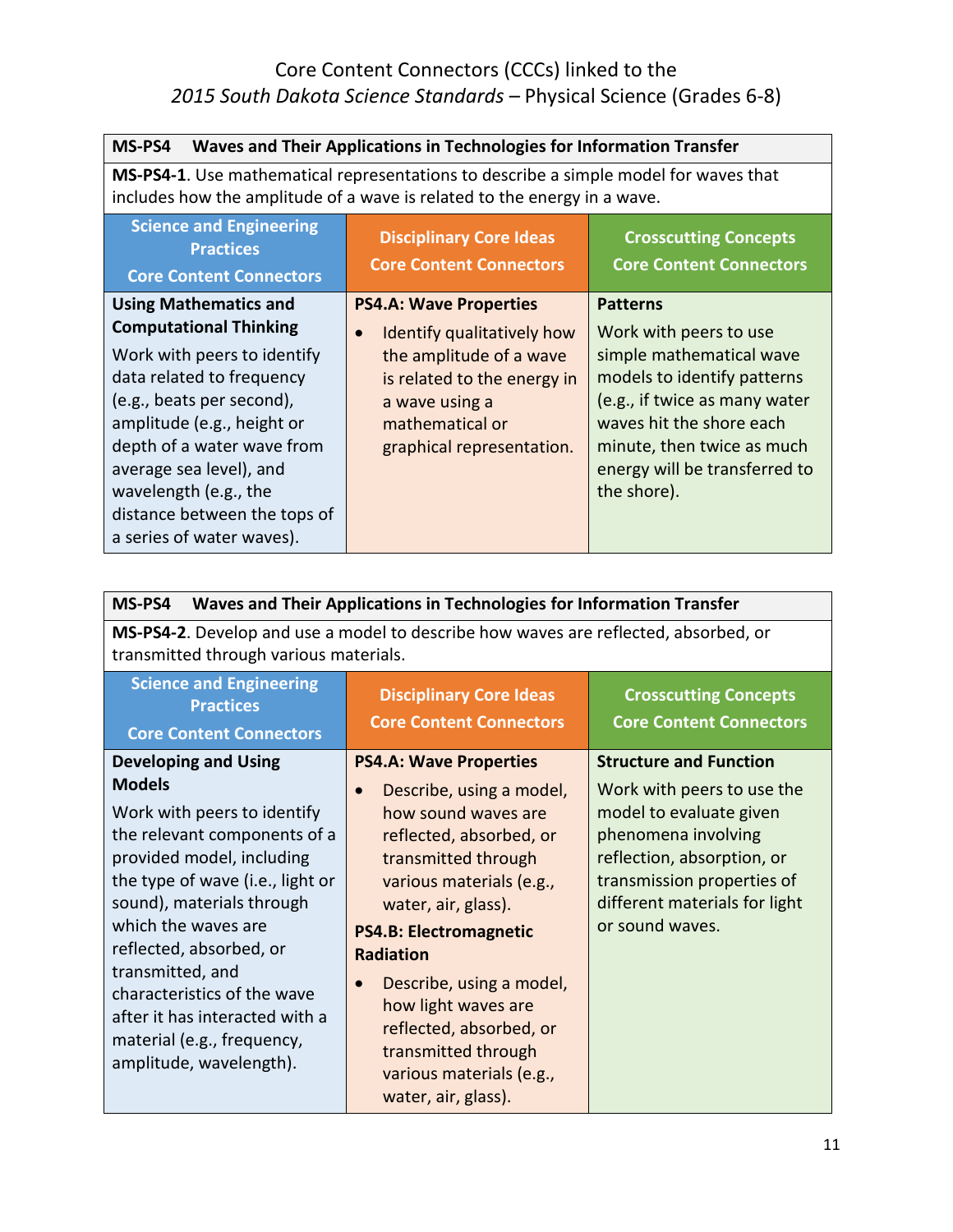| MS-PS4<br>Waves and Their Applications in Technologies for Information Transfer                                                                                                                                                                                                                                                     |                                                                                                                                                                                                      |                                                                                                                                                                                                                                                 |
|-------------------------------------------------------------------------------------------------------------------------------------------------------------------------------------------------------------------------------------------------------------------------------------------------------------------------------------|------------------------------------------------------------------------------------------------------------------------------------------------------------------------------------------------------|-------------------------------------------------------------------------------------------------------------------------------------------------------------------------------------------------------------------------------------------------|
| MS-PS4-1. Use mathematical representations to describe a simple model for waves that<br>includes how the amplitude of a wave is related to the energy in a wave.                                                                                                                                                                    |                                                                                                                                                                                                      |                                                                                                                                                                                                                                                 |
| <b>Science and Engineering</b><br><b>Practices</b><br><b>Core Content Connectors</b>                                                                                                                                                                                                                                                | <b>Disciplinary Core Ideas</b><br><b>Core Content Connectors</b>                                                                                                                                     | <b>Crosscutting Concepts</b><br><b>Core Content Connectors</b>                                                                                                                                                                                  |
| <b>Using Mathematics and</b><br><b>Computational Thinking</b><br>Work with peers to identify<br>data related to frequency<br>(e.g., beats per second),<br>amplitude (e.g., height or<br>depth of a water wave from<br>average sea level), and<br>wavelength (e.g., the<br>distance between the tops of<br>a series of water waves). | <b>PS4.A: Wave Properties</b><br>Identify qualitatively how<br>$\bullet$<br>the amplitude of a wave<br>is related to the energy in<br>a wave using a<br>mathematical or<br>graphical representation. | <b>Patterns</b><br>Work with peers to use<br>simple mathematical wave<br>models to identify patterns<br>(e.g., if twice as many water<br>waves hit the shore each<br>minute, then twice as much<br>energy will be transferred to<br>the shore). |

| MS-PS4<br>Waves and Their Applications in Technologies for Information Transfer                                                                                                                                                                                                                                                                                            |                                                                                                                                                                                                                                                                                                                                                                                |                                                                                                                                                                                              |
|----------------------------------------------------------------------------------------------------------------------------------------------------------------------------------------------------------------------------------------------------------------------------------------------------------------------------------------------------------------------------|--------------------------------------------------------------------------------------------------------------------------------------------------------------------------------------------------------------------------------------------------------------------------------------------------------------------------------------------------------------------------------|----------------------------------------------------------------------------------------------------------------------------------------------------------------------------------------------|
| MS-PS4-2. Develop and use a model to describe how waves are reflected, absorbed, or<br>transmitted through various materials.                                                                                                                                                                                                                                              |                                                                                                                                                                                                                                                                                                                                                                                |                                                                                                                                                                                              |
| <b>Science and Engineering</b><br><b>Practices</b><br><b>Core Content Connectors</b>                                                                                                                                                                                                                                                                                       | <b>Disciplinary Core Ideas</b><br><b>Core Content Connectors</b>                                                                                                                                                                                                                                                                                                               | <b>Crosscutting Concepts</b><br><b>Core Content Connectors</b>                                                                                                                               |
| <b>Developing and Using</b>                                                                                                                                                                                                                                                                                                                                                | <b>PS4.A: Wave Properties</b>                                                                                                                                                                                                                                                                                                                                                  | <b>Structure and Function</b>                                                                                                                                                                |
| <b>Models</b><br>Work with peers to identify<br>the relevant components of a<br>provided model, including<br>the type of wave (i.e., light or<br>sound), materials through<br>which the waves are<br>reflected, absorbed, or<br>transmitted, and<br>characteristics of the wave<br>after it has interacted with a<br>material (e.g., frequency,<br>amplitude, wavelength). | Describe, using a model,<br>how sound waves are<br>reflected, absorbed, or<br>transmitted through<br>various materials (e.g.,<br>water, air, glass).<br><b>PS4.B: Electromagnetic</b><br><b>Radiation</b><br>Describe, using a model,<br>$\bullet$<br>how light waves are<br>reflected, absorbed, or<br>transmitted through<br>various materials (e.g.,<br>water, air, glass). | Work with peers to use the<br>model to evaluate given<br>phenomena involving<br>reflection, absorption, or<br>transmission properties of<br>different materials for light<br>or sound waves. |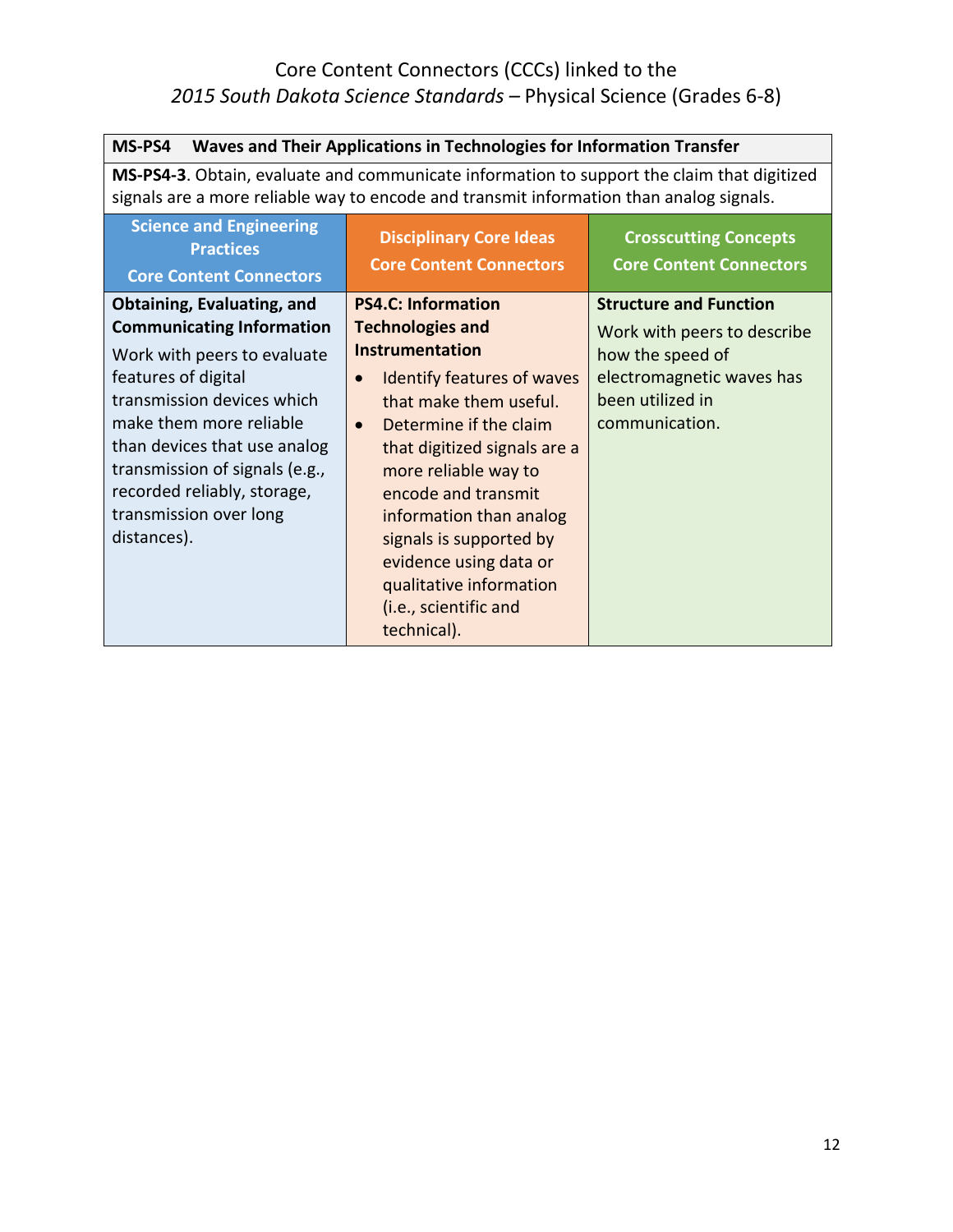| MS-PS4<br>Waves and Their Applications in Technologies for Information Transfer                                                                                                                                                                                                                                                |                                                                                                                                                                                                                                                                                                                                                                                                               |                                                                                                                                                     |
|--------------------------------------------------------------------------------------------------------------------------------------------------------------------------------------------------------------------------------------------------------------------------------------------------------------------------------|---------------------------------------------------------------------------------------------------------------------------------------------------------------------------------------------------------------------------------------------------------------------------------------------------------------------------------------------------------------------------------------------------------------|-----------------------------------------------------------------------------------------------------------------------------------------------------|
| MS-PS4-3. Obtain, evaluate and communicate information to support the claim that digitized<br>signals are a more reliable way to encode and transmit information than analog signals.                                                                                                                                          |                                                                                                                                                                                                                                                                                                                                                                                                               |                                                                                                                                                     |
| <b>Science and Engineering</b><br><b>Practices</b><br><b>Core Content Connectors</b>                                                                                                                                                                                                                                           | <b>Disciplinary Core Ideas</b><br><b>Core Content Connectors</b>                                                                                                                                                                                                                                                                                                                                              | <b>Crosscutting Concepts</b><br><b>Core Content Connectors</b>                                                                                      |
| <b>Obtaining, Evaluating, and</b><br><b>Communicating Information</b><br>Work with peers to evaluate<br>features of digital<br>transmission devices which<br>make them more reliable<br>than devices that use analog<br>transmission of signals (e.g.,<br>recorded reliably, storage,<br>transmission over long<br>distances). | <b>PS4.C: Information</b><br><b>Technologies and</b><br><b>Instrumentation</b><br>Identify features of waves<br>$\bullet$<br>that make them useful.<br>Determine if the claim<br>$\bullet$<br>that digitized signals are a<br>more reliable way to<br>encode and transmit<br>information than analog<br>signals is supported by<br>evidence using data or<br>qualitative information<br>(i.e., scientific and | <b>Structure and Function</b><br>Work with peers to describe<br>how the speed of<br>electromagnetic waves has<br>been utilized in<br>communication. |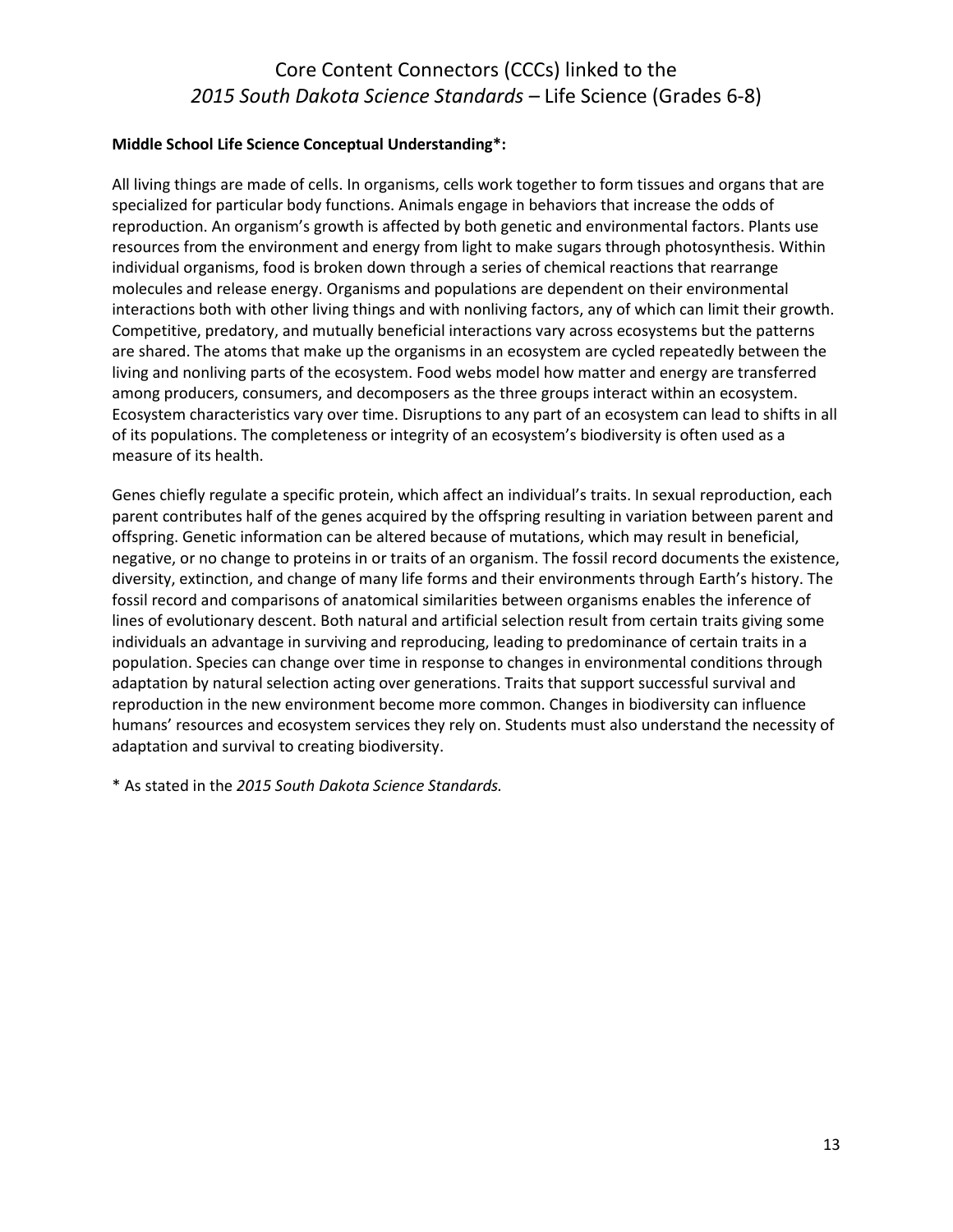#### **Middle School Life Science Conceptual Understanding\*:**

All living things are made of cells. In organisms, cells work together to form tissues and organs that are specialized for particular body functions. Animals engage in behaviors that increase the odds of reproduction. An organism's growth is affected by both genetic and environmental factors. Plants use resources from the environment and energy from light to make sugars through photosynthesis. Within individual organisms, food is broken down through a series of chemical reactions that rearrange molecules and release energy. Organisms and populations are dependent on their environmental interactions both with other living things and with nonliving factors, any of which can limit their growth. Competitive, predatory, and mutually beneficial interactions vary across ecosystems but the patterns are shared. The atoms that make up the organisms in an ecosystem are cycled repeatedly between the living and nonliving parts of the ecosystem. Food webs model how matter and energy are transferred among producers, consumers, and decomposers as the three groups interact within an ecosystem. Ecosystem characteristics vary over time. Disruptions to any part of an ecosystem can lead to shifts in all of its populations. The completeness or integrity of an ecosystem's biodiversity is often used as a measure of its health.

Genes chiefly regulate a specific protein, which affect an individual's traits. In sexual reproduction, each parent contributes half of the genes acquired by the offspring resulting in variation between parent and offspring. Genetic information can be altered because of mutations, which may result in beneficial, negative, or no change to proteins in or traits of an organism. The fossil record documents the existence, diversity, extinction, and change of many life forms and their environments through Earth's history. The fossil record and comparisons of anatomical similarities between organisms enables the inference of lines of evolutionary descent. Both natural and artificial selection result from certain traits giving some individuals an advantage in surviving and reproducing, leading to predominance of certain traits in a population. Species can change over time in response to changes in environmental conditions through adaptation by natural selection acting over generations. Traits that support successful survival and reproduction in the new environment become more common. Changes in biodiversity can influence humans' resources and ecosystem services they rely on. Students must also understand the necessity of adaptation and survival to creating biodiversity.

\* As stated in the *2015 South Dakota Science Standards.*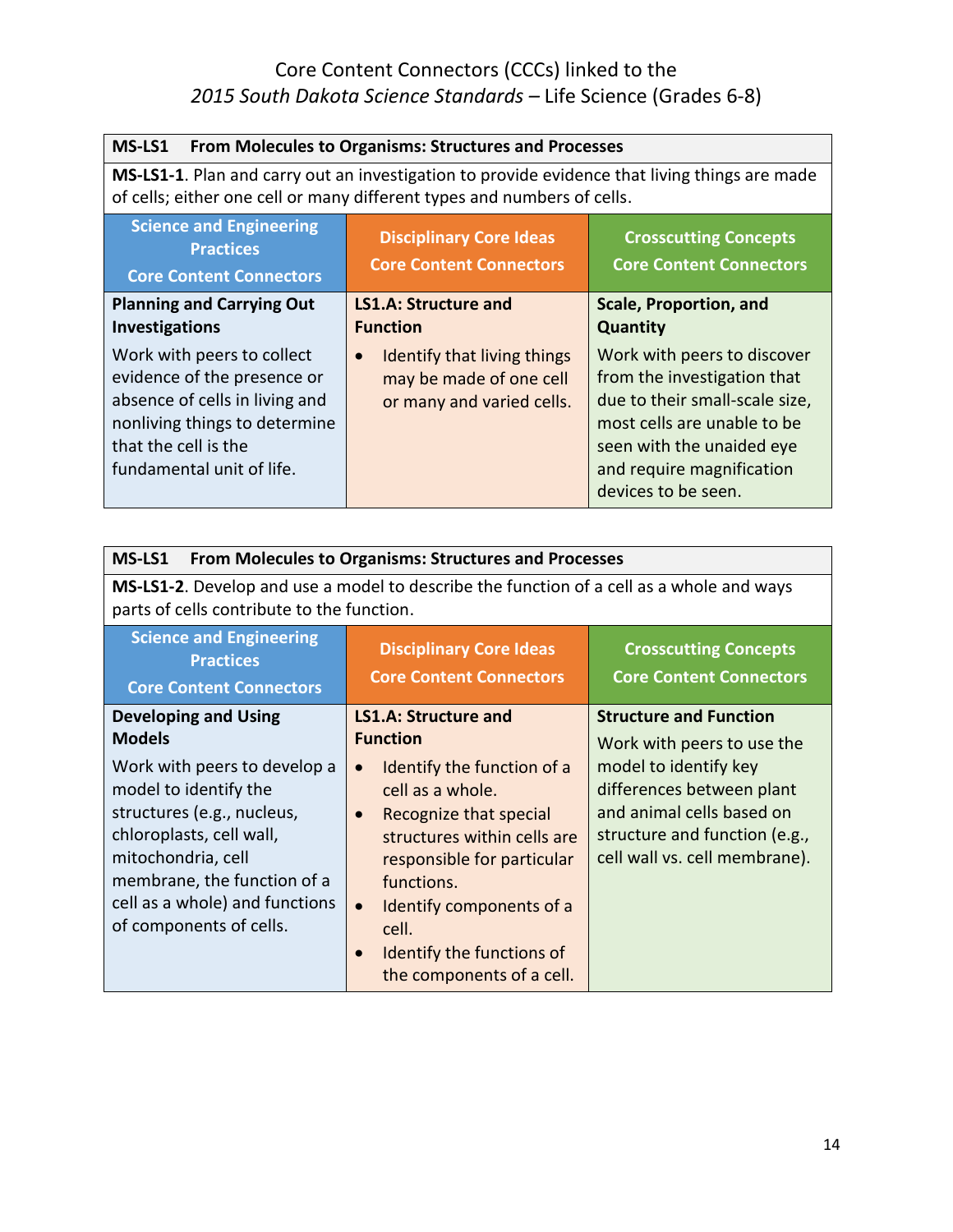| MS-LS1<br><b>From Molecules to Organisms: Structures and Processes</b>                                                                                                                                                     |                                                                                                  |                                                                                                                                                                                                              |
|----------------------------------------------------------------------------------------------------------------------------------------------------------------------------------------------------------------------------|--------------------------------------------------------------------------------------------------|--------------------------------------------------------------------------------------------------------------------------------------------------------------------------------------------------------------|
| MS-LS1-1. Plan and carry out an investigation to provide evidence that living things are made<br>of cells; either one cell or many different types and numbers of cells.                                                   |                                                                                                  |                                                                                                                                                                                                              |
| <b>Science and Engineering</b><br><b>Disciplinary Core Ideas</b><br><b>Crosscutting Concepts</b><br><b>Practices</b><br><b>Core Content Connectors</b><br><b>Core Content Connectors</b><br><b>Core Content Connectors</b> |                                                                                                  |                                                                                                                                                                                                              |
| <b>Planning and Carrying Out</b><br><b>Investigations</b>                                                                                                                                                                  | <b>LS1.A: Structure and</b><br><b>Function</b>                                                   | <b>Scale, Proportion, and</b><br><b>Quantity</b>                                                                                                                                                             |
| Work with peers to collect<br>evidence of the presence or<br>absence of cells in living and<br>nonliving things to determine<br>that the cell is the<br>fundamental unit of life.                                          | Identify that living things<br>$\bullet$<br>may be made of one cell<br>or many and varied cells. | Work with peers to discover<br>from the investigation that<br>due to their small-scale size,<br>most cells are unable to be<br>seen with the unaided eye<br>and require magnification<br>devices to be seen. |

| MS-LS1<br><b>From Molecules to Organisms: Structures and Processes</b>                                                                        |                                                                    |                                                                |
|-----------------------------------------------------------------------------------------------------------------------------------------------|--------------------------------------------------------------------|----------------------------------------------------------------|
| <b>MS-LS1-2.</b> Develop and use a model to describe the function of a cell as a whole and ways<br>parts of cells contribute to the function. |                                                                    |                                                                |
| <b>Science and Engineering</b><br><b>Practices</b><br><b>Core Content Connectors</b>                                                          | <b>Disciplinary Core Ideas</b><br><b>Core Content Connectors</b>   | <b>Crosscutting Concepts</b><br><b>Core Content Connectors</b> |
| <b>Developing and Using</b>                                                                                                                   | LS1.A: Structure and                                               | <b>Structure and Function</b>                                  |
| <b>Models</b>                                                                                                                                 | <b>Function</b>                                                    | Work with peers to use the                                     |
| Work with peers to develop a                                                                                                                  | Identify the function of a<br>$\bullet$                            | model to identify key                                          |
| model to identify the                                                                                                                         | cell as a whole.                                                   | differences between plant                                      |
| structures (e.g., nucleus,<br>chloroplasts, cell wall,                                                                                        | Recognize that special<br>$\bullet$<br>structures within cells are | and animal cells based on<br>structure and function (e.g.,     |
| mitochondria, cell                                                                                                                            | responsible for particular                                         | cell wall vs. cell membrane).                                  |
| membrane, the function of a                                                                                                                   | functions.                                                         |                                                                |
| cell as a whole) and functions                                                                                                                | Identify components of a<br>$\bullet$                              |                                                                |
| of components of cells.                                                                                                                       | cell.                                                              |                                                                |
|                                                                                                                                               | Identify the functions of                                          |                                                                |
|                                                                                                                                               | the components of a cell.                                          |                                                                |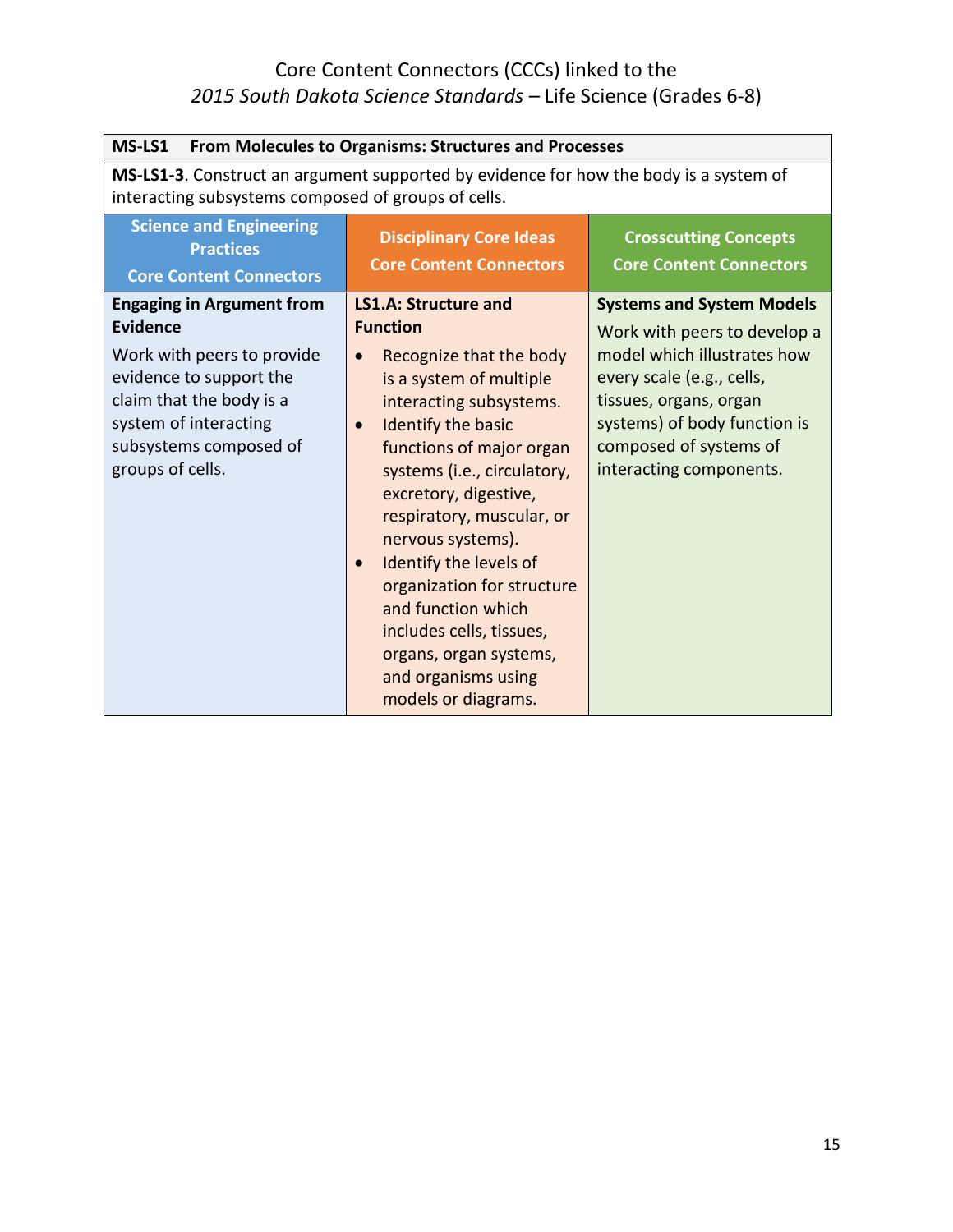| MS-LS1<br>From Molecules to Organisms: Structures and Processes                                                                                                                                          |                                                                                                                                                                                                                                                                                                                                                                                                                                                                                                                      |                                                                                                                                                                                                                                             |
|----------------------------------------------------------------------------------------------------------------------------------------------------------------------------------------------------------|----------------------------------------------------------------------------------------------------------------------------------------------------------------------------------------------------------------------------------------------------------------------------------------------------------------------------------------------------------------------------------------------------------------------------------------------------------------------------------------------------------------------|---------------------------------------------------------------------------------------------------------------------------------------------------------------------------------------------------------------------------------------------|
| MS-LS1-3. Construct an argument supported by evidence for how the body is a system of<br>interacting subsystems composed of groups of cells.                                                             |                                                                                                                                                                                                                                                                                                                                                                                                                                                                                                                      |                                                                                                                                                                                                                                             |
| <b>Science and Engineering</b><br><b>Practices</b><br><b>Core Content Connectors</b>                                                                                                                     | <b>Disciplinary Core Ideas</b><br><b>Core Content Connectors</b>                                                                                                                                                                                                                                                                                                                                                                                                                                                     | <b>Crosscutting Concepts</b><br><b>Core Content Connectors</b>                                                                                                                                                                              |
| <b>Engaging in Argument from</b><br>Evidence<br>Work with peers to provide<br>evidence to support the<br>claim that the body is a<br>system of interacting<br>subsystems composed of<br>groups of cells. | <b>LS1.A: Structure and</b><br><b>Function</b><br>Recognize that the body<br>$\bullet$<br>is a system of multiple<br>interacting subsystems.<br>Identify the basic<br>$\bullet$<br>functions of major organ<br>systems (i.e., circulatory,<br>excretory, digestive,<br>respiratory, muscular, or<br>nervous systems).<br>Identify the levels of<br>$\bullet$<br>organization for structure<br>and function which<br>includes cells, tissues,<br>organs, organ systems,<br>and organisms using<br>models or diagrams. | <b>Systems and System Models</b><br>Work with peers to develop a<br>model which illustrates how<br>every scale (e.g., cells,<br>tissues, organs, organ<br>systems) of body function is<br>composed of systems of<br>interacting components. |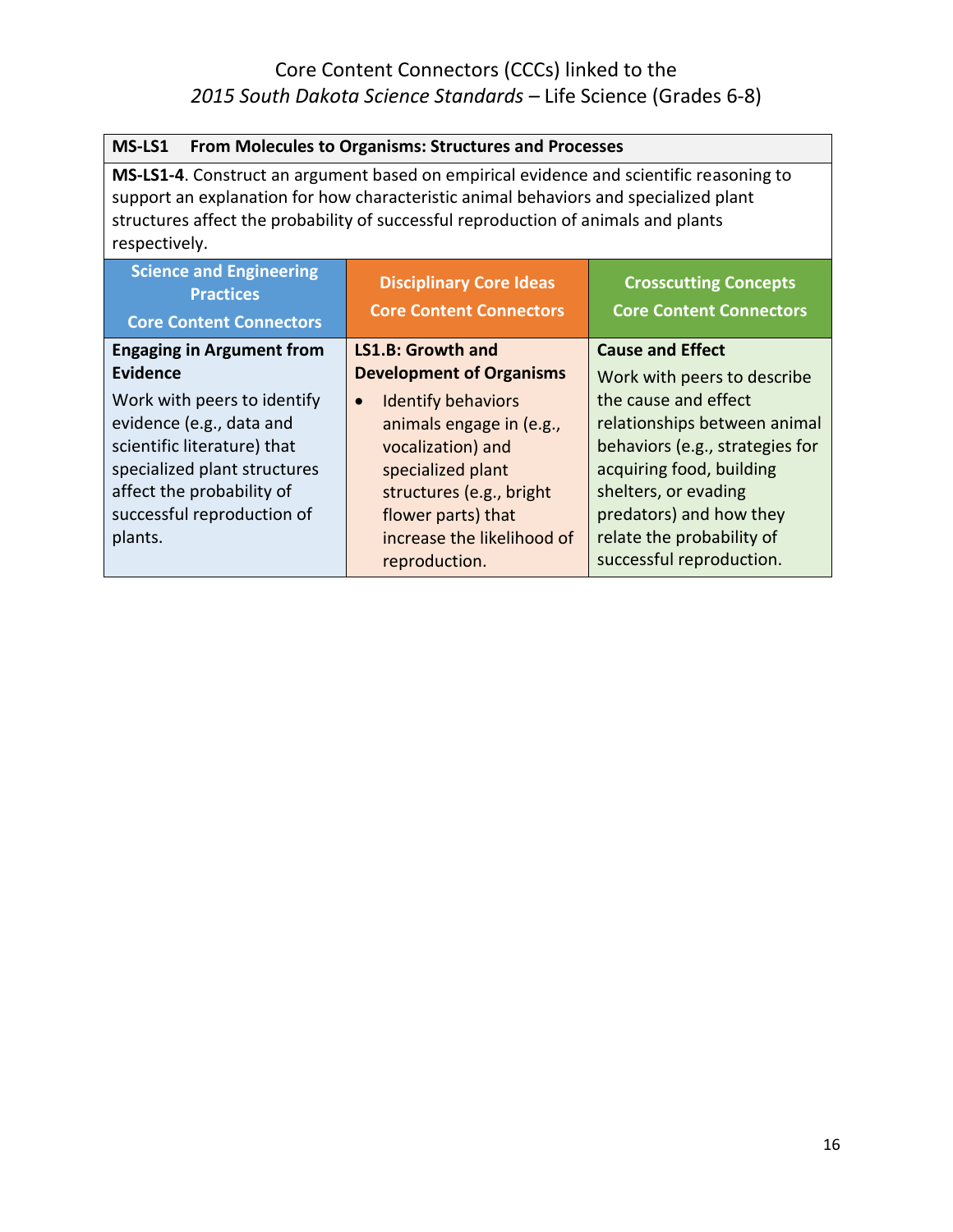| From Molecules to Organisms: Structures and Processes<br>MS-LS1                                                                                                                                                                                                                        |                                        |                                 |
|----------------------------------------------------------------------------------------------------------------------------------------------------------------------------------------------------------------------------------------------------------------------------------------|----------------------------------------|---------------------------------|
| MS-LS1-4. Construct an argument based on empirical evidence and scientific reasoning to<br>support an explanation for how characteristic animal behaviors and specialized plant<br>structures affect the probability of successful reproduction of animals and plants<br>respectively. |                                        |                                 |
| <b>Science and Engineering</b><br><b>Disciplinary Core Ideas</b><br><b>Crosscutting Concepts</b><br><b>Practices</b><br><b>Core Content Connectors</b><br><b>Core Content Connectors</b><br><b>Core Content Connectors</b>                                                             |                                        |                                 |
| <b>Engaging in Argument from</b>                                                                                                                                                                                                                                                       | <b>LS1.B: Growth and</b>               | <b>Cause and Effect</b>         |
| <b>Evidence</b>                                                                                                                                                                                                                                                                        | <b>Development of Organisms</b>        | Work with peers to describe     |
| Work with peers to identify                                                                                                                                                                                                                                                            | <b>Identify behaviors</b><br>$\bullet$ | the cause and effect            |
| evidence (e.g., data and                                                                                                                                                                                                                                                               | animals engage in (e.g.,               | relationships between animal    |
| scientific literature) that                                                                                                                                                                                                                                                            | vocalization) and                      | behaviors (e.g., strategies for |
| specialized plant structures                                                                                                                                                                                                                                                           | specialized plant                      | acquiring food, building        |
| affect the probability of                                                                                                                                                                                                                                                              | structures (e.g., bright               | shelters, or evading            |
| successful reproduction of                                                                                                                                                                                                                                                             | flower parts) that                     | predators) and how they         |
| plants.                                                                                                                                                                                                                                                                                | increase the likelihood of             | relate the probability of       |
|                                                                                                                                                                                                                                                                                        | reproduction.                          | successful reproduction.        |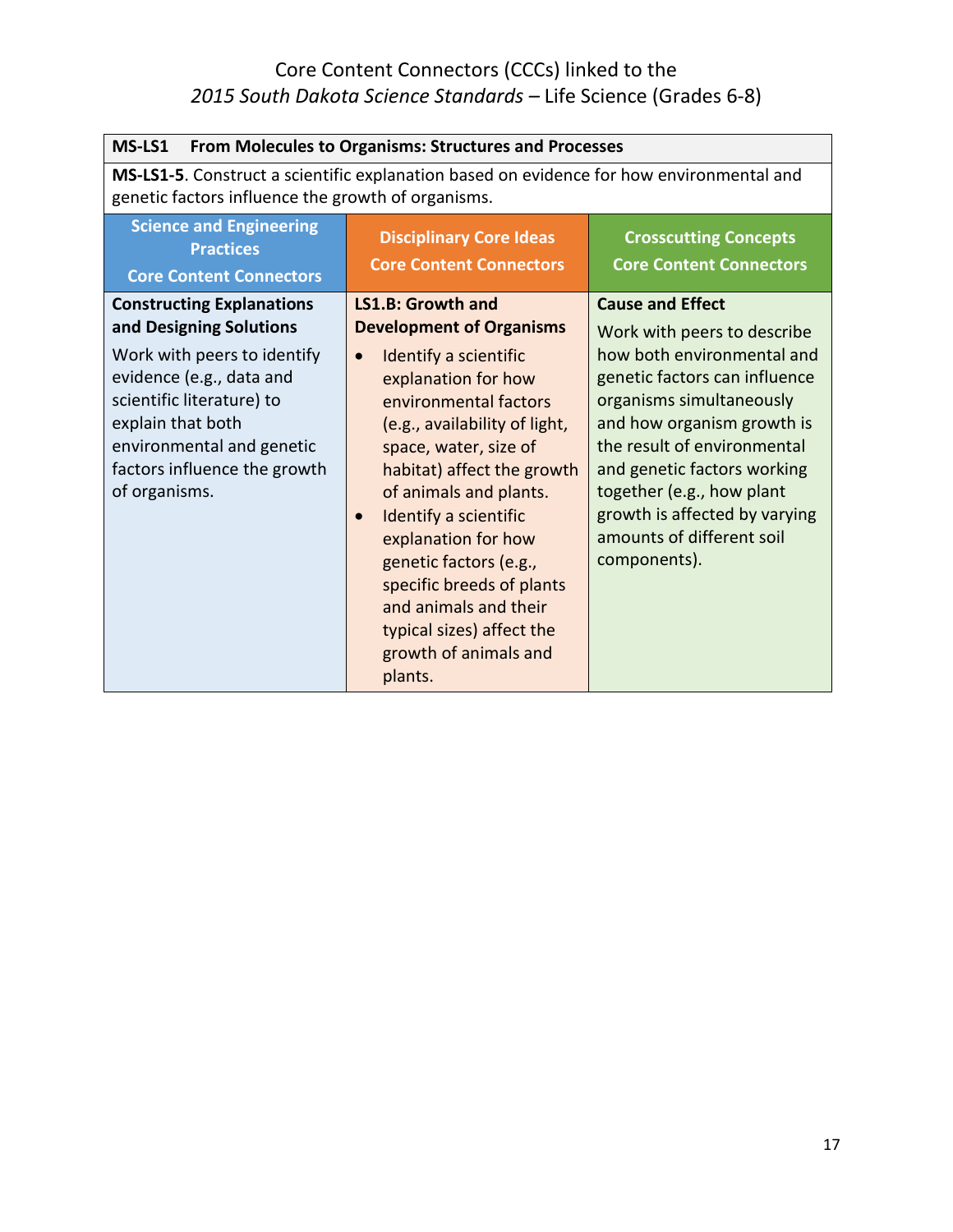| MS-LS1<br>From Molecules to Organisms: Structures and Processes                                                                                                                                                                                        |                                                                                                                                                                                                                                                                                                                                                                                                                                                                                   |                                                                                                                                                                                                                                                                                                                                                          |
|--------------------------------------------------------------------------------------------------------------------------------------------------------------------------------------------------------------------------------------------------------|-----------------------------------------------------------------------------------------------------------------------------------------------------------------------------------------------------------------------------------------------------------------------------------------------------------------------------------------------------------------------------------------------------------------------------------------------------------------------------------|----------------------------------------------------------------------------------------------------------------------------------------------------------------------------------------------------------------------------------------------------------------------------------------------------------------------------------------------------------|
| MS-LS1-5. Construct a scientific explanation based on evidence for how environmental and<br>genetic factors influence the growth of organisms.                                                                                                         |                                                                                                                                                                                                                                                                                                                                                                                                                                                                                   |                                                                                                                                                                                                                                                                                                                                                          |
| <b>Science and Engineering</b><br><b>Practices</b><br><b>Core Content Connectors</b>                                                                                                                                                                   | <b>Disciplinary Core Ideas</b><br><b>Core Content Connectors</b>                                                                                                                                                                                                                                                                                                                                                                                                                  | <b>Crosscutting Concepts</b><br><b>Core Content Connectors</b>                                                                                                                                                                                                                                                                                           |
| <b>Constructing Explanations</b><br>and Designing Solutions<br>Work with peers to identify<br>evidence (e.g., data and<br>scientific literature) to<br>explain that both<br>environmental and genetic<br>factors influence the growth<br>of organisms. | <b>LS1.B: Growth and</b><br><b>Development of Organisms</b><br>Identify a scientific<br>$\bullet$<br>explanation for how<br>environmental factors<br>(e.g., availability of light,<br>space, water, size of<br>habitat) affect the growth<br>of animals and plants.<br>Identify a scientific<br>$\bullet$<br>explanation for how<br>genetic factors (e.g.,<br>specific breeds of plants<br>and animals and their<br>typical sizes) affect the<br>growth of animals and<br>plants. | <b>Cause and Effect</b><br>Work with peers to describe<br>how both environmental and<br>genetic factors can influence<br>organisms simultaneously<br>and how organism growth is<br>the result of environmental<br>and genetic factors working<br>together (e.g., how plant<br>growth is affected by varying<br>amounts of different soil<br>components). |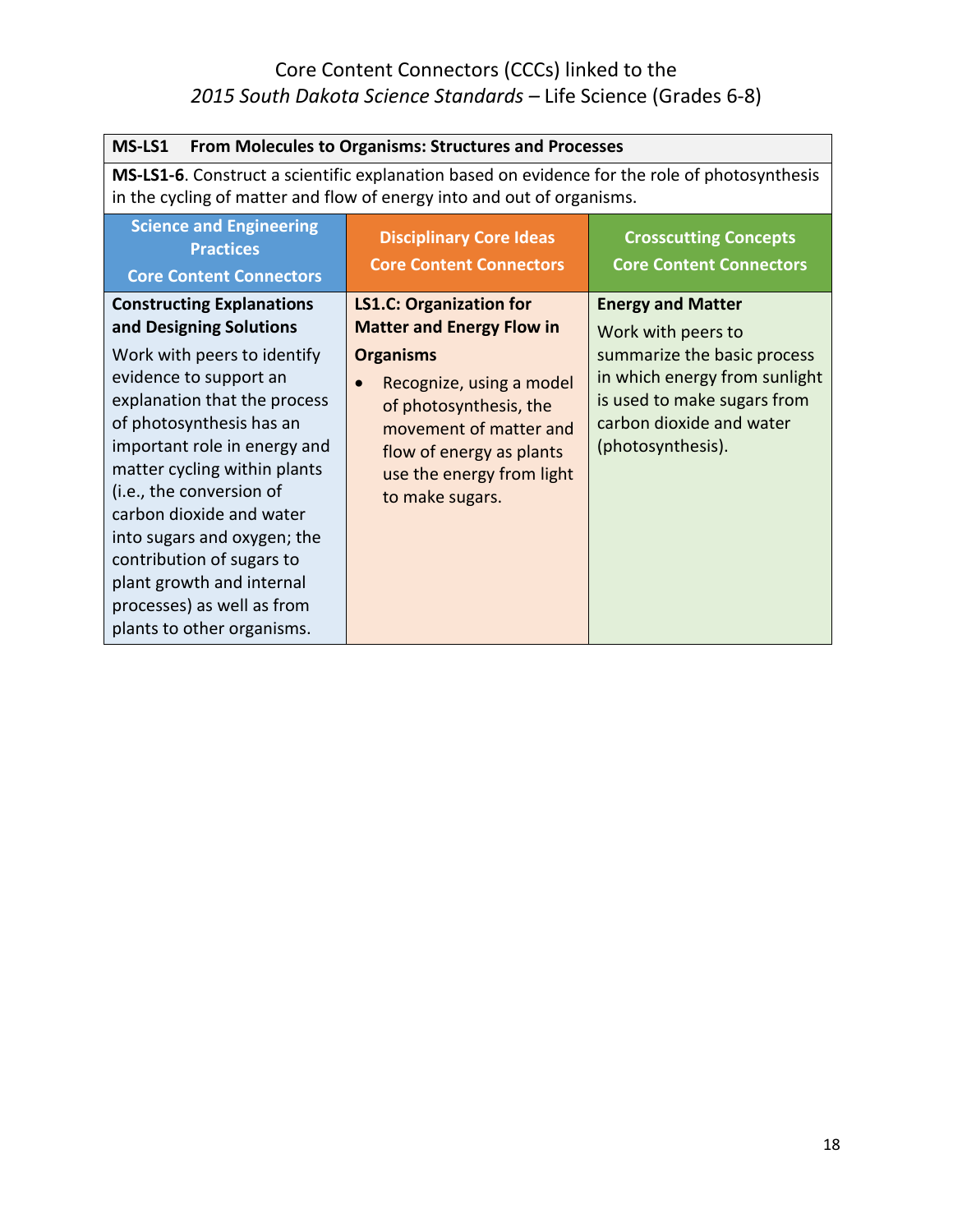| MS-LS1<br><b>From Molecules to Organisms: Structures and Processes</b>                                                                                                                                                                                                                                                                                                                         |                                                                                                                                                                                           |                                                                                                                                              |
|------------------------------------------------------------------------------------------------------------------------------------------------------------------------------------------------------------------------------------------------------------------------------------------------------------------------------------------------------------------------------------------------|-------------------------------------------------------------------------------------------------------------------------------------------------------------------------------------------|----------------------------------------------------------------------------------------------------------------------------------------------|
| <b>MS-LS1-6.</b> Construct a scientific explanation based on evidence for the role of photosynthesis<br>in the cycling of matter and flow of energy into and out of organisms.                                                                                                                                                                                                                 |                                                                                                                                                                                           |                                                                                                                                              |
| <b>Science and Engineering</b><br><b>Practices</b><br><b>Core Content Connectors</b>                                                                                                                                                                                                                                                                                                           | <b>Disciplinary Core Ideas</b><br><b>Core Content Connectors</b>                                                                                                                          | <b>Crosscutting Concepts</b><br><b>Core Content Connectors</b>                                                                               |
| <b>Constructing Explanations</b><br>and Designing Solutions                                                                                                                                                                                                                                                                                                                                    | <b>LS1.C: Organization for</b><br><b>Matter and Energy Flow in</b>                                                                                                                        | <b>Energy and Matter</b><br>Work with peers to                                                                                               |
| Work with peers to identify<br>evidence to support an<br>explanation that the process<br>of photosynthesis has an<br>important role in energy and<br>matter cycling within plants<br>(i.e., the conversion of<br>carbon dioxide and water<br>into sugars and oxygen; the<br>contribution of sugars to<br>plant growth and internal<br>processes) as well as from<br>plants to other organisms. | <b>Organisms</b><br>Recognize, using a model<br>$\bullet$<br>of photosynthesis, the<br>movement of matter and<br>flow of energy as plants<br>use the energy from light<br>to make sugars. | summarize the basic process<br>in which energy from sunlight<br>is used to make sugars from<br>carbon dioxide and water<br>(photosynthesis). |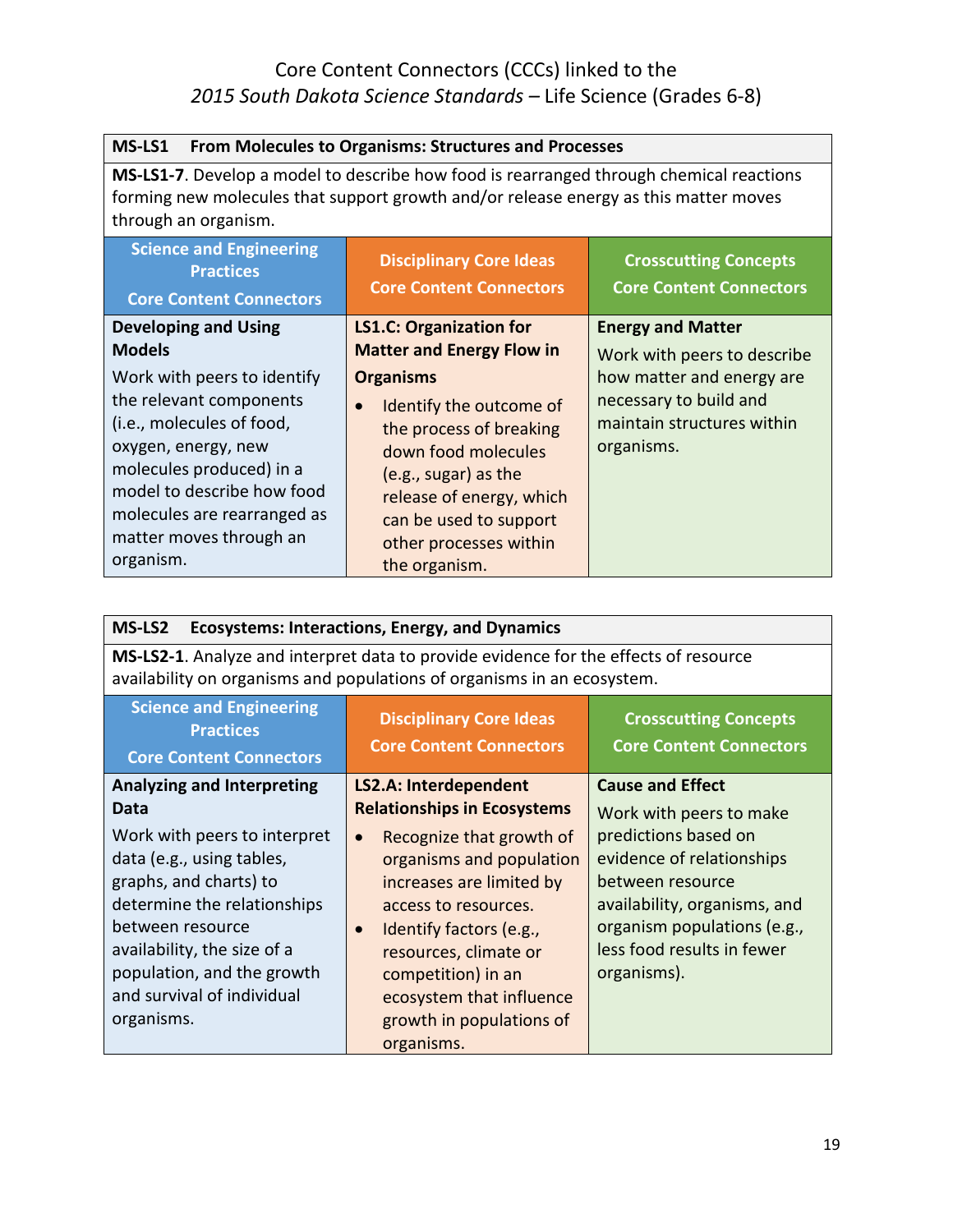| MS-LS1<br>From Molecules to Organisms: Structures and Processes                                                                                                                                                                                     |                                                                                                                                                                                                                                                   |                                                                                                                                                            |
|-----------------------------------------------------------------------------------------------------------------------------------------------------------------------------------------------------------------------------------------------------|---------------------------------------------------------------------------------------------------------------------------------------------------------------------------------------------------------------------------------------------------|------------------------------------------------------------------------------------------------------------------------------------------------------------|
| <b>MS-LS1-7.</b> Develop a model to describe how food is rearranged through chemical reactions<br>forming new molecules that support growth and/or release energy as this matter moves<br>through an organism.                                      |                                                                                                                                                                                                                                                   |                                                                                                                                                            |
| <b>Science and Engineering</b><br><b>Practices</b><br><b>Core Content Connectors</b>                                                                                                                                                                | <b>Disciplinary Core Ideas</b><br><b>Core Content Connectors</b>                                                                                                                                                                                  | <b>Crosscutting Concepts</b><br><b>Core Content Connectors</b>                                                                                             |
| <b>Developing and Using</b><br><b>Models</b><br>Work with peers to identify<br>the relevant components<br>(i.e., molecules of food,<br>oxygen, energy, new<br>molecules produced) in a<br>model to describe how food<br>molecules are rearranged as | <b>LS1.C: Organization for</b><br><b>Matter and Energy Flow in</b><br><b>Organisms</b><br>Identify the outcome of<br>the process of breaking<br>down food molecules<br>(e.g., sugar) as the<br>release of energy, which<br>can be used to support | <b>Energy and Matter</b><br>Work with peers to describe<br>how matter and energy are<br>necessary to build and<br>maintain structures within<br>organisms. |
| matter moves through an<br>organism.                                                                                                                                                                                                                | other processes within<br>the organism.                                                                                                                                                                                                           |                                                                                                                                                            |

| MS-LS2<br><b>Ecosystems: Interactions, Energy, and Dynamics</b>                                                                                                                                                                                                                              |                                                                                                                                                                                                                                                                                                                                                   |                                                                                                                                                                                                                                         |
|----------------------------------------------------------------------------------------------------------------------------------------------------------------------------------------------------------------------------------------------------------------------------------------------|---------------------------------------------------------------------------------------------------------------------------------------------------------------------------------------------------------------------------------------------------------------------------------------------------------------------------------------------------|-----------------------------------------------------------------------------------------------------------------------------------------------------------------------------------------------------------------------------------------|
| MS-LS2-1. Analyze and interpret data to provide evidence for the effects of resource<br>availability on organisms and populations of organisms in an ecosystem.                                                                                                                              |                                                                                                                                                                                                                                                                                                                                                   |                                                                                                                                                                                                                                         |
| <b>Science and Engineering</b><br><b>Practices</b><br><b>Core Content Connectors</b>                                                                                                                                                                                                         | <b>Disciplinary Core Ideas</b><br><b>Core Content Connectors</b>                                                                                                                                                                                                                                                                                  | <b>Crosscutting Concepts</b><br><b>Core Content Connectors</b>                                                                                                                                                                          |
| <b>Analyzing and Interpreting</b><br>Data<br>Work with peers to interpret<br>data (e.g., using tables,<br>graphs, and charts) to<br>determine the relationships<br>between resource<br>availability, the size of a<br>population, and the growth<br>and survival of individual<br>organisms. | LS2.A: Interdependent<br><b>Relationships in Ecosystems</b><br>Recognize that growth of<br>$\bullet$<br>organisms and population<br>increases are limited by<br>access to resources.<br>Identify factors (e.g.,<br>$\bullet$<br>resources, climate or<br>competition) in an<br>ecosystem that influence<br>growth in populations of<br>organisms. | <b>Cause and Effect</b><br>Work with peers to make<br>predictions based on<br>evidence of relationships<br>between resource<br>availability, organisms, and<br>organism populations (e.g.,<br>less food results in fewer<br>organisms). |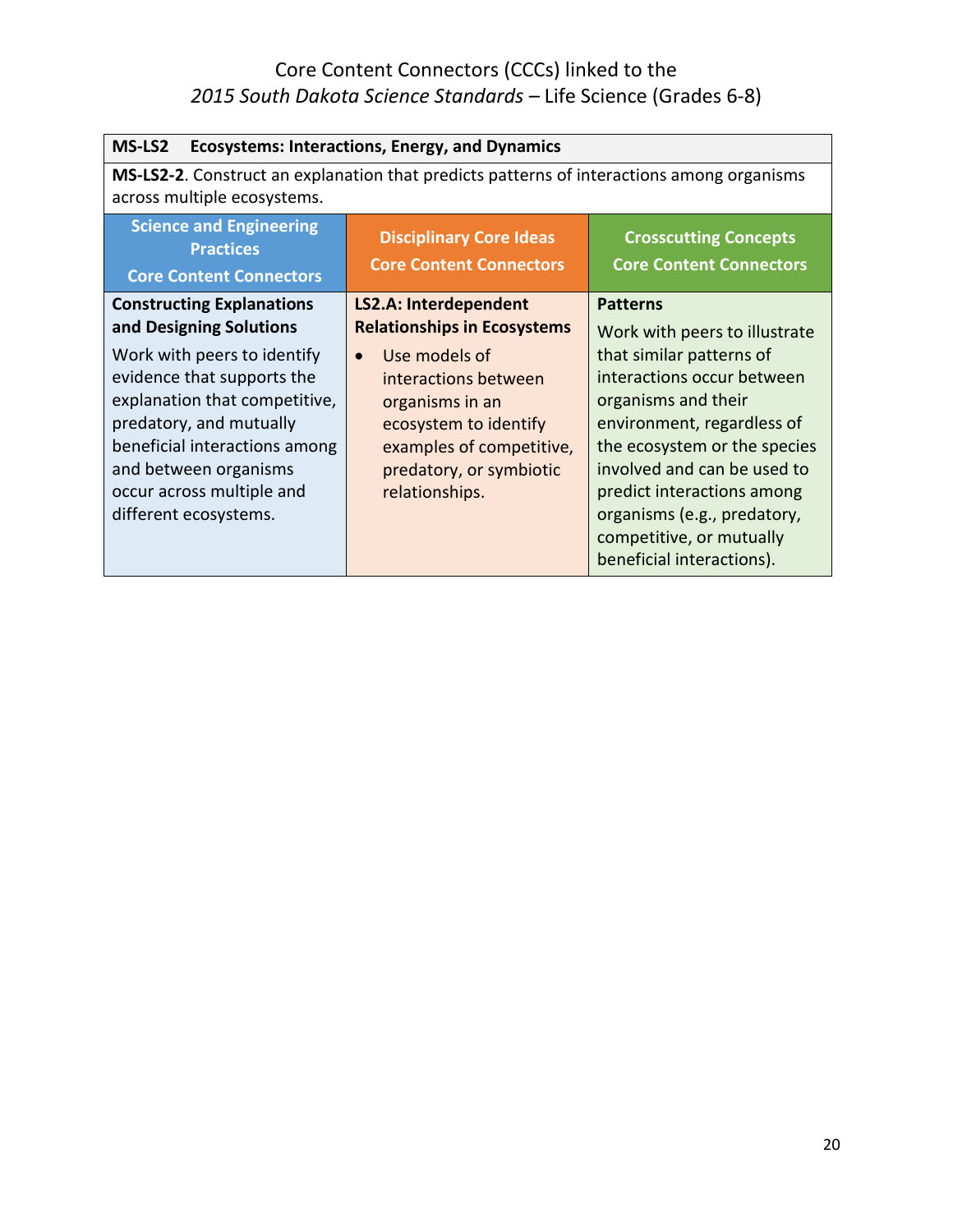| MS-LS2<br><b>Ecosystems: Interactions, Energy, and Dynamics</b>                                                                                                                                                                       |                                                                                                                                                            |                                                                                                                                                                                                                                                                                                  |
|---------------------------------------------------------------------------------------------------------------------------------------------------------------------------------------------------------------------------------------|------------------------------------------------------------------------------------------------------------------------------------------------------------|--------------------------------------------------------------------------------------------------------------------------------------------------------------------------------------------------------------------------------------------------------------------------------------------------|
| MS-LS2-2. Construct an explanation that predicts patterns of interactions among organisms<br>across multiple ecosystems.                                                                                                              |                                                                                                                                                            |                                                                                                                                                                                                                                                                                                  |
| <b>Science and Engineering</b><br><b>Practices</b><br><b>Core Content Connectors</b>                                                                                                                                                  | <b>Disciplinary Core Ideas</b><br><b>Core Content Connectors</b>                                                                                           | <b>Crosscutting Concepts</b><br><b>Core Content Connectors</b>                                                                                                                                                                                                                                   |
| <b>Constructing Explanations</b><br>and Designing Solutions                                                                                                                                                                           | <b>LS2.A: Interdependent</b><br><b>Relationships in Ecosystems</b>                                                                                         | <b>Patterns</b><br>Work with peers to illustrate                                                                                                                                                                                                                                                 |
| Work with peers to identify<br>evidence that supports the<br>explanation that competitive,<br>predatory, and mutually<br>beneficial interactions among<br>and between organisms<br>occur across multiple and<br>different ecosystems. | Use models of<br>interactions between<br>organisms in an<br>ecosystem to identify<br>examples of competitive,<br>predatory, or symbiotic<br>relationships. | that similar patterns of<br>interactions occur between<br>organisms and their<br>environment, regardless of<br>the ecosystem or the species<br>involved and can be used to<br>predict interactions among<br>organisms (e.g., predatory,<br>competitive, or mutually<br>beneficial interactions). |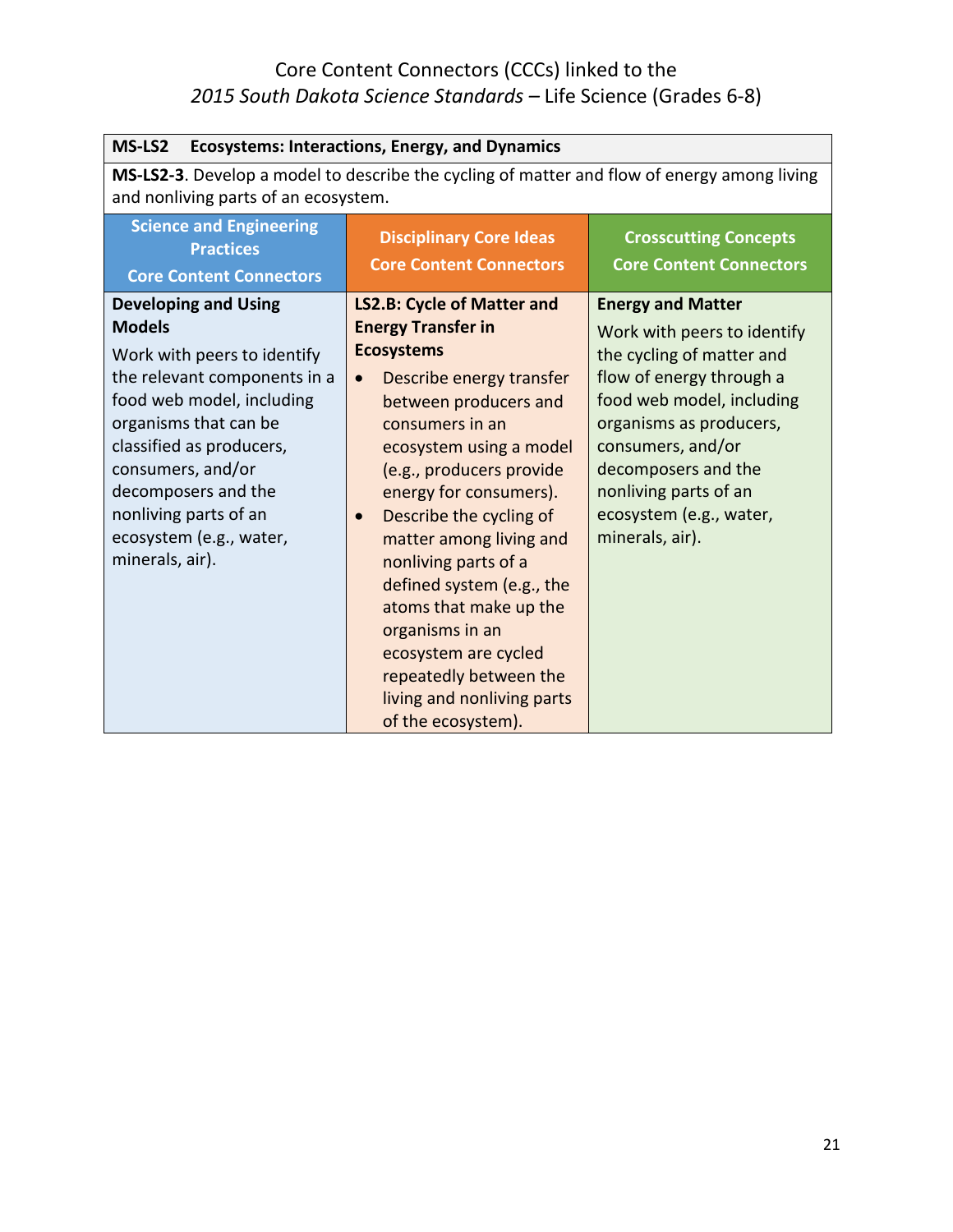| MS-LS2<br><b>Ecosystems: Interactions, Energy, and Dynamics</b>                                                                                                                                                                                                                                                  |                                                                                                                                                                                                                                                                                                                                                                                                                                                                                                                               |                                                                                                                                                                                                                                                                                             |
|------------------------------------------------------------------------------------------------------------------------------------------------------------------------------------------------------------------------------------------------------------------------------------------------------------------|-------------------------------------------------------------------------------------------------------------------------------------------------------------------------------------------------------------------------------------------------------------------------------------------------------------------------------------------------------------------------------------------------------------------------------------------------------------------------------------------------------------------------------|---------------------------------------------------------------------------------------------------------------------------------------------------------------------------------------------------------------------------------------------------------------------------------------------|
| MS-LS2-3. Develop a model to describe the cycling of matter and flow of energy among living<br>and nonliving parts of an ecosystem.                                                                                                                                                                              |                                                                                                                                                                                                                                                                                                                                                                                                                                                                                                                               |                                                                                                                                                                                                                                                                                             |
| <b>Science and Engineering</b><br><b>Practices</b><br><b>Core Content Connectors</b>                                                                                                                                                                                                                             | <b>Disciplinary Core Ideas</b><br><b>Core Content Connectors</b>                                                                                                                                                                                                                                                                                                                                                                                                                                                              | <b>Crosscutting Concepts</b><br><b>Core Content Connectors</b>                                                                                                                                                                                                                              |
| <b>Developing and Using</b><br><b>Models</b><br>Work with peers to identify<br>the relevant components in a<br>food web model, including<br>organisms that can be<br>classified as producers,<br>consumers, and/or<br>decomposers and the<br>nonliving parts of an<br>ecosystem (e.g., water,<br>minerals, air). | LS2.B: Cycle of Matter and<br><b>Energy Transfer in</b><br><b>Ecosystems</b><br>Describe energy transfer<br>$\bullet$<br>between producers and<br>consumers in an<br>ecosystem using a model<br>(e.g., producers provide<br>energy for consumers).<br>Describe the cycling of<br>$\bullet$<br>matter among living and<br>nonliving parts of a<br>defined system (e.g., the<br>atoms that make up the<br>organisms in an<br>ecosystem are cycled<br>repeatedly between the<br>living and nonliving parts<br>of the ecosystem). | <b>Energy and Matter</b><br>Work with peers to identify<br>the cycling of matter and<br>flow of energy through a<br>food web model, including<br>organisms as producers,<br>consumers, and/or<br>decomposers and the<br>nonliving parts of an<br>ecosystem (e.g., water,<br>minerals, air). |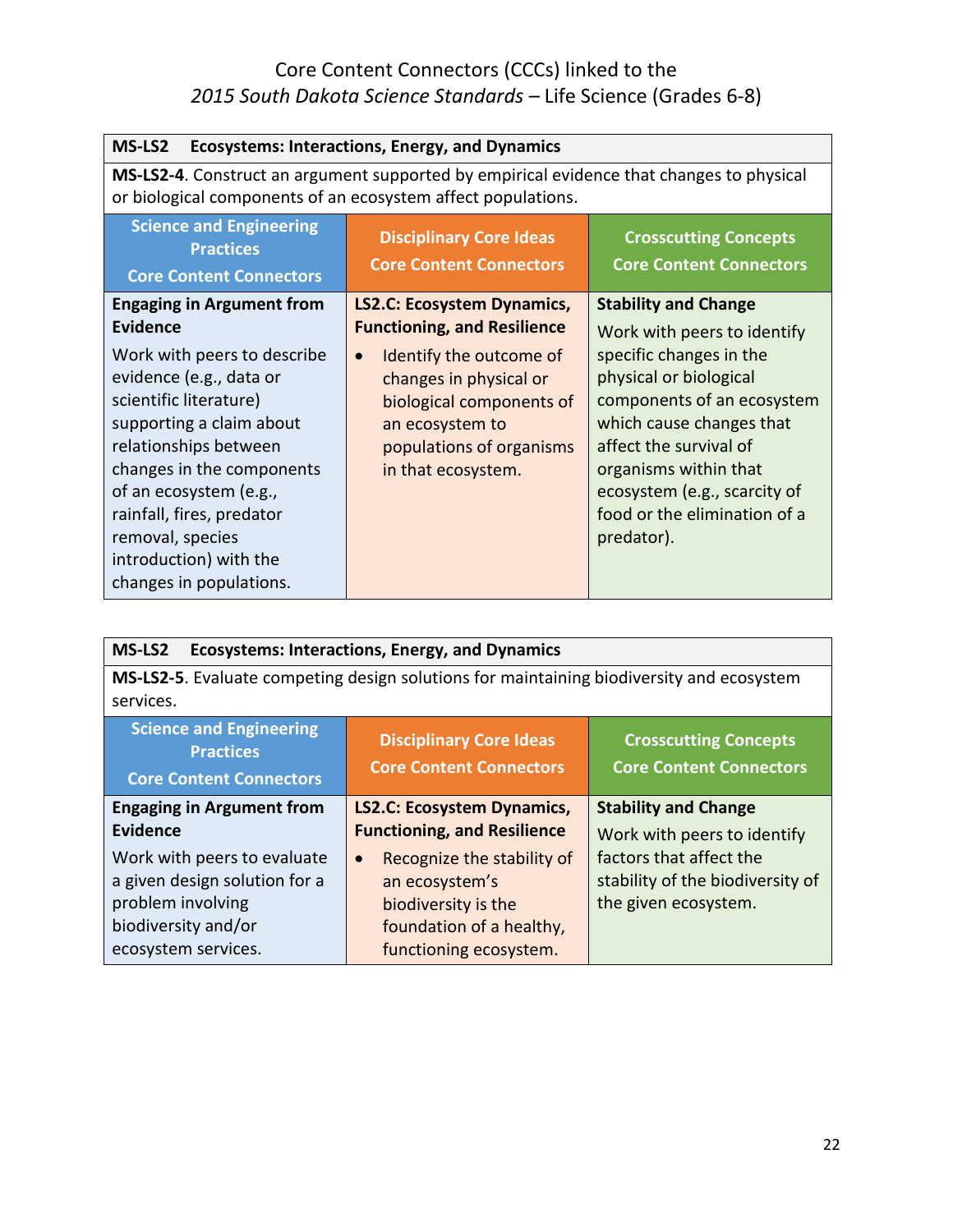| MS-LS2<br><b>Ecosystems: Interactions, Energy, and Dynamics</b>                                                                                                                                                                                                                                    |                                                                                                                                                                 |                                                                                                                                                                                                                                              |
|----------------------------------------------------------------------------------------------------------------------------------------------------------------------------------------------------------------------------------------------------------------------------------------------------|-----------------------------------------------------------------------------------------------------------------------------------------------------------------|----------------------------------------------------------------------------------------------------------------------------------------------------------------------------------------------------------------------------------------------|
| MS-LS2-4. Construct an argument supported by empirical evidence that changes to physical<br>or biological components of an ecosystem affect populations.                                                                                                                                           |                                                                                                                                                                 |                                                                                                                                                                                                                                              |
| <b>Science and Engineering</b><br><b>Practices</b><br><b>Core Content Connectors</b>                                                                                                                                                                                                               | <b>Disciplinary Core Ideas</b><br><b>Core Content Connectors</b>                                                                                                | <b>Crosscutting Concepts</b><br><b>Core Content Connectors</b>                                                                                                                                                                               |
| <b>Engaging in Argument from</b><br><b>Evidence</b>                                                                                                                                                                                                                                                | <b>LS2.C: Ecosystem Dynamics,</b><br><b>Functioning, and Resilience</b>                                                                                         | <b>Stability and Change</b><br>Work with peers to identify                                                                                                                                                                                   |
| Work with peers to describe<br>evidence (e.g., data or<br>scientific literature)<br>supporting a claim about<br>relationships between<br>changes in the components<br>of an ecosystem (e.g.,<br>rainfall, fires, predator<br>removal, species<br>introduction) with the<br>changes in populations. | Identify the outcome of<br>$\bullet$<br>changes in physical or<br>biological components of<br>an ecosystem to<br>populations of organisms<br>in that ecosystem. | specific changes in the<br>physical or biological<br>components of an ecosystem<br>which cause changes that<br>affect the survival of<br>organisms within that<br>ecosystem (e.g., scarcity of<br>food or the elimination of a<br>predator). |

| <b>Ecosystems: Interactions, Energy, and Dynamics</b><br>MS-LS2                                       |                                                                  |                                                                |
|-------------------------------------------------------------------------------------------------------|------------------------------------------------------------------|----------------------------------------------------------------|
| MS-LS2-5. Evaluate competing design solutions for maintaining biodiversity and ecosystem<br>services. |                                                                  |                                                                |
| <b>Science and Engineering</b><br><b>Practices</b><br><b>Core Content Connectors</b>                  | <b>Disciplinary Core Ideas</b><br><b>Core Content Connectors</b> | <b>Crosscutting Concepts</b><br><b>Core Content Connectors</b> |
| <b>Engaging in Argument from</b>                                                                      | <b>LS2.C: Ecosystem Dynamics,</b>                                | <b>Stability and Change</b>                                    |
| <b>Evidence</b>                                                                                       | <b>Functioning, and Resilience</b>                               | Work with peers to identify                                    |
| Work with peers to evaluate                                                                           | Recognize the stability of<br>$\bullet$                          | factors that affect the                                        |
| a given design solution for a                                                                         | an ecosystem's                                                   | stability of the biodiversity of                               |
| problem involving                                                                                     | biodiversity is the                                              | the given ecosystem.                                           |
| biodiversity and/or                                                                                   | foundation of a healthy,                                         |                                                                |
| ecosystem services.                                                                                   | functioning ecosystem.                                           |                                                                |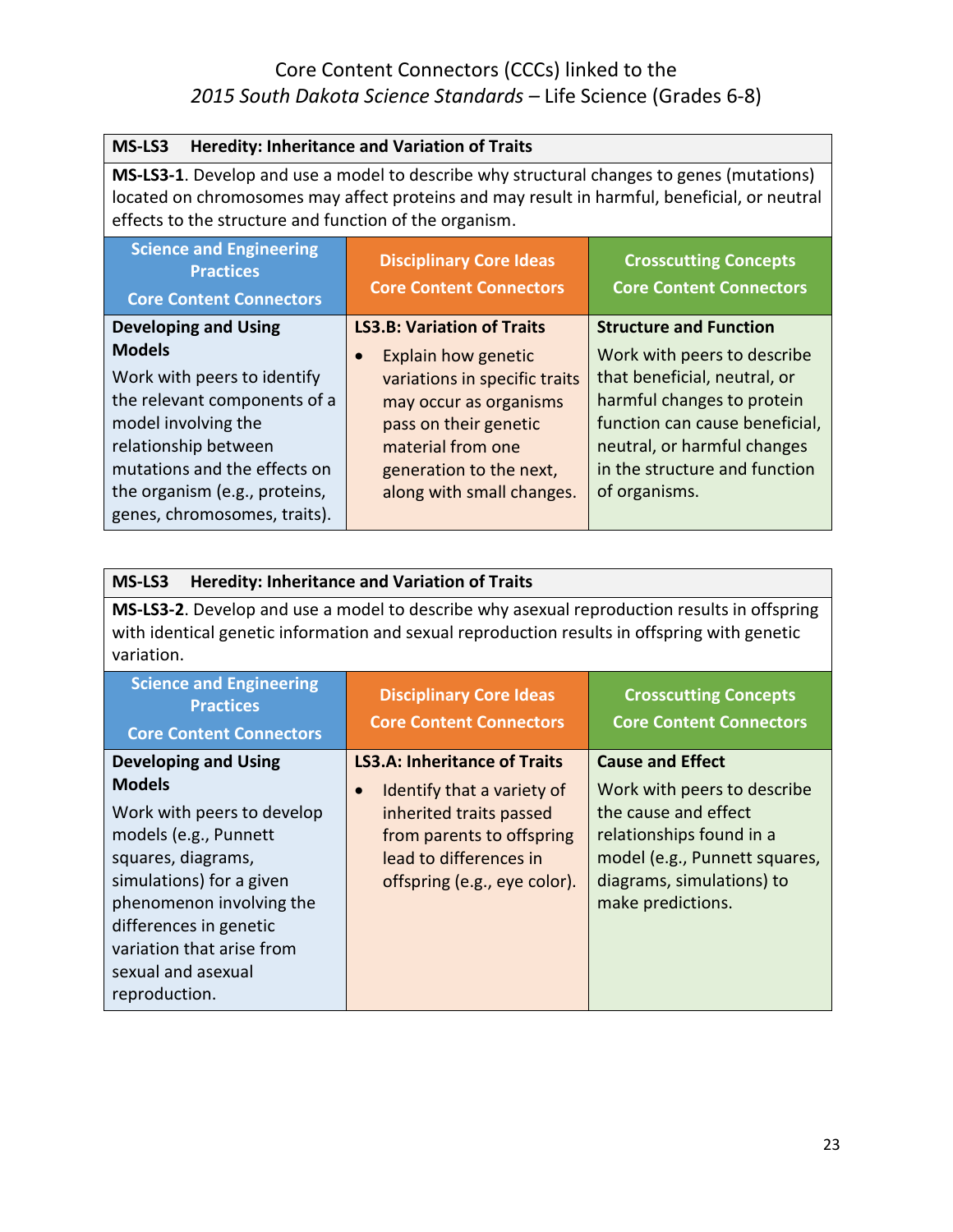| MS-LS3<br><b>Heredity: Inheritance and Variation of Traits</b>                                                                                                                                                                                      |                                                      |                                                              |
|-----------------------------------------------------------------------------------------------------------------------------------------------------------------------------------------------------------------------------------------------------|------------------------------------------------------|--------------------------------------------------------------|
| MS-LS3-1. Develop and use a model to describe why structural changes to genes (mutations)<br>located on chromosomes may affect proteins and may result in harmful, beneficial, or neutral<br>effects to the structure and function of the organism. |                                                      |                                                              |
| <b>Science and Engineering</b><br><b>Disciplinary Core Ideas</b><br><b>Crosscutting Concepts</b><br><b>Practices</b><br><b>Core Content Connectors</b><br><b>Core Content Connectors</b><br><b>Core Content Connectors</b>                          |                                                      |                                                              |
| <b>Developing and Using</b>                                                                                                                                                                                                                         | <b>LS3.B: Variation of Traits</b>                    | <b>Structure and Function</b>                                |
| <b>Models</b>                                                                                                                                                                                                                                       | Explain how genetic                                  | Work with peers to describe                                  |
| Work with peers to identify                                                                                                                                                                                                                         | variations in specific traits                        | that beneficial, neutral, or                                 |
| the relevant components of a                                                                                                                                                                                                                        | may occur as organisms                               | harmful changes to protein                                   |
| model involving the                                                                                                                                                                                                                                 | pass on their genetic                                | function can cause beneficial,                               |
| relationship between<br>mutations and the effects on                                                                                                                                                                                                | material from one                                    | neutral, or harmful changes<br>in the structure and function |
| the organism (e.g., proteins,                                                                                                                                                                                                                       | generation to the next,<br>along with small changes. | of organisms.                                                |
| genes, chromosomes, traits).                                                                                                                                                                                                                        |                                                      |                                                              |

| MS-LS3<br><b>Heredity: Inheritance and Variation of Traits</b>                                                                                                                                                                                                                  |                                                                                                                                                                                                  |                                                                                                                                                                                               |
|---------------------------------------------------------------------------------------------------------------------------------------------------------------------------------------------------------------------------------------------------------------------------------|--------------------------------------------------------------------------------------------------------------------------------------------------------------------------------------------------|-----------------------------------------------------------------------------------------------------------------------------------------------------------------------------------------------|
| MS-LS3-2. Develop and use a model to describe why asexual reproduction results in offspring<br>with identical genetic information and sexual reproduction results in offspring with genetic<br>variation.                                                                       |                                                                                                                                                                                                  |                                                                                                                                                                                               |
| <b>Science and Engineering</b><br><b>Practices</b><br><b>Core Content Connectors</b>                                                                                                                                                                                            | <b>Disciplinary Core Ideas</b><br><b>Core Content Connectors</b>                                                                                                                                 | <b>Crosscutting Concepts</b><br><b>Core Content Connectors</b>                                                                                                                                |
| <b>Developing and Using</b><br><b>Models</b><br>Work with peers to develop<br>models (e.g., Punnett<br>squares, diagrams,<br>simulations) for a given<br>phenomenon involving the<br>differences in genetic<br>variation that arise from<br>sexual and asexual<br>reproduction. | <b>LS3.A: Inheritance of Traits</b><br>Identify that a variety of<br>$\bullet$<br>inherited traits passed<br>from parents to offspring<br>lead to differences in<br>offspring (e.g., eye color). | <b>Cause and Effect</b><br>Work with peers to describe<br>the cause and effect<br>relationships found in a<br>model (e.g., Punnett squares,<br>diagrams, simulations) to<br>make predictions. |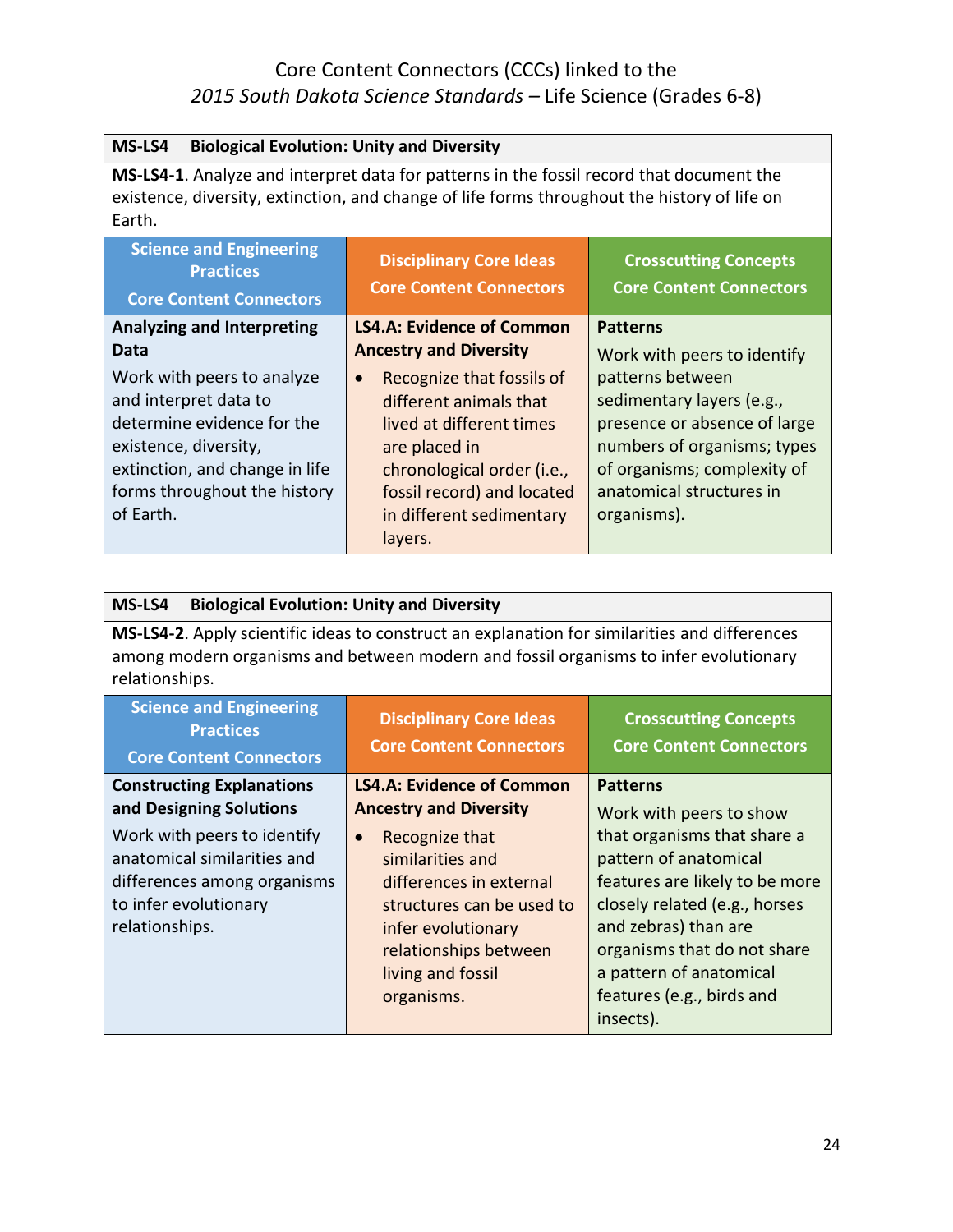| MS-LS4<br><b>Biological Evolution: Unity and Diversity</b>                                                                                                                                         |                                                                  |                                                                |
|----------------------------------------------------------------------------------------------------------------------------------------------------------------------------------------------------|------------------------------------------------------------------|----------------------------------------------------------------|
| MS-LS4-1. Analyze and interpret data for patterns in the fossil record that document the<br>existence, diversity, extinction, and change of life forms throughout the history of life on<br>Earth. |                                                                  |                                                                |
| <b>Science and Engineering</b><br><b>Practices</b><br><b>Core Content Connectors</b>                                                                                                               | <b>Disciplinary Core Ideas</b><br><b>Core Content Connectors</b> | <b>Crosscutting Concepts</b><br><b>Core Content Connectors</b> |
| <b>Analyzing and Interpreting</b>                                                                                                                                                                  | <b>LS4.A: Evidence of Common</b>                                 | <b>Patterns</b>                                                |
| Data                                                                                                                                                                                               | <b>Ancestry and Diversity</b>                                    | Work with peers to identify                                    |
| Work with peers to analyze                                                                                                                                                                         | Recognize that fossils of<br>$\bullet$                           | patterns between                                               |
| and interpret data to                                                                                                                                                                              | different animals that                                           | sedimentary layers (e.g.,                                      |
| determine evidence for the                                                                                                                                                                         | lived at different times                                         | presence or absence of large                                   |
| existence, diversity,                                                                                                                                                                              | are placed in                                                    | numbers of organisms; types                                    |
| extinction, and change in life                                                                                                                                                                     | chronological order (i.e.,                                       | of organisms; complexity of                                    |
| forms throughout the history                                                                                                                                                                       | fossil record) and located                                       | anatomical structures in                                       |
| of Earth.                                                                                                                                                                                          | in different sedimentary                                         | organisms).                                                    |
|                                                                                                                                                                                                    | layers.                                                          |                                                                |

| MS-LS4<br><b>Biological Evolution: Unity and Diversity</b>                                                                                                                                              |                                                                                                                                                                                                                                                                |                                                                                                                                                                                                                                                                                                   |
|---------------------------------------------------------------------------------------------------------------------------------------------------------------------------------------------------------|----------------------------------------------------------------------------------------------------------------------------------------------------------------------------------------------------------------------------------------------------------------|---------------------------------------------------------------------------------------------------------------------------------------------------------------------------------------------------------------------------------------------------------------------------------------------------|
| MS-LS4-2. Apply scientific ideas to construct an explanation for similarities and differences<br>among modern organisms and between modern and fossil organisms to infer evolutionary<br>relationships. |                                                                                                                                                                                                                                                                |                                                                                                                                                                                                                                                                                                   |
| <b>Science and Engineering</b><br><b>Practices</b><br><b>Core Content Connectors</b>                                                                                                                    | <b>Disciplinary Core Ideas</b><br><b>Core Content Connectors</b>                                                                                                                                                                                               | <b>Crosscutting Concepts</b><br><b>Core Content Connectors</b>                                                                                                                                                                                                                                    |
| <b>Constructing Explanations</b><br>and Designing Solutions<br>Work with peers to identify<br>anatomical similarities and<br>differences among organisms<br>to infer evolutionary<br>relationships.     | <b>LS4.A: Evidence of Common</b><br><b>Ancestry and Diversity</b><br>Recognize that<br>$\bullet$<br>similarities and<br>differences in external<br>structures can be used to<br>infer evolutionary<br>relationships between<br>living and fossil<br>organisms. | <b>Patterns</b><br>Work with peers to show<br>that organisms that share a<br>pattern of anatomical<br>features are likely to be more<br>closely related (e.g., horses<br>and zebras) than are<br>organisms that do not share<br>a pattern of anatomical<br>features (e.g., birds and<br>insects). |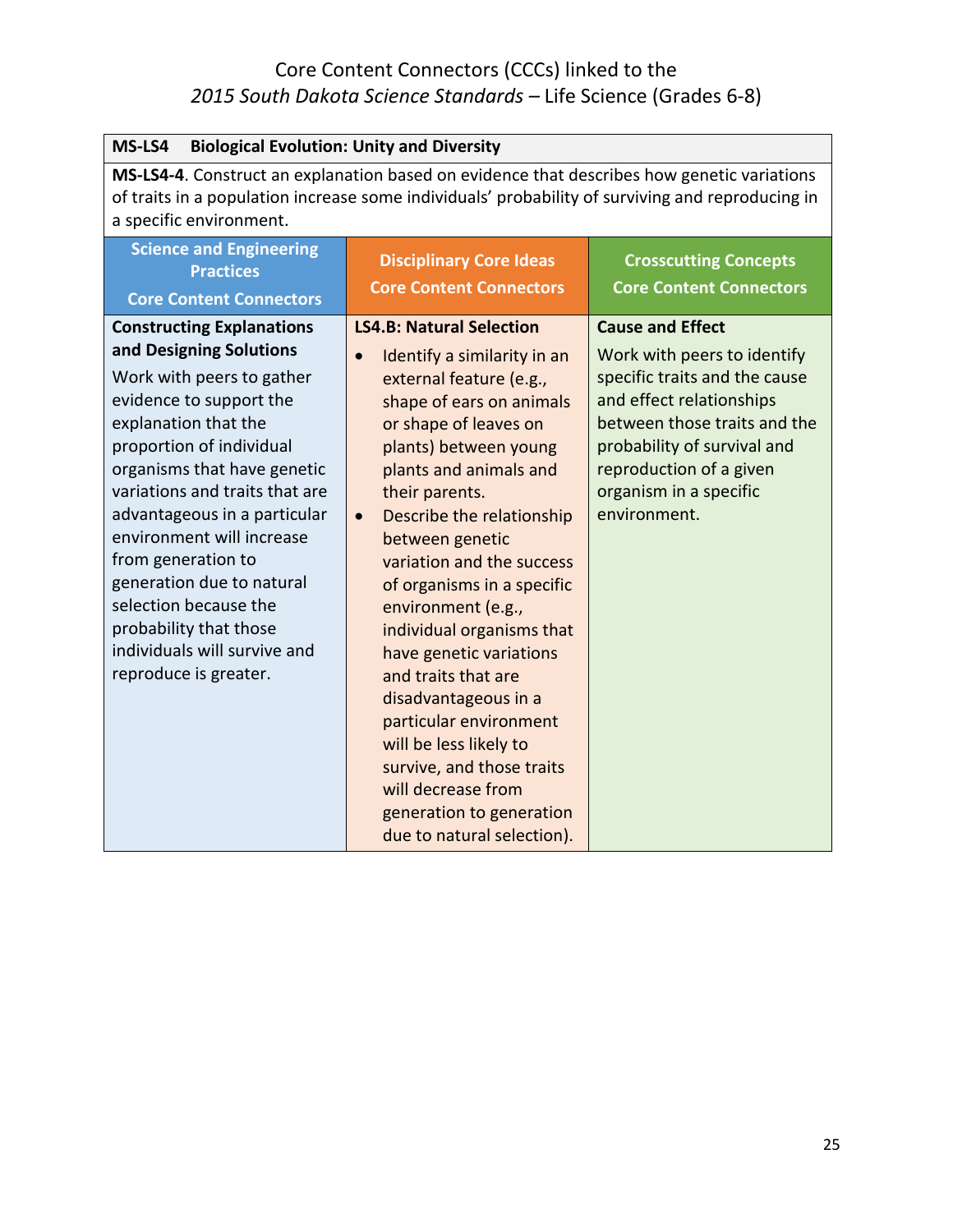| <b>Biological Evolution: Unity and Diversity</b><br>MS-LS4                                                                                                                                                                                                                                                                                                                                                                                                           |                                                                                                                                                                                                                                                                                                                                                                                                                                                                                                                                                                                                                                                        |                                                                                                                                                                                                                                                         |
|----------------------------------------------------------------------------------------------------------------------------------------------------------------------------------------------------------------------------------------------------------------------------------------------------------------------------------------------------------------------------------------------------------------------------------------------------------------------|--------------------------------------------------------------------------------------------------------------------------------------------------------------------------------------------------------------------------------------------------------------------------------------------------------------------------------------------------------------------------------------------------------------------------------------------------------------------------------------------------------------------------------------------------------------------------------------------------------------------------------------------------------|---------------------------------------------------------------------------------------------------------------------------------------------------------------------------------------------------------------------------------------------------------|
| MS-LS4-4. Construct an explanation based on evidence that describes how genetic variations<br>of traits in a population increase some individuals' probability of surviving and reproducing in<br>a specific environment.                                                                                                                                                                                                                                            |                                                                                                                                                                                                                                                                                                                                                                                                                                                                                                                                                                                                                                                        |                                                                                                                                                                                                                                                         |
| <b>Science and Engineering</b><br><b>Practices</b><br><b>Core Content Connectors</b>                                                                                                                                                                                                                                                                                                                                                                                 | <b>Disciplinary Core Ideas</b><br><b>Core Content Connectors</b>                                                                                                                                                                                                                                                                                                                                                                                                                                                                                                                                                                                       | <b>Crosscutting Concepts</b><br><b>Core Content Connectors</b>                                                                                                                                                                                          |
| <b>Constructing Explanations</b><br>and Designing Solutions<br>Work with peers to gather<br>evidence to support the<br>explanation that the<br>proportion of individual<br>organisms that have genetic<br>variations and traits that are<br>advantageous in a particular<br>environment will increase<br>from generation to<br>generation due to natural<br>selection because the<br>probability that those<br>individuals will survive and<br>reproduce is greater. | <b>LS4.B: Natural Selection</b><br>Identify a similarity in an<br>$\bullet$<br>external feature (e.g.,<br>shape of ears on animals<br>or shape of leaves on<br>plants) between young<br>plants and animals and<br>their parents.<br>Describe the relationship<br>$\bullet$<br>between genetic<br>variation and the success<br>of organisms in a specific<br>environment (e.g.,<br>individual organisms that<br>have genetic variations<br>and traits that are<br>disadvantageous in a<br>particular environment<br>will be less likely to<br>survive, and those traits<br>will decrease from<br>generation to generation<br>due to natural selection). | <b>Cause and Effect</b><br>Work with peers to identify<br>specific traits and the cause<br>and effect relationships<br>between those traits and the<br>probability of survival and<br>reproduction of a given<br>organism in a specific<br>environment. |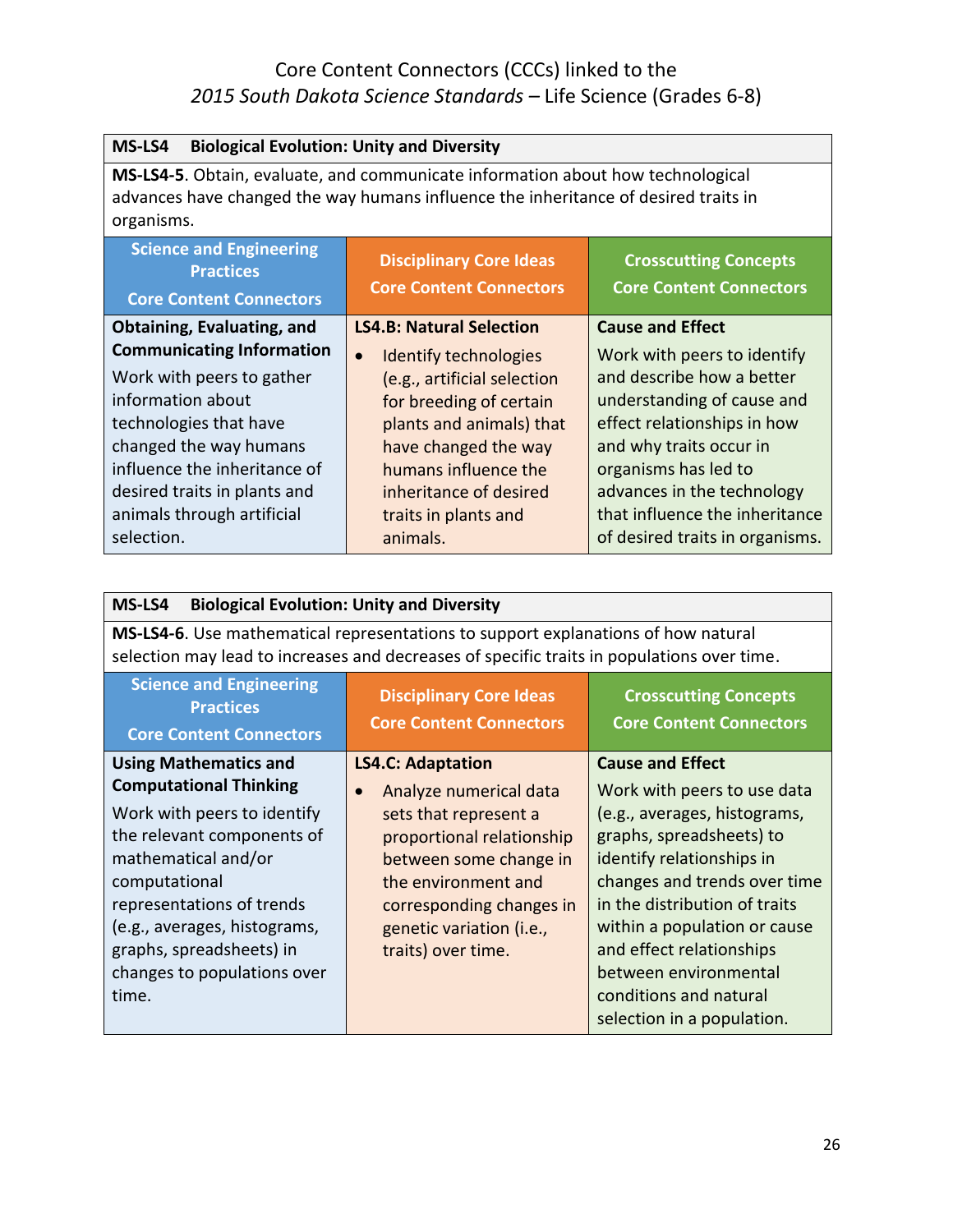| MS-LS4<br><b>Biological Evolution: Unity and Diversity</b>                                                                                                                           |                                                                  |                                                                |
|--------------------------------------------------------------------------------------------------------------------------------------------------------------------------------------|------------------------------------------------------------------|----------------------------------------------------------------|
| MS-LS4-5. Obtain, evaluate, and communicate information about how technological<br>advances have changed the way humans influence the inheritance of desired traits in<br>organisms. |                                                                  |                                                                |
| <b>Science and Engineering</b><br><b>Practices</b><br><b>Core Content Connectors</b>                                                                                                 | <b>Disciplinary Core Ideas</b><br><b>Core Content Connectors</b> | <b>Crosscutting Concepts</b><br><b>Core Content Connectors</b> |
| Obtaining, Evaluating, and                                                                                                                                                           | <b>LS4.B: Natural Selection</b>                                  | <b>Cause and Effect</b>                                        |
| <b>Communicating Information</b>                                                                                                                                                     | Identify technologies<br>$\bullet$                               | Work with peers to identify                                    |
| Work with peers to gather                                                                                                                                                            | (e.g., artificial selection                                      | and describe how a better                                      |
| information about                                                                                                                                                                    | for breeding of certain                                          | understanding of cause and                                     |
| technologies that have                                                                                                                                                               | plants and animals) that                                         | effect relationships in how                                    |
| changed the way humans                                                                                                                                                               | have changed the way                                             | and why traits occur in                                        |
| influence the inheritance of                                                                                                                                                         | humans influence the                                             | organisms has led to                                           |
| desired traits in plants and                                                                                                                                                         | inheritance of desired                                           | advances in the technology                                     |
| animals through artificial                                                                                                                                                           | traits in plants and                                             | that influence the inheritance                                 |
| selection.                                                                                                                                                                           | animals.                                                         | of desired traits in organisms.                                |

| MS-LS4<br><b>Biological Evolution: Unity and Diversity</b>                                                                                                                                                                                                                                          |                                                                                                                                                                                                                                                      |                                                                                                                                                                                                                                                                                                                                                               |
|-----------------------------------------------------------------------------------------------------------------------------------------------------------------------------------------------------------------------------------------------------------------------------------------------------|------------------------------------------------------------------------------------------------------------------------------------------------------------------------------------------------------------------------------------------------------|---------------------------------------------------------------------------------------------------------------------------------------------------------------------------------------------------------------------------------------------------------------------------------------------------------------------------------------------------------------|
| <b>MS-LS4-6.</b> Use mathematical representations to support explanations of how natural<br>selection may lead to increases and decreases of specific traits in populations over time.                                                                                                              |                                                                                                                                                                                                                                                      |                                                                                                                                                                                                                                                                                                                                                               |
| <b>Science and Engineering</b><br><b>Practices</b><br><b>Core Content Connectors</b>                                                                                                                                                                                                                | <b>Disciplinary Core Ideas</b><br><b>Core Content Connectors</b>                                                                                                                                                                                     | <b>Crosscutting Concepts</b><br><b>Core Content Connectors</b>                                                                                                                                                                                                                                                                                                |
| <b>Using Mathematics and</b><br><b>Computational Thinking</b><br>Work with peers to identify<br>the relevant components of<br>mathematical and/or<br>computational<br>representations of trends<br>(e.g., averages, histograms,<br>graphs, spreadsheets) in<br>changes to populations over<br>time. | <b>LS4.C: Adaptation</b><br>Analyze numerical data<br>$\bullet$<br>sets that represent a<br>proportional relationship<br>between some change in<br>the environment and<br>corresponding changes in<br>genetic variation (i.e.,<br>traits) over time. | <b>Cause and Effect</b><br>Work with peers to use data<br>(e.g., averages, histograms,<br>graphs, spreadsheets) to<br>identify relationships in<br>changes and trends over time<br>in the distribution of traits<br>within a population or cause<br>and effect relationships<br>between environmental<br>conditions and natural<br>selection in a population. |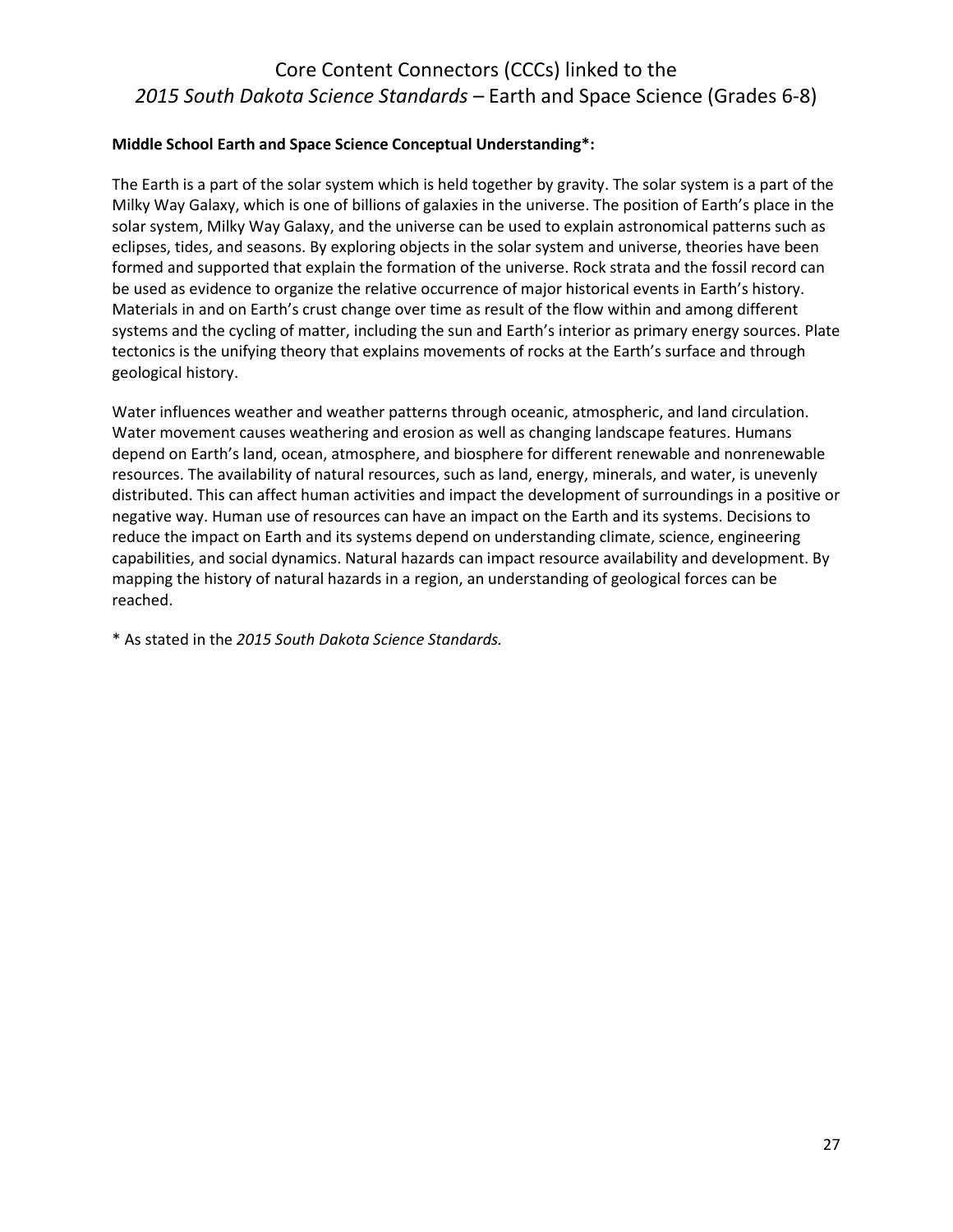#### **Middle School Earth and Space Science Conceptual Understanding\*:**

The Earth is a part of the solar system which is held together by gravity. The solar system is a part of the Milky Way Galaxy, which is one of billions of galaxies in the universe. The position of Earth's place in the solar system, Milky Way Galaxy, and the universe can be used to explain astronomical patterns such as eclipses, tides, and seasons. By exploring objects in the solar system and universe, theories have been formed and supported that explain the formation of the universe. Rock strata and the fossil record can be used as evidence to organize the relative occurrence of major historical events in Earth's history. Materials in and on Earth's crust change over time as result of the flow within and among different systems and the cycling of matter, including the sun and Earth's interior as primary energy sources. Plate tectonics is the unifying theory that explains movements of rocks at the Earth's surface and through geological history.

Water influences weather and weather patterns through oceanic, atmospheric, and land circulation. Water movement causes weathering and erosion as well as changing landscape features. Humans depend on Earth's land, ocean, atmosphere, and biosphere for different renewable and nonrenewable resources. The availability of natural resources, such as land, energy, minerals, and water, is unevenly distributed. This can affect human activities and impact the development of surroundings in a positive or negative way. Human use of resources can have an impact on the Earth and its systems. Decisions to reduce the impact on Earth and its systems depend on understanding climate, science, engineering capabilities, and social dynamics. Natural hazards can impact resource availability and development. By mapping the history of natural hazards in a region, an understanding of geological forces can be reached.

\* As stated in the *2015 South Dakota Science Standards.*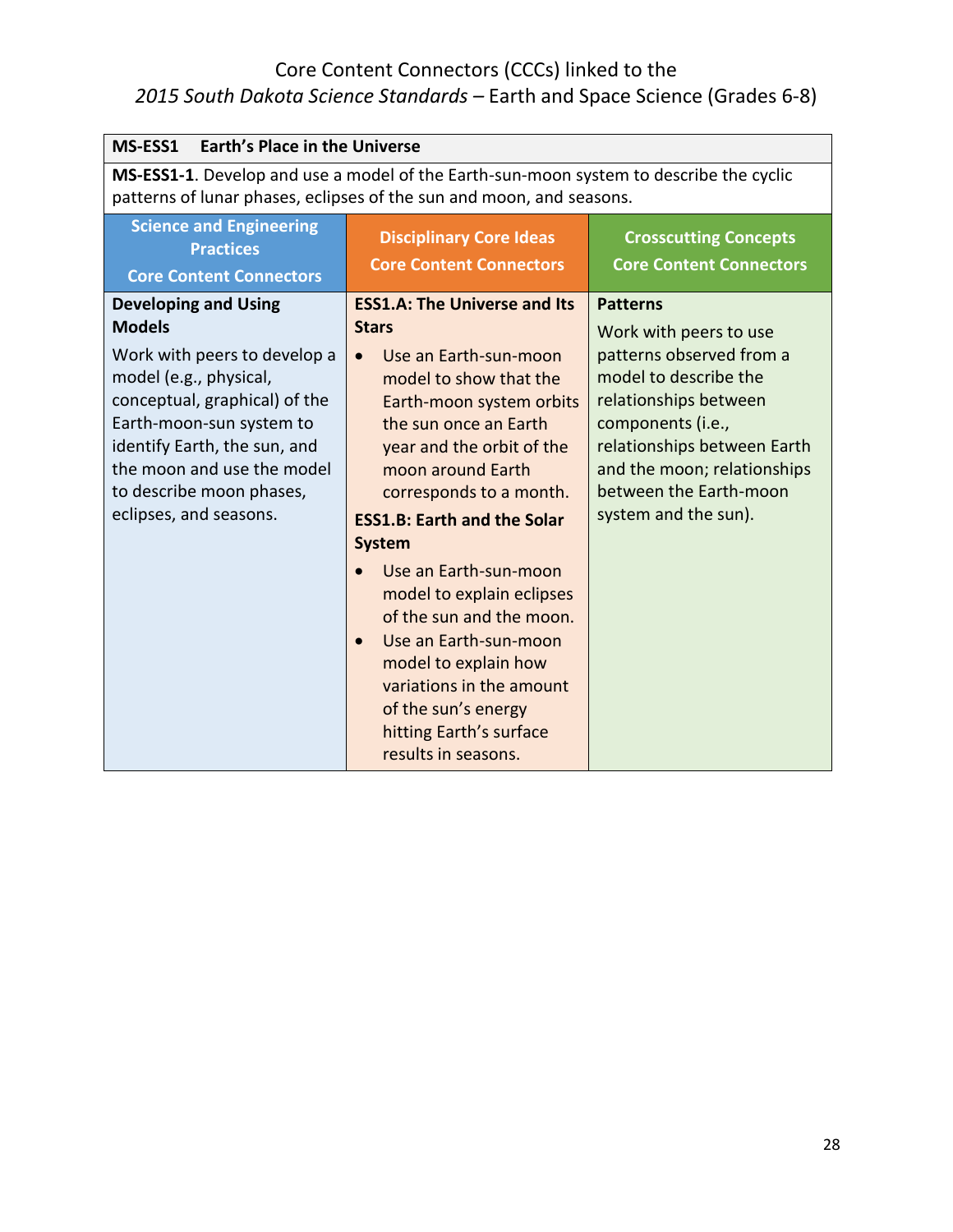| MS-ESS1                                                                                                                                                                                                                                                                                 | <b>Earth's Place in the Universe</b>                                                                                                                                                                                                                                                                                                                                                                                                                                                                                                                              |                                                                                                                                                                                                                                                              |  |
|-----------------------------------------------------------------------------------------------------------------------------------------------------------------------------------------------------------------------------------------------------------------------------------------|-------------------------------------------------------------------------------------------------------------------------------------------------------------------------------------------------------------------------------------------------------------------------------------------------------------------------------------------------------------------------------------------------------------------------------------------------------------------------------------------------------------------------------------------------------------------|--------------------------------------------------------------------------------------------------------------------------------------------------------------------------------------------------------------------------------------------------------------|--|
| MS-ESS1-1. Develop and use a model of the Earth-sun-moon system to describe the cyclic<br>patterns of lunar phases, eclipses of the sun and moon, and seasons.                                                                                                                          |                                                                                                                                                                                                                                                                                                                                                                                                                                                                                                                                                                   |                                                                                                                                                                                                                                                              |  |
| <b>Science and Engineering</b><br><b>Practices</b><br><b>Core Content Connectors</b>                                                                                                                                                                                                    | <b>Disciplinary Core Ideas</b><br><b>Core Content Connectors</b>                                                                                                                                                                                                                                                                                                                                                                                                                                                                                                  | <b>Crosscutting Concepts</b><br><b>Core Content Connectors</b>                                                                                                                                                                                               |  |
| <b>Developing and Using</b><br><b>Models</b><br>Work with peers to develop a<br>model (e.g., physical,<br>conceptual, graphical) of the<br>Earth-moon-sun system to<br>identify Earth, the sun, and<br>the moon and use the model<br>to describe moon phases,<br>eclipses, and seasons. | <b>ESS1.A: The Universe and Its</b><br><b>Stars</b><br>Use an Earth-sun-moon<br>$\bullet$<br>model to show that the<br>Earth-moon system orbits<br>the sun once an Earth<br>year and the orbit of the<br>moon around Earth<br>corresponds to a month.<br><b>ESS1.B: Earth and the Solar</b><br><b>System</b><br>Use an Earth-sun-moon<br>model to explain eclipses<br>of the sun and the moon.<br>Use an Earth-sun-moon<br>$\bullet$<br>model to explain how<br>variations in the amount<br>of the sun's energy<br>hitting Earth's surface<br>results in seasons. | <b>Patterns</b><br>Work with peers to use<br>patterns observed from a<br>model to describe the<br>relationships between<br>components (i.e.,<br>relationships between Earth<br>and the moon; relationships<br>between the Earth-moon<br>system and the sun). |  |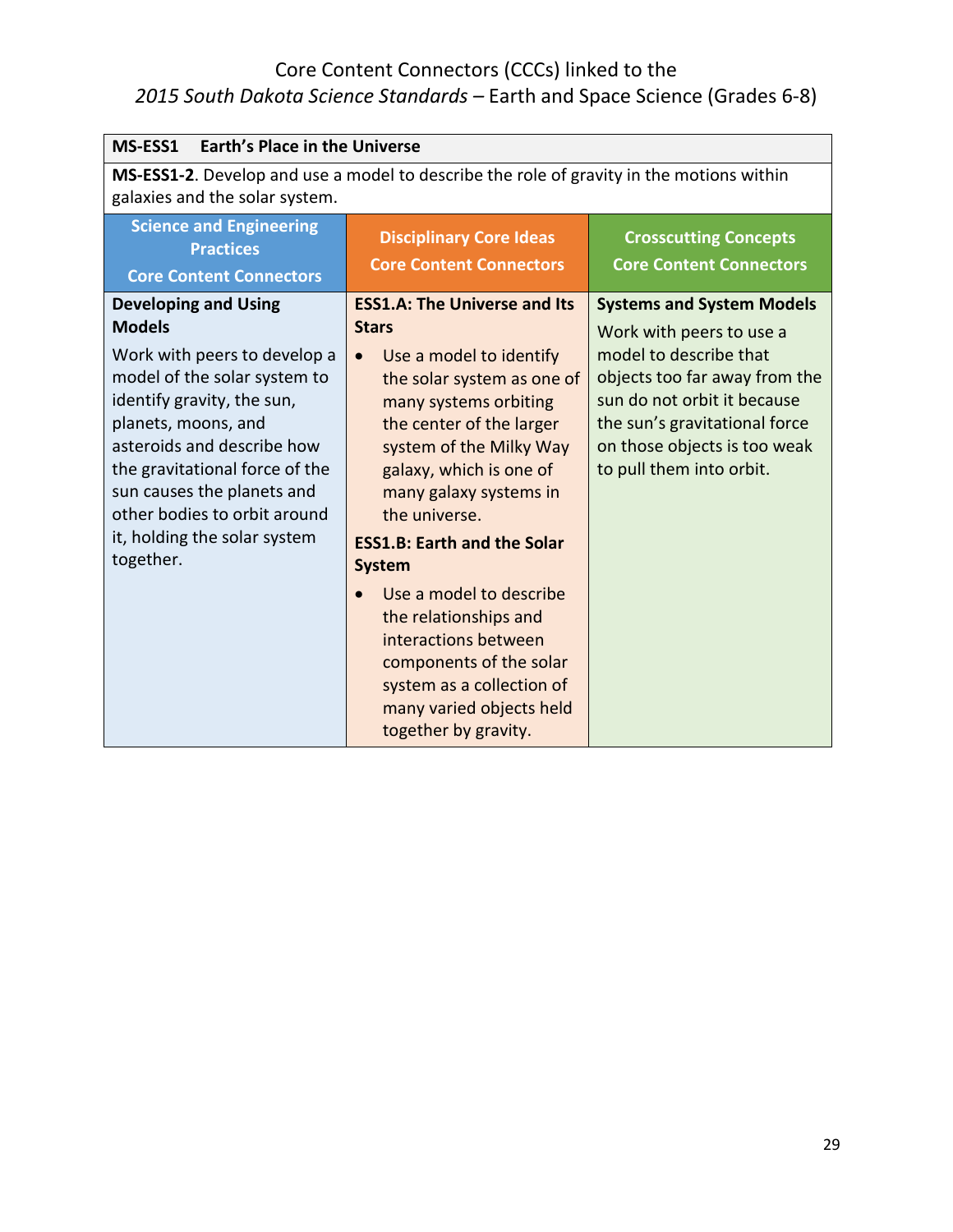| <b>Earth's Place in the Universe</b><br><b>MS-ESS1</b>                                                                                                                                                                                                                                                                                       |                                                                                                                                                                                                                                                                                                                                                                                                                                                                                                                                |                                                                                                                                                                                                                                                     |
|----------------------------------------------------------------------------------------------------------------------------------------------------------------------------------------------------------------------------------------------------------------------------------------------------------------------------------------------|--------------------------------------------------------------------------------------------------------------------------------------------------------------------------------------------------------------------------------------------------------------------------------------------------------------------------------------------------------------------------------------------------------------------------------------------------------------------------------------------------------------------------------|-----------------------------------------------------------------------------------------------------------------------------------------------------------------------------------------------------------------------------------------------------|
| MS-ESS1-2. Develop and use a model to describe the role of gravity in the motions within<br>galaxies and the solar system.                                                                                                                                                                                                                   |                                                                                                                                                                                                                                                                                                                                                                                                                                                                                                                                |                                                                                                                                                                                                                                                     |
| <b>Science and Engineering</b><br><b>Practices</b><br><b>Core Content Connectors</b>                                                                                                                                                                                                                                                         | <b>Disciplinary Core Ideas</b><br><b>Core Content Connectors</b>                                                                                                                                                                                                                                                                                                                                                                                                                                                               | <b>Crosscutting Concepts</b><br><b>Core Content Connectors</b>                                                                                                                                                                                      |
| <b>Developing and Using</b><br><b>Models</b><br>Work with peers to develop a<br>model of the solar system to<br>identify gravity, the sun,<br>planets, moons, and<br>asteroids and describe how<br>the gravitational force of the<br>sun causes the planets and<br>other bodies to orbit around<br>it, holding the solar system<br>together. | <b>ESS1.A: The Universe and Its</b><br><b>Stars</b><br>Use a model to identify<br>$\bullet$<br>the solar system as one of<br>many systems orbiting<br>the center of the larger<br>system of the Milky Way<br>galaxy, which is one of<br>many galaxy systems in<br>the universe.<br><b>ESS1.B: Earth and the Solar</b><br><b>System</b><br>Use a model to describe<br>the relationships and<br>interactions between<br>components of the solar<br>system as a collection of<br>many varied objects held<br>together by gravity. | <b>Systems and System Models</b><br>Work with peers to use a<br>model to describe that<br>objects too far away from the<br>sun do not orbit it because<br>the sun's gravitational force<br>on those objects is too weak<br>to pull them into orbit. |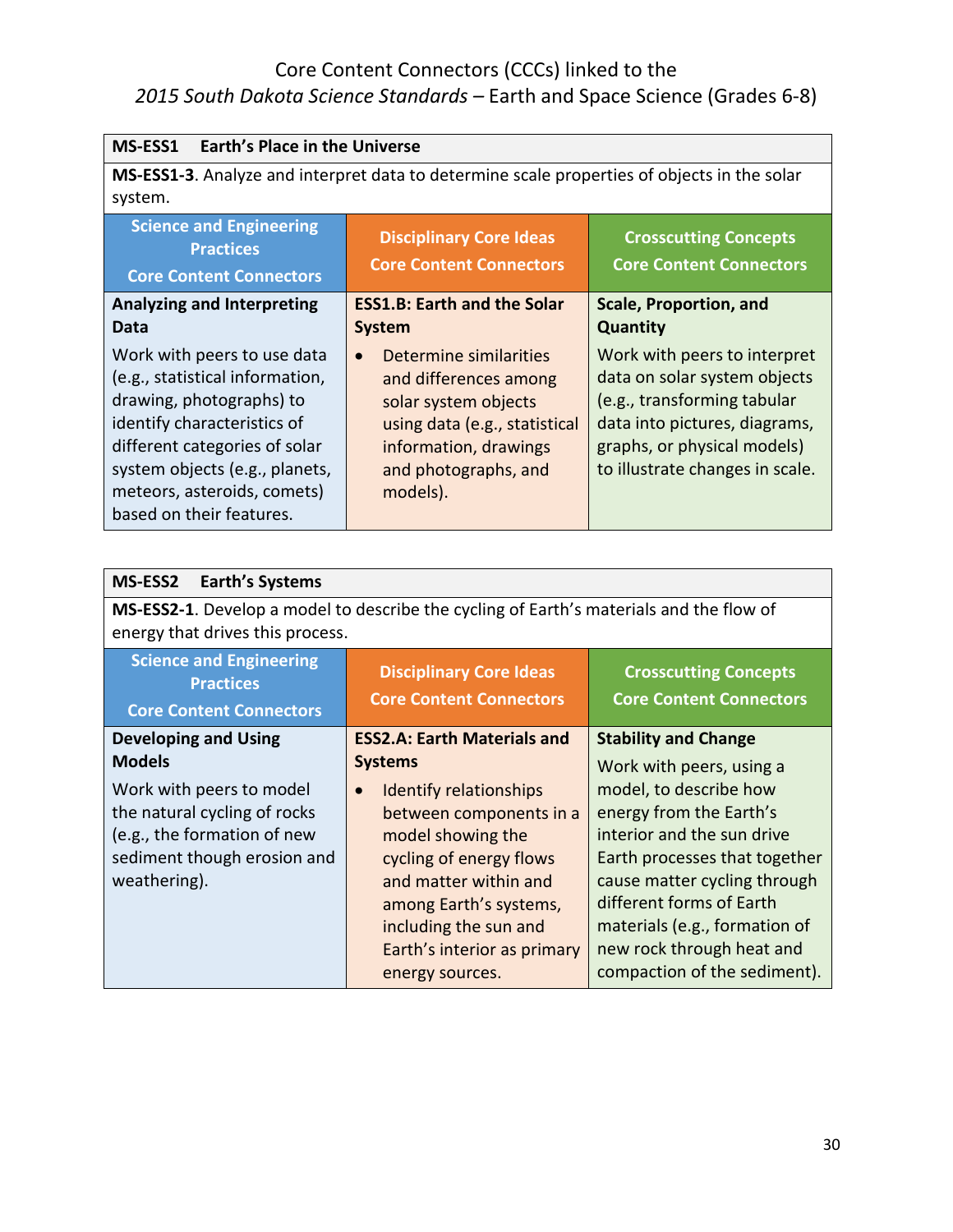| MS-ESS1<br><b>Earth's Place in the Universe</b>                                      |                                                                                             |                                                                |
|--------------------------------------------------------------------------------------|---------------------------------------------------------------------------------------------|----------------------------------------------------------------|
|                                                                                      | MS-ESS1-3. Analyze and interpret data to determine scale properties of objects in the solar |                                                                |
| system.                                                                              |                                                                                             |                                                                |
| <b>Science and Engineering</b><br><b>Practices</b><br><b>Core Content Connectors</b> | <b>Disciplinary Core Ideas</b><br><b>Core Content Connectors</b>                            | <b>Crosscutting Concepts</b><br><b>Core Content Connectors</b> |
| <b>Analyzing and Interpreting</b>                                                    | <b>ESS1.B: Earth and the Solar</b>                                                          | <b>Scale, Proportion, and</b>                                  |
| Data                                                                                 | <b>System</b>                                                                               | <b>Quantity</b>                                                |
| Work with peers to use data<br>(e.g., statistical information,                       | Determine similarities<br>$\bullet$<br>and differences among                                | Work with peers to interpret<br>data on solar system objects   |
| drawing, photographs) to                                                             | solar system objects                                                                        | (e.g., transforming tabular                                    |
| identify characteristics of                                                          | using data (e.g., statistical                                                               | data into pictures, diagrams,                                  |
| different categories of solar<br>system objects (e.g., planets,                      | information, drawings<br>and photographs, and                                               | graphs, or physical models)<br>to illustrate changes in scale. |
| meteors, asteroids, comets)                                                          | models).                                                                                    |                                                                |
| based on their features.                                                             |                                                                                             |                                                                |

| <b>MS-ESS2</b><br><b>Earth's Systems</b>                                                                                                                                               |                                                                                                                                                                                                                                                                                                             |                                                                                                                                                                                                                                                                                                                                       |
|----------------------------------------------------------------------------------------------------------------------------------------------------------------------------------------|-------------------------------------------------------------------------------------------------------------------------------------------------------------------------------------------------------------------------------------------------------------------------------------------------------------|---------------------------------------------------------------------------------------------------------------------------------------------------------------------------------------------------------------------------------------------------------------------------------------------------------------------------------------|
| MS-ESS2-1. Develop a model to describe the cycling of Earth's materials and the flow of<br>energy that drives this process.                                                            |                                                                                                                                                                                                                                                                                                             |                                                                                                                                                                                                                                                                                                                                       |
| <b>Science and Engineering</b><br><b>Practices</b><br><b>Core Content Connectors</b>                                                                                                   | <b>Disciplinary Core Ideas</b><br><b>Core Content Connectors</b>                                                                                                                                                                                                                                            | <b>Crosscutting Concepts</b><br><b>Core Content Connectors</b>                                                                                                                                                                                                                                                                        |
| <b>Developing and Using</b><br><b>Models</b><br>Work with peers to model<br>the natural cycling of rocks<br>(e.g., the formation of new<br>sediment though erosion and<br>weathering). | <b>ESS2.A: Earth Materials and</b><br><b>Systems</b><br><b>Identify relationships</b><br>$\bullet$<br>between components in a<br>model showing the<br>cycling of energy flows<br>and matter within and<br>among Earth's systems,<br>including the sun and<br>Earth's interior as primary<br>energy sources. | <b>Stability and Change</b><br>Work with peers, using a<br>model, to describe how<br>energy from the Earth's<br>interior and the sun drive<br>Earth processes that together<br>cause matter cycling through<br>different forms of Earth<br>materials (e.g., formation of<br>new rock through heat and<br>compaction of the sediment). |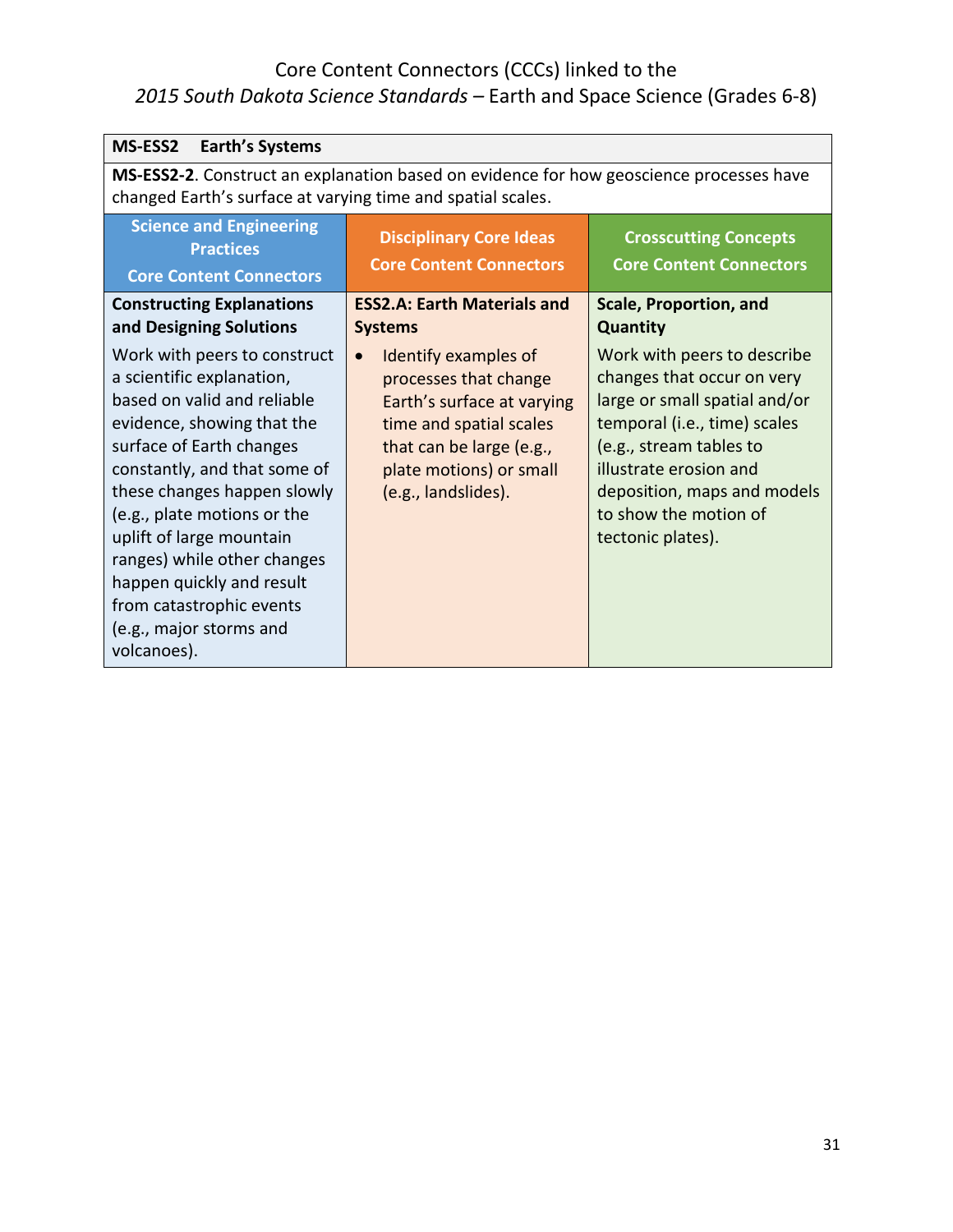| <b>MS-ESS2</b><br><b>Earth's Systems</b>                                                                                                                                                                                                                                                                                                                                                                       |                                                                                                                                                                                                   |                                                                                                                                                                                                                                                              |
|----------------------------------------------------------------------------------------------------------------------------------------------------------------------------------------------------------------------------------------------------------------------------------------------------------------------------------------------------------------------------------------------------------------|---------------------------------------------------------------------------------------------------------------------------------------------------------------------------------------------------|--------------------------------------------------------------------------------------------------------------------------------------------------------------------------------------------------------------------------------------------------------------|
| MS-ESS2-2. Construct an explanation based on evidence for how geoscience processes have<br>changed Earth's surface at varying time and spatial scales.                                                                                                                                                                                                                                                         |                                                                                                                                                                                                   |                                                                                                                                                                                                                                                              |
| <b>Science and Engineering</b><br><b>Practices</b><br><b>Core Content Connectors</b>                                                                                                                                                                                                                                                                                                                           | <b>Disciplinary Core Ideas</b><br><b>Core Content Connectors</b>                                                                                                                                  | <b>Crosscutting Concepts</b><br><b>Core Content Connectors</b>                                                                                                                                                                                               |
| <b>Constructing Explanations</b><br>and Designing Solutions                                                                                                                                                                                                                                                                                                                                                    | <b>ESS2.A: Earth Materials and</b><br><b>Systems</b>                                                                                                                                              | Scale, Proportion, and<br><b>Quantity</b>                                                                                                                                                                                                                    |
| Work with peers to construct<br>a scientific explanation,<br>based on valid and reliable<br>evidence, showing that the<br>surface of Earth changes<br>constantly, and that some of<br>these changes happen slowly<br>(e.g., plate motions or the<br>uplift of large mountain<br>ranges) while other changes<br>happen quickly and result<br>from catastrophic events<br>(e.g., major storms and<br>volcanoes). | Identify examples of<br>$\bullet$<br>processes that change<br>Earth's surface at varying<br>time and spatial scales<br>that can be large (e.g.,<br>plate motions) or small<br>(e.g., landslides). | Work with peers to describe<br>changes that occur on very<br>large or small spatial and/or<br>temporal (i.e., time) scales<br>(e.g., stream tables to<br>illustrate erosion and<br>deposition, maps and models<br>to show the motion of<br>tectonic plates). |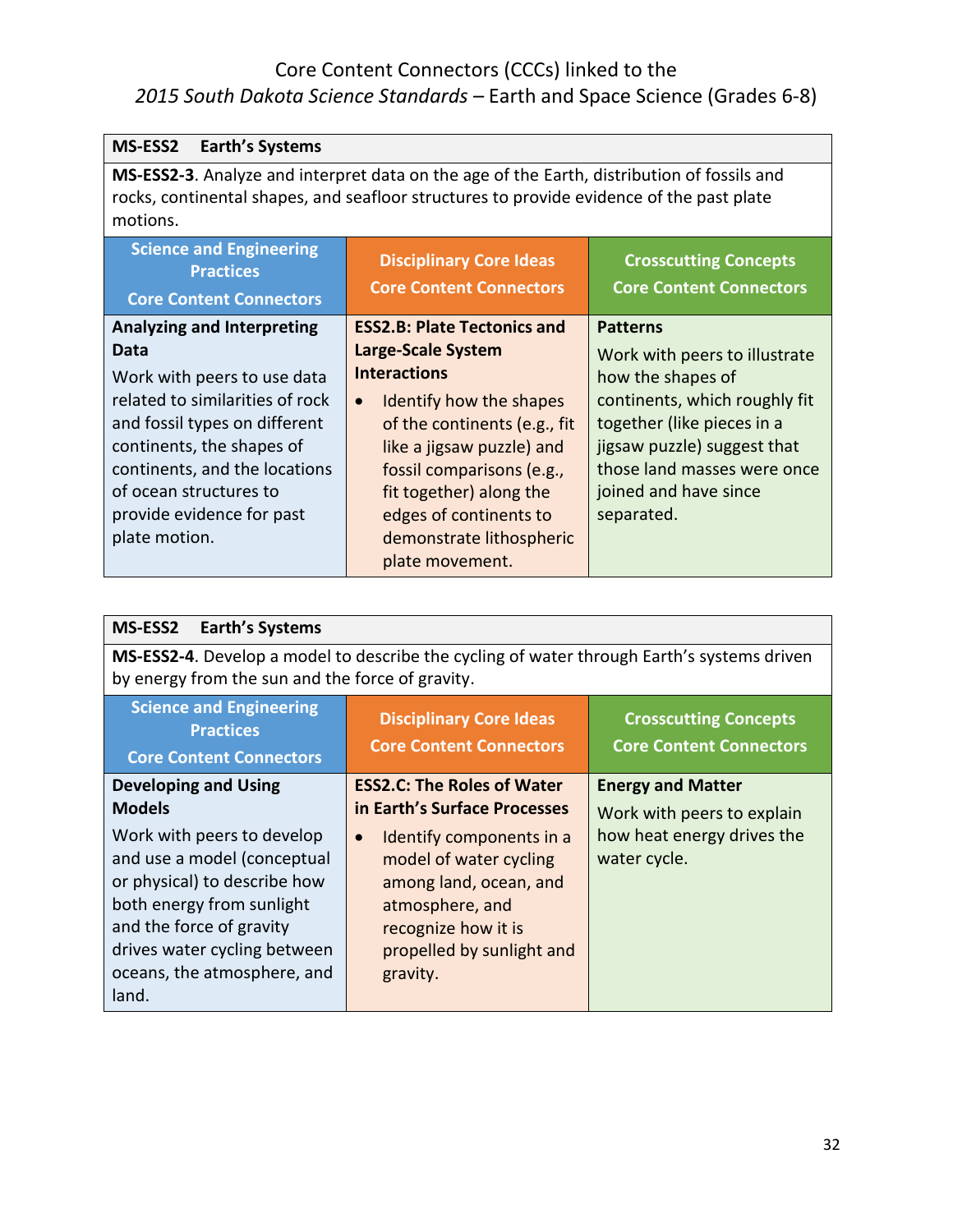| <b>Earth's Systems</b><br>MS-ESS2                                                                                                                                                                                                     |                                                                                                                                                                                                                                                           |                                                                                                                                                                                       |
|---------------------------------------------------------------------------------------------------------------------------------------------------------------------------------------------------------------------------------------|-----------------------------------------------------------------------------------------------------------------------------------------------------------------------------------------------------------------------------------------------------------|---------------------------------------------------------------------------------------------------------------------------------------------------------------------------------------|
| MS-ESS2-3. Analyze and interpret data on the age of the Earth, distribution of fossils and<br>rocks, continental shapes, and seafloor structures to provide evidence of the past plate<br>motions.                                    |                                                                                                                                                                                                                                                           |                                                                                                                                                                                       |
| <b>Science and Engineering</b><br><b>Practices</b><br><b>Core Content Connectors</b>                                                                                                                                                  | <b>Disciplinary Core Ideas</b><br><b>Core Content Connectors</b>                                                                                                                                                                                          | <b>Crosscutting Concepts</b><br><b>Core Content Connectors</b>                                                                                                                        |
| <b>Analyzing and Interpreting</b><br>Data                                                                                                                                                                                             | <b>ESS2.B: Plate Tectonics and</b><br>Large-Scale System                                                                                                                                                                                                  | <b>Patterns</b><br>Work with peers to illustrate                                                                                                                                      |
| Work with peers to use data<br>related to similarities of rock<br>and fossil types on different<br>continents, the shapes of<br>continents, and the locations<br>of ocean structures to<br>provide evidence for past<br>plate motion. | <b>Interactions</b><br>Identify how the shapes<br>$\bullet$<br>of the continents (e.g., fit<br>like a jigsaw puzzle) and<br>fossil comparisons (e.g.,<br>fit together) along the<br>edges of continents to<br>demonstrate lithospheric<br>plate movement. | how the shapes of<br>continents, which roughly fit<br>together (like pieces in a<br>jigsaw puzzle) suggest that<br>those land masses were once<br>joined and have since<br>separated. |

| <b>Earth's Systems</b><br><b>MS-ESS2</b>                                                                                                                                                                                   |                                                                                                                                                                              |                                                                |
|----------------------------------------------------------------------------------------------------------------------------------------------------------------------------------------------------------------------------|------------------------------------------------------------------------------------------------------------------------------------------------------------------------------|----------------------------------------------------------------|
| MS-ESS2-4. Develop a model to describe the cycling of water through Earth's systems driven<br>by energy from the sun and the force of gravity.                                                                             |                                                                                                                                                                              |                                                                |
| <b>Science and Engineering</b><br><b>Practices</b><br><b>Core Content Connectors</b>                                                                                                                                       | <b>Disciplinary Core Ideas</b><br><b>Core Content Connectors</b>                                                                                                             | <b>Crosscutting Concepts</b><br><b>Core Content Connectors</b> |
| <b>Developing and Using</b><br><b>Models</b>                                                                                                                                                                               | <b>ESS2.C: The Roles of Water</b><br>in Earth's Surface Processes                                                                                                            | <b>Energy and Matter</b><br>Work with peers to explain         |
| Work with peers to develop<br>and use a model (conceptual<br>or physical) to describe how<br>both energy from sunlight<br>and the force of gravity<br>drives water cycling between<br>oceans, the atmosphere, and<br>land. | Identify components in a<br>$\bullet$<br>model of water cycling<br>among land, ocean, and<br>atmosphere, and<br>recognize how it is<br>propelled by sunlight and<br>gravity. | how heat energy drives the<br>water cycle.                     |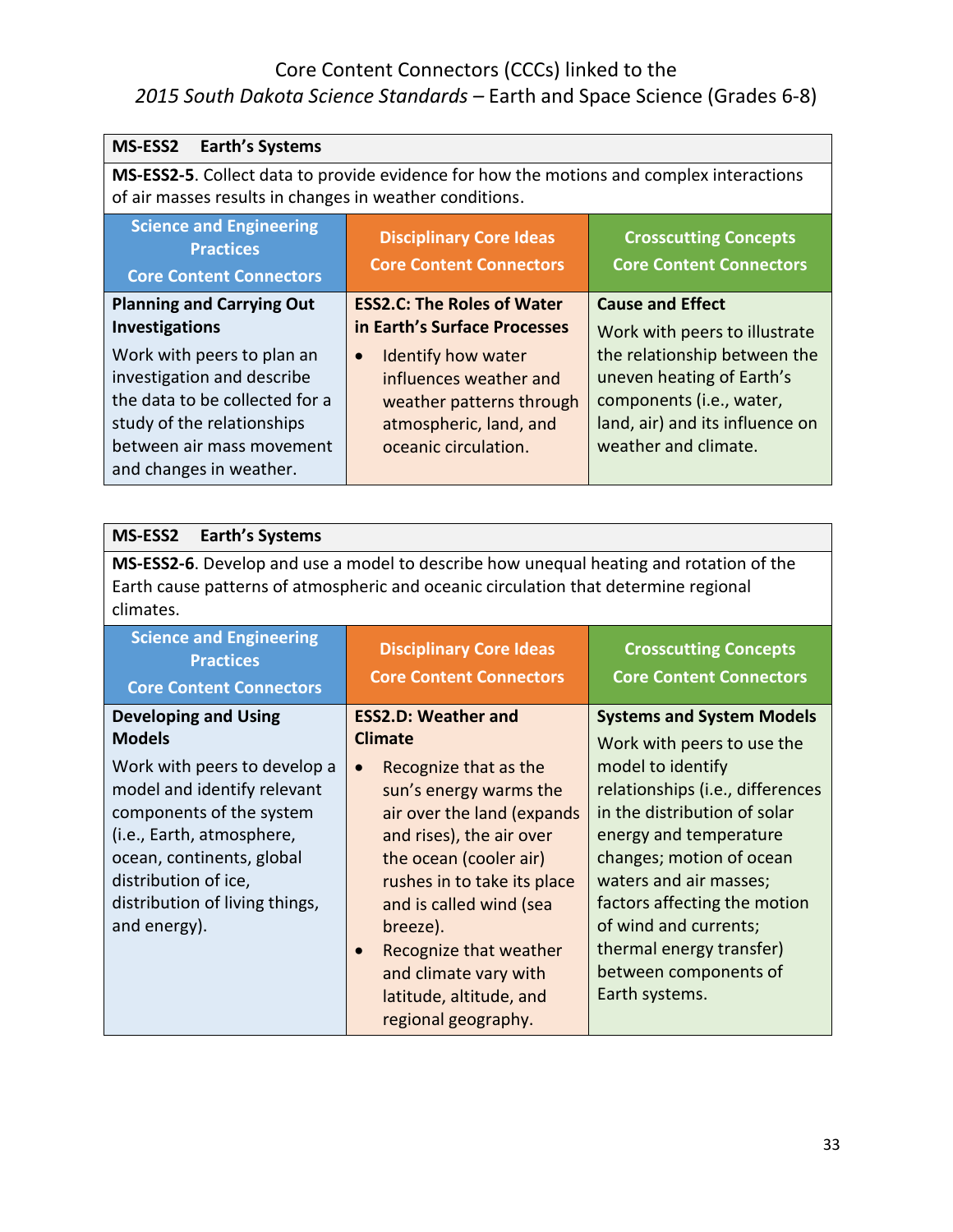| <b>MS-ESS2</b><br><b>Earth's Systems</b>                                                                                                                                                                                   |                                   |                                 |
|----------------------------------------------------------------------------------------------------------------------------------------------------------------------------------------------------------------------------|-----------------------------------|---------------------------------|
| MS-ESS2-5. Collect data to provide evidence for how the motions and complex interactions<br>of air masses results in changes in weather conditions.                                                                        |                                   |                                 |
| <b>Science and Engineering</b><br><b>Disciplinary Core Ideas</b><br><b>Crosscutting Concepts</b><br><b>Practices</b><br><b>Core Content Connectors</b><br><b>Core Content Connectors</b><br><b>Core Content Connectors</b> |                                   |                                 |
| <b>Planning and Carrying Out</b>                                                                                                                                                                                           | <b>ESS2.C: The Roles of Water</b> | <b>Cause and Effect</b>         |
| <b>Investigations</b>                                                                                                                                                                                                      | in Earth's Surface Processes      | Work with peers to illustrate   |
| Work with peers to plan an                                                                                                                                                                                                 | Identify how water<br>$\bullet$   | the relationship between the    |
| investigation and describe                                                                                                                                                                                                 | influences weather and            | uneven heating of Earth's       |
| the data to be collected for a                                                                                                                                                                                             | weather patterns through          | components (i.e., water,        |
| study of the relationships                                                                                                                                                                                                 | atmospheric, land, and            | land, air) and its influence on |
| between air mass movement                                                                                                                                                                                                  | oceanic circulation.              | weather and climate.            |
| and changes in weather.                                                                                                                                                                                                    |                                   |                                 |

| <b>Earth's Systems</b><br><b>MS-ESS2</b>                                                                                                                                                                                    |                                                                                                                                                                                                                                                                                                                             |                                                                                                                                                                                                                                                                                                       |
|-----------------------------------------------------------------------------------------------------------------------------------------------------------------------------------------------------------------------------|-----------------------------------------------------------------------------------------------------------------------------------------------------------------------------------------------------------------------------------------------------------------------------------------------------------------------------|-------------------------------------------------------------------------------------------------------------------------------------------------------------------------------------------------------------------------------------------------------------------------------------------------------|
| MS-ESS2-6. Develop and use a model to describe how unequal heating and rotation of the<br>Earth cause patterns of atmospheric and oceanic circulation that determine regional<br>climates.                                  |                                                                                                                                                                                                                                                                                                                             |                                                                                                                                                                                                                                                                                                       |
| <b>Science and Engineering</b><br><b>Practices</b><br><b>Core Content Connectors</b>                                                                                                                                        | <b>Disciplinary Core Ideas</b><br><b>Core Content Connectors</b>                                                                                                                                                                                                                                                            | <b>Crosscutting Concepts</b><br><b>Core Content Connectors</b>                                                                                                                                                                                                                                        |
| <b>Developing and Using</b><br><b>Models</b>                                                                                                                                                                                | <b>ESS2.D: Weather and</b><br><b>Climate</b>                                                                                                                                                                                                                                                                                | <b>Systems and System Models</b><br>Work with peers to use the                                                                                                                                                                                                                                        |
| Work with peers to develop a<br>model and identify relevant<br>components of the system<br>(i.e., Earth, atmosphere,<br>ocean, continents, global<br>distribution of ice,<br>distribution of living things,<br>and energy). | Recognize that as the<br>$\bullet$<br>sun's energy warms the<br>air over the land (expands<br>and rises), the air over<br>the ocean (cooler air)<br>rushes in to take its place<br>and is called wind (sea<br>breeze).<br>Recognize that weather<br>and climate vary with<br>latitude, altitude, and<br>regional geography. | model to identify<br>relationships (i.e., differences<br>in the distribution of solar<br>energy and temperature<br>changes; motion of ocean<br>waters and air masses;<br>factors affecting the motion<br>of wind and currents;<br>thermal energy transfer)<br>between components of<br>Earth systems. |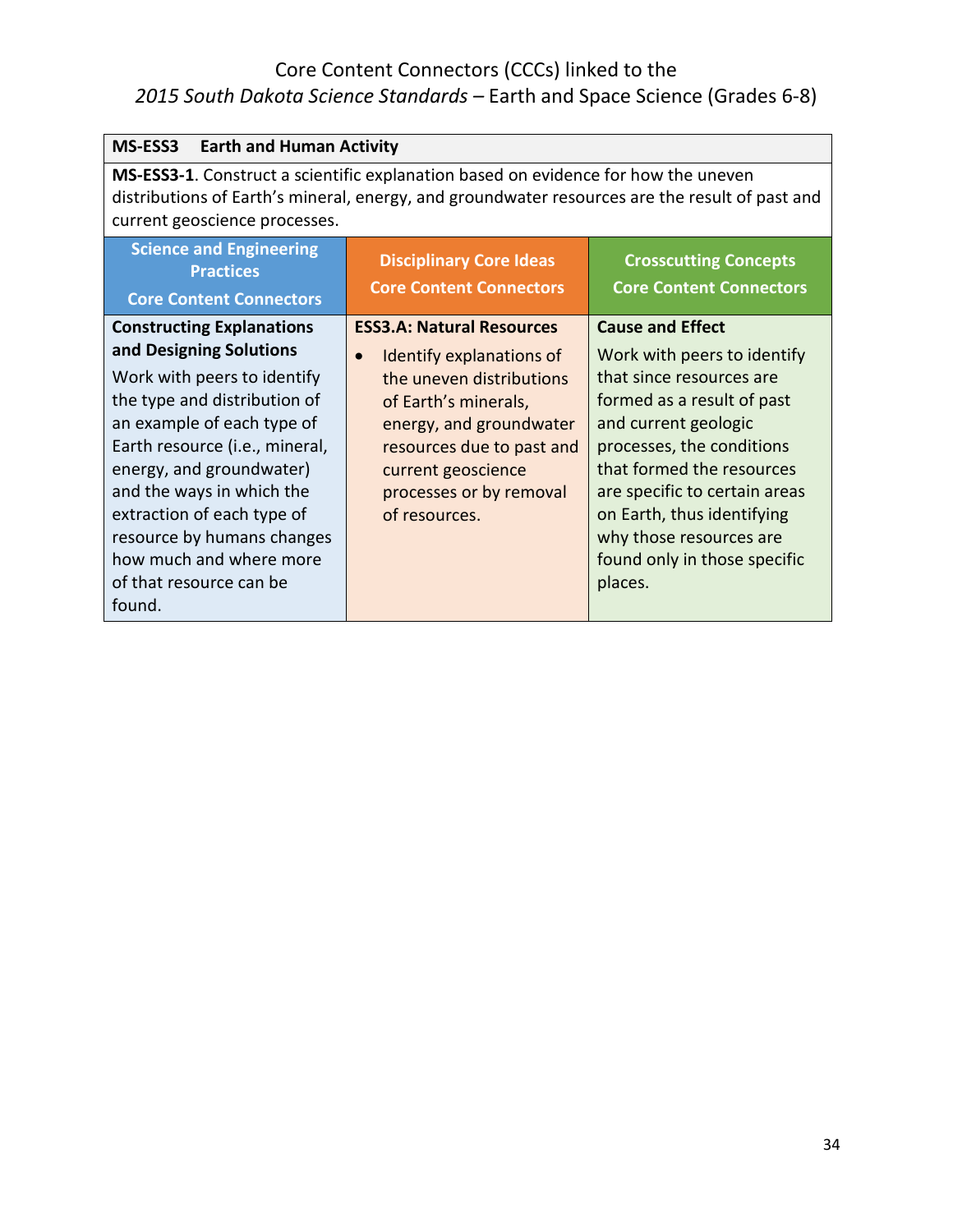| <b>MS-ESS3</b><br><b>Earth and Human Activity</b>                                                                                                                                                                                                                                                                                                                               |                                                                                                                                                                                                                                                         |                                                                                                                                                                                                                                                                                                                                         |
|---------------------------------------------------------------------------------------------------------------------------------------------------------------------------------------------------------------------------------------------------------------------------------------------------------------------------------------------------------------------------------|---------------------------------------------------------------------------------------------------------------------------------------------------------------------------------------------------------------------------------------------------------|-----------------------------------------------------------------------------------------------------------------------------------------------------------------------------------------------------------------------------------------------------------------------------------------------------------------------------------------|
| MS-ESS3-1. Construct a scientific explanation based on evidence for how the uneven<br>distributions of Earth's mineral, energy, and groundwater resources are the result of past and<br>current geoscience processes.                                                                                                                                                           |                                                                                                                                                                                                                                                         |                                                                                                                                                                                                                                                                                                                                         |
| <b>Science and Engineering</b><br><b>Practices</b><br><b>Core Content Connectors</b>                                                                                                                                                                                                                                                                                            | <b>Disciplinary Core Ideas</b><br><b>Core Content Connectors</b>                                                                                                                                                                                        | <b>Crosscutting Concepts</b><br><b>Core Content Connectors</b>                                                                                                                                                                                                                                                                          |
| <b>Constructing Explanations</b><br>and Designing Solutions<br>Work with peers to identify<br>the type and distribution of<br>an example of each type of<br>Earth resource (i.e., mineral,<br>energy, and groundwater)<br>and the ways in which the<br>extraction of each type of<br>resource by humans changes<br>how much and where more<br>of that resource can be<br>found. | <b>ESS3.A: Natural Resources</b><br>Identify explanations of<br>$\bullet$<br>the uneven distributions<br>of Earth's minerals,<br>energy, and groundwater<br>resources due to past and<br>current geoscience<br>processes or by removal<br>of resources. | <b>Cause and Effect</b><br>Work with peers to identify<br>that since resources are<br>formed as a result of past<br>and current geologic<br>processes, the conditions<br>that formed the resources<br>are specific to certain areas<br>on Earth, thus identifying<br>why those resources are<br>found only in those specific<br>places. |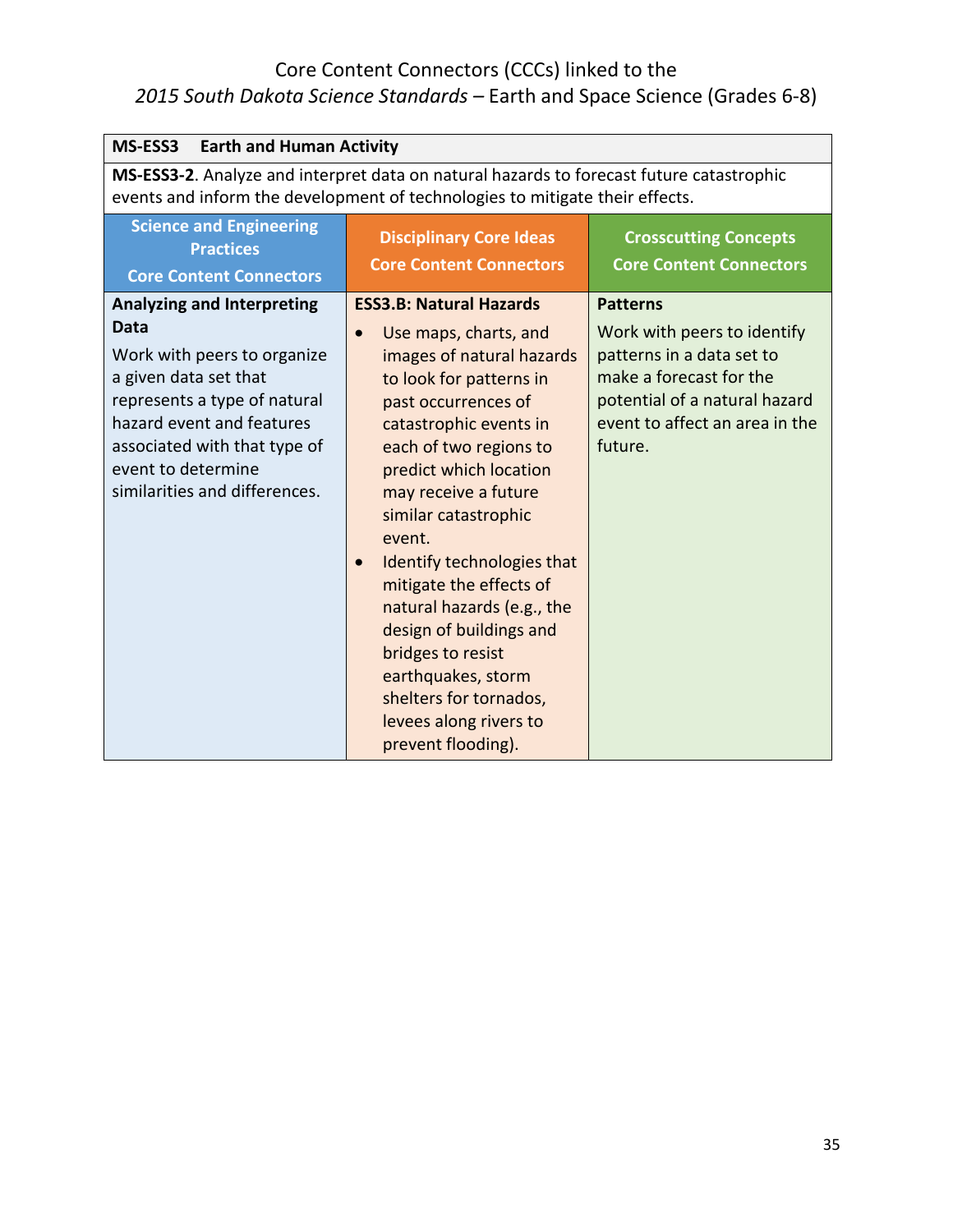| MS-ESS3<br><b>Earth and Human Activity</b>                                                                                                                                                                                                                   |                                                                                                                                                                                                                                                                                                                                                                                                                                                                                                                                                 |                                                                                                                                                                                      |
|--------------------------------------------------------------------------------------------------------------------------------------------------------------------------------------------------------------------------------------------------------------|-------------------------------------------------------------------------------------------------------------------------------------------------------------------------------------------------------------------------------------------------------------------------------------------------------------------------------------------------------------------------------------------------------------------------------------------------------------------------------------------------------------------------------------------------|--------------------------------------------------------------------------------------------------------------------------------------------------------------------------------------|
| MS-ESS3-2. Analyze and interpret data on natural hazards to forecast future catastrophic<br>events and inform the development of technologies to mitigate their effects.                                                                                     |                                                                                                                                                                                                                                                                                                                                                                                                                                                                                                                                                 |                                                                                                                                                                                      |
| <b>Science and Engineering</b><br><b>Practices</b><br><b>Core Content Connectors</b>                                                                                                                                                                         | <b>Disciplinary Core Ideas</b><br><b>Core Content Connectors</b>                                                                                                                                                                                                                                                                                                                                                                                                                                                                                | <b>Crosscutting Concepts</b><br><b>Core Content Connectors</b>                                                                                                                       |
| <b>Analyzing and Interpreting</b><br><b>Data</b><br>Work with peers to organize<br>a given data set that<br>represents a type of natural<br>hazard event and features<br>associated with that type of<br>event to determine<br>similarities and differences. | <b>ESS3.B: Natural Hazards</b><br>Use maps, charts, and<br>$\bullet$<br>images of natural hazards<br>to look for patterns in<br>past occurrences of<br>catastrophic events in<br>each of two regions to<br>predict which location<br>may receive a future<br>similar catastrophic<br>event.<br>Identify technologies that<br>$\bullet$<br>mitigate the effects of<br>natural hazards (e.g., the<br>design of buildings and<br>bridges to resist<br>earthquakes, storm<br>shelters for tornados,<br>levees along rivers to<br>prevent flooding). | <b>Patterns</b><br>Work with peers to identify<br>patterns in a data set to<br>make a forecast for the<br>potential of a natural hazard<br>event to affect an area in the<br>future. |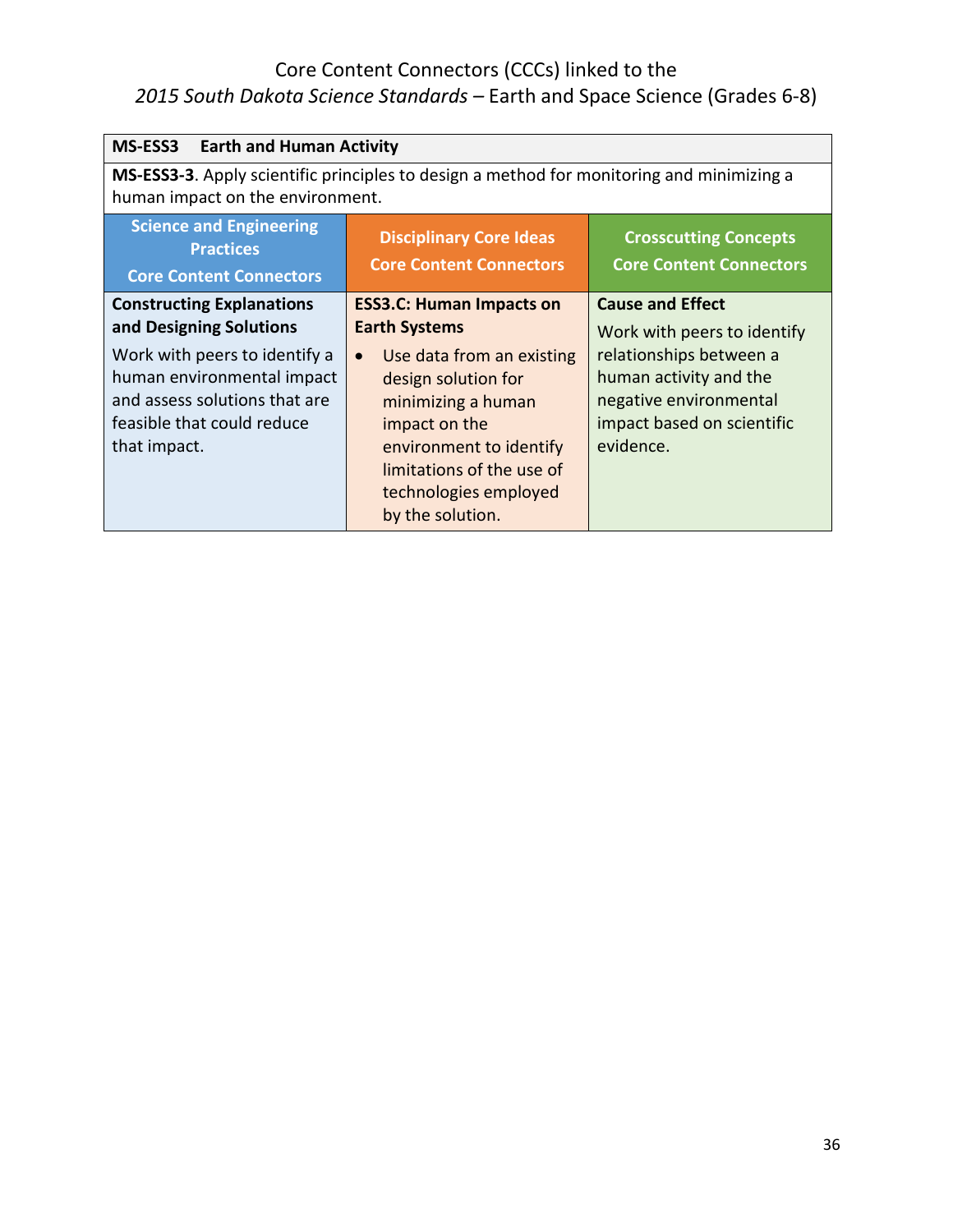| <b>MS-ESS3</b><br><b>Earth and Human Activity</b>                                                                                                                                                         |                                                                                                                                                                                                                                                                      |                                                                                                                                                                                  |
|-----------------------------------------------------------------------------------------------------------------------------------------------------------------------------------------------------------|----------------------------------------------------------------------------------------------------------------------------------------------------------------------------------------------------------------------------------------------------------------------|----------------------------------------------------------------------------------------------------------------------------------------------------------------------------------|
| MS-ESS3-3. Apply scientific principles to design a method for monitoring and minimizing a<br>human impact on the environment.                                                                             |                                                                                                                                                                                                                                                                      |                                                                                                                                                                                  |
| <b>Science and Engineering</b><br><b>Practices</b><br><b>Core Content Connectors</b>                                                                                                                      | <b>Disciplinary Core Ideas</b><br><b>Core Content Connectors</b>                                                                                                                                                                                                     | <b>Crosscutting Concepts</b><br><b>Core Content Connectors</b>                                                                                                                   |
| <b>Constructing Explanations</b><br>and Designing Solutions<br>Work with peers to identify a<br>human environmental impact<br>and assess solutions that are<br>feasible that could reduce<br>that impact. | <b>ESS3.C: Human Impacts on</b><br><b>Earth Systems</b><br>Use data from an existing<br>$\bullet$<br>design solution for<br>minimizing a human<br>impact on the<br>environment to identify<br>limitations of the use of<br>technologies employed<br>by the solution. | <b>Cause and Effect</b><br>Work with peers to identify<br>relationships between a<br>human activity and the<br>negative environmental<br>impact based on scientific<br>evidence. |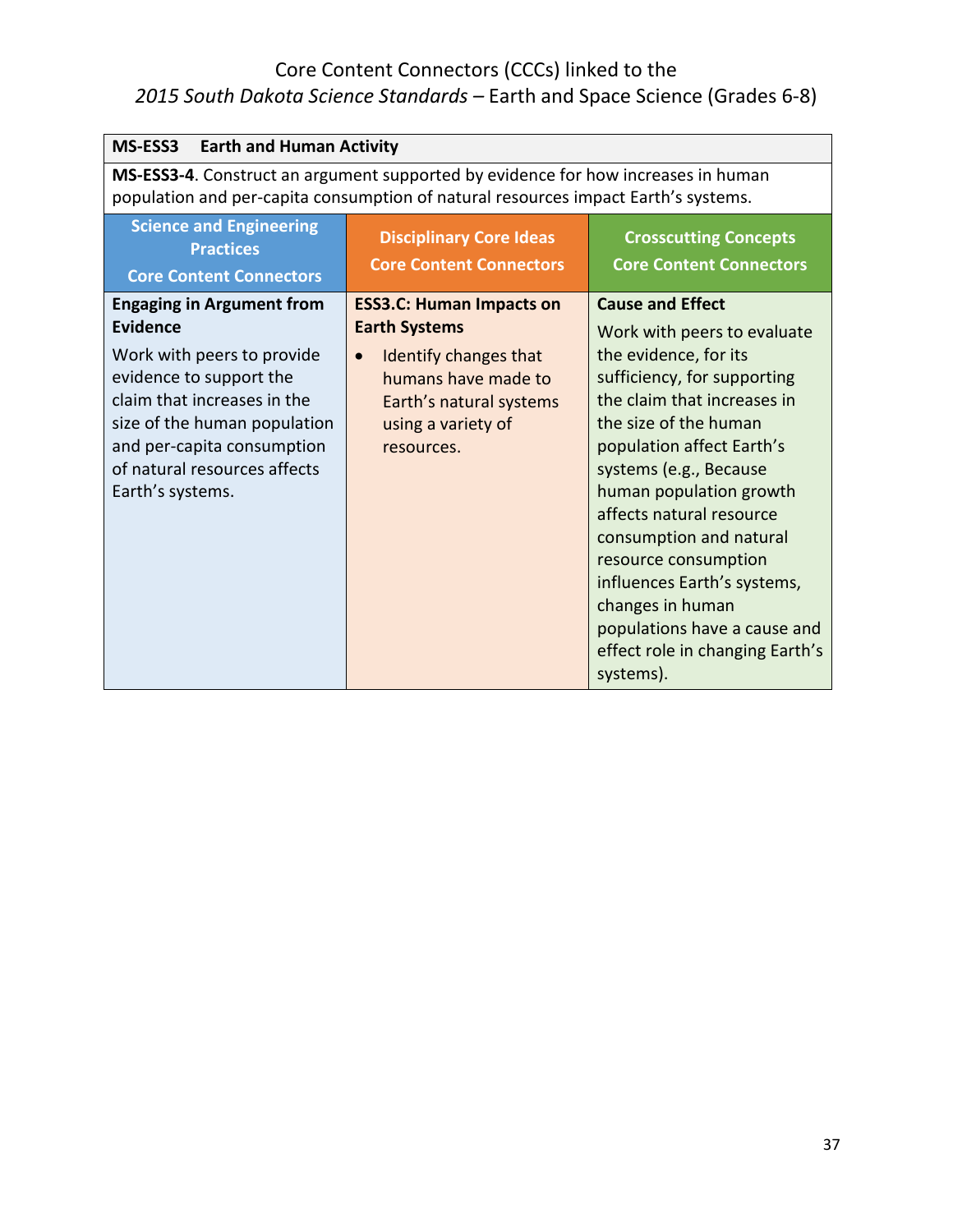| MS-ESS3<br><b>Earth and Human Activity</b>                                                                                                                                                                                                                    |                                                                                                                                                                                     |                                                                                                                                                                                                                                                                                                                                                                                                                                                               |
|---------------------------------------------------------------------------------------------------------------------------------------------------------------------------------------------------------------------------------------------------------------|-------------------------------------------------------------------------------------------------------------------------------------------------------------------------------------|---------------------------------------------------------------------------------------------------------------------------------------------------------------------------------------------------------------------------------------------------------------------------------------------------------------------------------------------------------------------------------------------------------------------------------------------------------------|
| MS-ESS3-4. Construct an argument supported by evidence for how increases in human<br>population and per-capita consumption of natural resources impact Earth's systems.                                                                                       |                                                                                                                                                                                     |                                                                                                                                                                                                                                                                                                                                                                                                                                                               |
| <b>Science and Engineering</b><br><b>Practices</b><br><b>Core Content Connectors</b>                                                                                                                                                                          | <b>Disciplinary Core Ideas</b><br><b>Core Content Connectors</b>                                                                                                                    | <b>Crosscutting Concepts</b><br><b>Core Content Connectors</b>                                                                                                                                                                                                                                                                                                                                                                                                |
| <b>Engaging in Argument from</b><br><b>Evidence</b><br>Work with peers to provide<br>evidence to support the<br>claim that increases in the<br>size of the human population<br>and per-capita consumption<br>of natural resources affects<br>Earth's systems. | <b>ESS3.C: Human Impacts on</b><br><b>Earth Systems</b><br>Identify changes that<br>$\bullet$<br>humans have made to<br>Earth's natural systems<br>using a variety of<br>resources. | <b>Cause and Effect</b><br>Work with peers to evaluate<br>the evidence, for its<br>sufficiency, for supporting<br>the claim that increases in<br>the size of the human<br>population affect Earth's<br>systems (e.g., Because<br>human population growth<br>affects natural resource<br>consumption and natural<br>resource consumption<br>influences Earth's systems,<br>changes in human<br>populations have a cause and<br>effect role in changing Earth's |